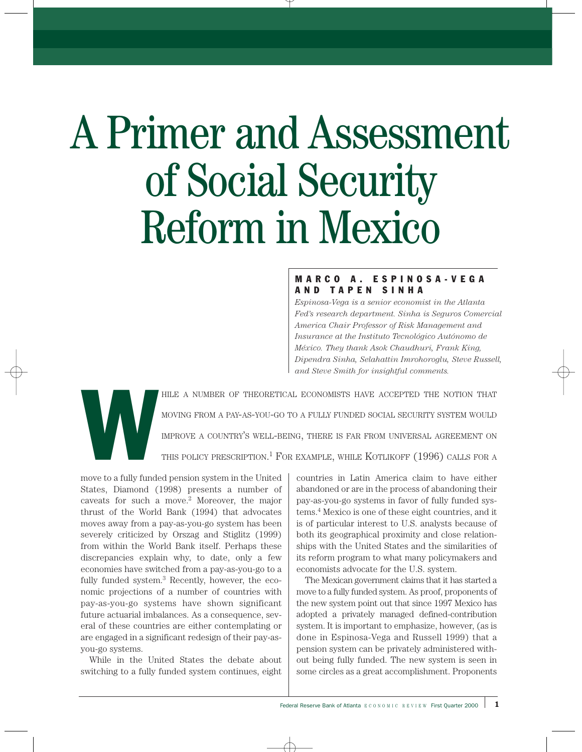# A Primer and Assessment of Social Security Reform in Mexico

# MARCO A. ESPINOSA-VEGA AND TAPEN SINHA

*Espinosa-Vega is a senior economist in the Atlanta Fed's research department. Sinha is Seguros Comercial America Chair Professor of Risk Management and Insurance at the Instituto Tecnológico Autónomo de México. They thank Asok Chaudhuri, Frank King, Dipendra Sinha, Selahattin Imrohoroglu, Steve Russell, and Steve Smith for insightful comments.*



HILE A NUMBER OF THEORETICAL ECONOMISTS HAVE ACCEPTED THE NOTION THAT<br>MOVING FROM A PAY-AS-YOU-GO TO A FULLY FUNDED SOCIAL SECURITY SYSTEM WOULD<br>IMPROVE A COUNTRY'S WELL-BEING, THERE IS FAR FROM UNIVERSAL AGREEMENT ON<br>THIS MOVING FROM A PAY-AS-YOU-GO TO A FULLY FUNDED SOCIAL SECURITY SYSTEM WOULD IMPROVE A COUNTRY'S WELL-BEING, THERE IS FAR FROM UNIVERSAL AGREEMENT ON THIS POLICY PRESCRIPTION.<sup>1</sup> FOR EXAMPLE, WHILE KOTLIKOFF  $(1996)$  CALLS FOR A

move to a fully funded pension system in the United States, Diamond (1998) presents a number of caveats for such a move.2 Moreover, the major thrust of the World Bank (1994) that advocates moves away from a pay-as-you-go system has been severely criticized by Orszag and Stiglitz (1999) from within the World Bank itself. Perhaps these discrepancies explain why, to date, only a few economies have switched from a pay-as-you-go to a fully funded system.3 Recently, however, the economic projections of a number of countries with pay-as-you-go systems have shown significant future actuarial imbalances. As a consequence, several of these countries are either contemplating or are engaged in a significant redesign of their pay-asyou-go systems.

While in the United States the debate about switching to a fully funded system continues, eight

countries in Latin America claim to have either abandoned or are in the process of abandoning their pay-as-you-go systems in favor of fully funded systems.4 Mexico is one of these eight countries, and it is of particular interest to U.S. analysts because of both its geographical proximity and close relationships with the United States and the similarities of its reform program to what many policymakers and economists advocate for the U.S. system.

The Mexican government claims that it has started a move to a fully funded system. As proof, proponents of the new system point out that since 1997 Mexico has adopted a privately managed defined-contribution system. It is important to emphasize, however, (as is done in Espinosa-Vega and Russell 1999) that a pension system can be privately administered without being fully funded. The new system is seen in some circles as a great accomplishment. Proponents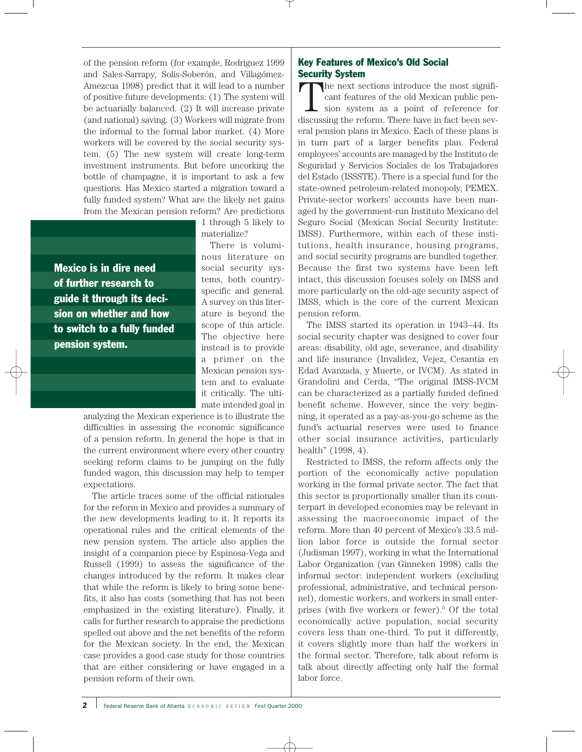of the pension reform (for example, Rodriguez 1999 and Sales-Sarrapy, Solís-Soberón, and Villagómez-Amezcua 1998) predict that it will lead to a number of positive future developments: (1) The system will be actuarially balanced. (2) It will increase private (and national) saving. (3) Workers will migrate from the informal to the formal labor market. (4) More workers will be covered by the social security system. (5) The new system will create long-term investment instruments. But before uncorking the bottle of champagne, it is important to ask a few questions. Has Mexico started a migration toward a fully funded system? What are the likely net gains from the Mexican pension reform? Are predictions

Mexico is in dire need of further research to guide it through its decision on whether and how to switch to a fully funded pension system.

1 through 5 likely to materialize?

There is voluminous literature on social security systems, both countryspecific and general. A survey on this literature is beyond the scope of this article. The objective here instead is to provide a primer on the Mexican pension system and to evaluate it critically. The ultimate intended goal in

analyzing the Mexican experience is to illustrate the difficulties in assessing the economic significance of a pension reform. In general the hope is that in the current environment where every other country seeking reform claims to be jumping on the fully funded wagon, this discussion may help to temper expectations.

The article traces some of the official rationales for the reform in Mexico and provides a summary of the new developments leading to it. It reports its operational rules and the critical elements of the new pension system. The article also applies the insight of a companion piece by Espinosa-Vega and Russell (1999) to assess the significance of the changes introduced by the reform. It makes clear that while the reform is likely to bring some benefits, it also has costs (something that has not been emphasized in the existing literature). Finally, it calls for further research to appraise the predictions spelled out above and the net benefits of the reform for the Mexican society. In the end, the Mexican case provides a good case study for those countries that are either considering or have engaged in a pension reform of their own.

# Key Features of Mexico's Old Social Security System

The next sections introduce the most significant features of the old Mexican public pension system as a point of reference for discussing the reform. There have in fact been several pension plans in Mexico. Each of these plans is in turn part of a larger benefits plan. Federal employees' accounts are managed by the Instituto de Seguridad y Servicios Sociales de los Trabajadores del Estado (ISSSTE). There is a special fund for the state-owned petroleum-related monopoly, PEMEX. Private-sector workers' accounts have been managed by the government-run Instituto Mexicano del Seguro Social (Mexican Social Security Institute: IMSS). Furthermore, within each of these institutions, health insurance, housing programs, and social security programs are bundled together. Because the first two systems have been left intact, this discussion focuses solely on IMSS and more particularly on the old-age security aspect of IMSS, which is the core of the current Mexican pension reform.

The IMSS started its operation in 1943–44. Its social security chapter was designed to cover four areas: disability, old age, severance, and disability and life insurance (Invalidez, Vejez, Cesantia en Edad Avanzada, y Muerte, or IVCM). As stated in Grandolini and Cerda, "The original IMSS-IVCM can be characterized as a partially funded defined benefit scheme. However, since the very beginning, it operated as a pay-as-you-go scheme as the fund's actuarial reserves were used to finance other social insurance activities, particularly health" (1998, 4).

Restricted to IMSS, the reform affects only the portion of the economically active population working in the formal private sector. The fact that this sector is proportionally smaller than its counterpart in developed economies may be relevant in assessing the macroeconomic impact of the reform. More than 40 percent of Mexico's 33.5 million labor force is outside the formal sector (Judisman 1997), working in what the International Labor Organization (van Ginneken 1998) calls the informal sector: independent workers (excluding professional, administrative, and technical personnel), domestic workers, and workers in small enterprises (with five workers or fewer).5 Of the total economically active population, social security covers less than one-third. To put it differently, it covers slightly more than half the workers in the formal sector. Therefore, talk about reform is talk about directly affecting only half the formal labor force.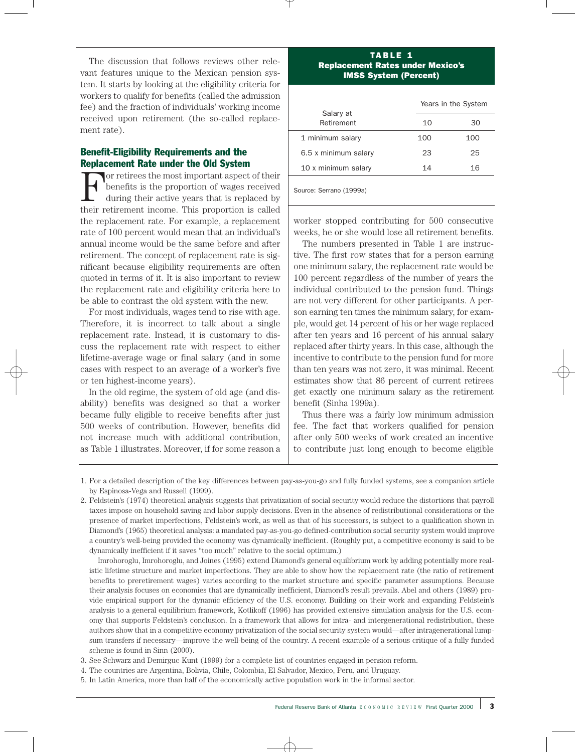The discussion that follows reviews other relevant features unique to the Mexican pension system. It starts by looking at the eligibility criteria for workers to qualify for benefits (called the admission fee) and the fraction of individuals' working income received upon retirement (the so-called replacement rate).

# Benefit-Eligibility Requirements and the Replacement Rate under the Old System

For retirees the most important aspect of their benefits is the proportion of wages received during their active years that is replaced by their retirement income. This proportion is called the replacement rate. For example, a replacement rate of 100 percent would mean that an individual's annual income would be the same before and after retirement. The concept of replacement rate is significant because eligibility requirements are often quoted in terms of it. It is also important to review the replacement rate and eligibility criteria here to be able to contrast the old system with the new.

For most individuals, wages tend to rise with age. Therefore, it is incorrect to talk about a single replacement rate. Instead, it is customary to discuss the replacement rate with respect to either lifetime-average wage or final salary (and in some cases with respect to an average of a worker's five or ten highest-income years).

In the old regime, the system of old age (and disability) benefits was designed so that a worker became fully eligible to receive benefits after just 500 weeks of contribution. However, benefits did not increase much with additional contribution, as Table 1 illustrates. Moreover, if for some reason a

### TABLE 1 Replacement Rates under Mexico's IMSS System (Percent)

|     | Years in the System |
|-----|---------------------|
| 10  | 30                  |
| 100 | 100                 |
| 23  | 25                  |
| 14  | 16                  |
|     |                     |

Source: Serrano (1999a)

worker stopped contributing for 500 consecutive weeks, he or she would lose all retirement benefits.

The numbers presented in Table 1 are instructive. The first row states that for a person earning one minimum salary, the replacement rate would be 100 percent regardless of the number of years the individual contributed to the pension fund. Things are not very different for other participants. A person earning ten times the minimum salary, for example, would get 14 percent of his or her wage replaced after ten years and 16 percent of his annual salary replaced after thirty years. In this case, although the incentive to contribute to the pension fund for more than ten years was not zero, it was minimal. Recent estimates show that 86 percent of current retirees get exactly one minimum salary as the retirement benefit (Sinha 1999a).

Thus there was a fairly low minimum admission fee. The fact that workers qualified for pension after only 500 weeks of work created an incentive to contribute just long enough to become eligible

Imrohoroglu, Imrohoroglu, and Joines (1995) extend Diamond's general equilibrium work by adding potentially more realistic lifetime structure and market imperfections. They are able to show how the replacement rate (the ratio of retirement benefits to preretirement wages) varies according to the market structure and specific parameter assumptions. Because their analysis focuses on economies that are dynamically inefficient, Diamond's result prevails. Abel and others (1989) provide empirical support for the dynamic efficiency of the U.S. economy. Building on their work and expanding Feldstein's analysis to a general equilibrium framework, Kotlikoff (1996) has provided extensive simulation analysis for the U.S. economy that supports Feldstein's conclusion. In a framework that allows for intra- and intergenerational redistribution, these authors show that in a competitive economy privatization of the social security system would—after intragenerational lumpsum transfers if necessary—improve the well-being of the country. A recent example of a serious critique of a fully funded scheme is found in Sinn (2000).

3. See Schwarz and Demirguc-Kunt (1999) for a complete list of countries engaged in pension reform.

4. The countries are Argentina, Bolivia, Chile, Colombia, El Salvador, Mexico, Peru, and Uruguay.

<sup>1.</sup> For a detailed description of the key differences between pay-as-you-go and fully funded systems, see a companion article by Espinosa-Vega and Russell (1999).

<sup>2.</sup> Feldstein's (1974) theoretical analysis suggests that privatization of social security would reduce the distortions that payroll taxes impose on household saving and labor supply decisions. Even in the absence of redistributional considerations or the presence of market imperfections, Feldstein's work, as well as that of his successors, is subject to a qualification shown in Diamond's (1965) theoretical analysis: a mandated pay-as-you-go defined-contribution social security system would improve a country's well-being provided the economy was dynamically inefficient. (Roughly put, a competitive economy is said to be dynamically inefficient if it saves "too much" relative to the social optimum.)

<sup>5.</sup> In Latin America, more than half of the economically active population work in the informal sector.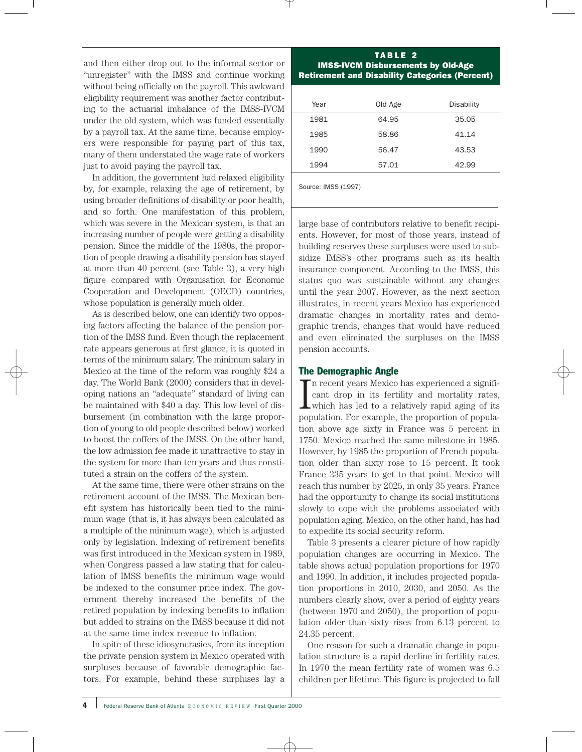and then either drop out to the informal sector or "unregister" with the IMSS and continue working without being officially on the payroll. This awkward eligibility requirement was another factor contributing to the actuarial imbalance of the IMSS-IVCM under the old system, which was funded essentially by a payroll tax. At the same time, because employers were responsible for paying part of this tax, many of them understated the wage rate of workers just to avoid paying the payroll tax.

In addition, the government had relaxed eligibility by, for example, relaxing the age of retirement, by using broader definitions of disability or poor health, and so forth. One manifestation of this problem, which was severe in the Mexican system, is that an increasing number of people were getting a disability pension. Since the middle of the 1980s, the proportion of people drawing a disability pension has stayed at more than 40 percent (see Table 2), a very high figure compared with Organisation for Economic Cooperation and Development (OECD) countries, whose population is generally much older.

As is described below, one can identify two opposing factors affecting the balance of the pension portion of the IMSS fund. Even though the replacement rate appears generous at first glance, it is quoted in terms of the minimum salary. The minimum salary in Mexico at the time of the reform was roughly \$24 a day. The World Bank (2000) considers that in developing nations an "adequate" standard of living can be maintained with \$40 a day. This low level of disbursement (in combination with the large proportion of young to old people described below) worked to boost the coffers of the IMSS. On the other hand, the low admission fee made it unattractive to stay in the system for more than ten years and thus constituted a strain on the coffers of the system.

At the same time, there were other strains on the retirement account of the IMSS. The Mexican benefit system has historically been tied to the minimum wage (that is, it has always been calculated as a multiple of the minimum wage), which is adjusted only by legislation. Indexing of retirement benefits was first introduced in the Mexican system in 1989, when Congress passed a law stating that for calculation of IMSS benefits the minimum wage would be indexed to the consumer price index. The government thereby increased the benefits of the retired population by indexing benefits to inflation but added to strains on the IMSS because it did not at the same time index revenue to inflation.

In spite of these idiosyncrasies, from its inception the private pension system in Mexico operated with surpluses because of favorable demographic factors. For example, behind these surpluses lay a

### TABLE 2 IMSS-IVCM Disbursements by Old-Age Retirement and Disability Categories (Percent)

| Year | Old Age | <b>Disability</b> |
|------|---------|-------------------|
| 1981 | 64.95   | 35.05             |
| 1985 | 58.86   | 41.14             |
| 1990 | 56.47   | 43.53             |
| 1994 | 57.01   | 42.99             |
|      |         |                   |

Source: IMSS (1997)

large base of contributors relative to benefit recipients. However, for most of those years, instead of building reserves these surpluses were used to subsidize IMSS's other programs such as its health insurance component. According to the IMSS, this status quo was sustainable without any changes until the year 2007. However, as the next section illustrates, in recent years Mexico has experienced dramatic changes in mortality rates and demographic trends, changes that would have reduced and even eliminated the surpluses on the IMSS pension accounts.

### The Demographic Angle

In recent years Mexico has experienced a significant drop in its fertility and mortality rates,<br>which has led to a relatively rapid aging of its<br>nonulation. For example, the proportion of popula n recent years Mexico has experienced a significant drop in its fertility and mortality rates, population. For example, the proportion of population above age sixty in France was 5 percent in 1750. Mexico reached the same milestone in 1985. However, by 1985 the proportion of French population older than sixty rose to 15 percent. It took France 235 years to get to that point. Mexico will reach this number by 2025, in only 35 years. France had the opportunity to change its social institutions slowly to cope with the problems associated with population aging. Mexico, on the other hand, has had to expedite its social security reform.

Table 3 presents a clearer picture of how rapidly population changes are occurring in Mexico. The table shows actual population proportions for 1970 and 1990. In addition, it includes projected population proportions in 2010, 2030, and 2050. As the numbers clearly show, over a period of eighty years (between 1970 and 2050), the proportion of population older than sixty rises from 6.13 percent to 24.35 percent.

One reason for such a dramatic change in population structure is a rapid decline in fertility rates. In 1970 the mean fertility rate of women was 6.5 children per lifetime. This figure is projected to fall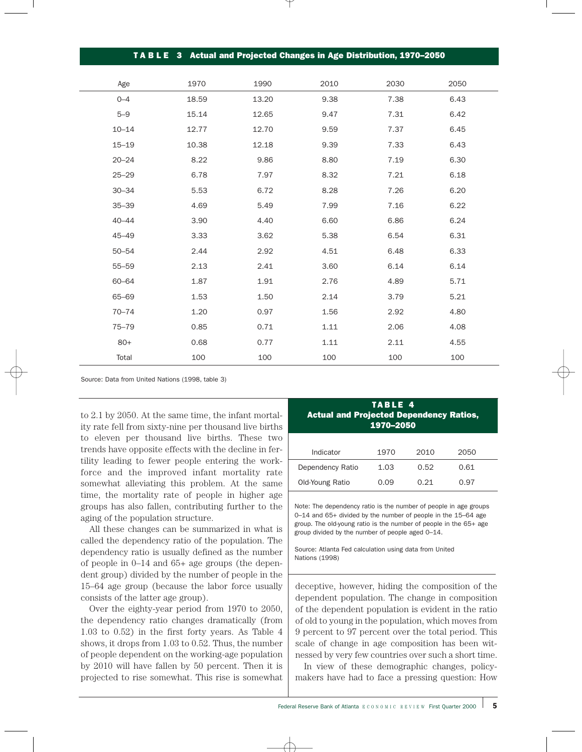|           |       |       | TABLE 3 Actual and Projected Changes in Age Distribution, 1970–2050 |      |      |
|-----------|-------|-------|---------------------------------------------------------------------|------|------|
|           |       |       |                                                                     |      |      |
| Age       | 1970  | 1990  | 2010                                                                | 2030 | 2050 |
| $0 - 4$   | 18.59 | 13.20 | 9.38                                                                | 7.38 | 6.43 |
| $5 - 9$   | 15.14 | 12.65 | 9.47                                                                | 7.31 | 6.42 |
| $10 - 14$ | 12.77 | 12.70 | 9.59                                                                | 7.37 | 6.45 |
| $15 - 19$ | 10.38 | 12.18 | 9.39                                                                | 7.33 | 6.43 |
| $20 - 24$ | 8.22  | 9.86  | 8.80                                                                | 7.19 | 6.30 |
| $25 - 29$ | 6.78  | 7.97  | 8.32                                                                | 7.21 | 6.18 |
| $30 - 34$ | 5.53  | 6.72  | 8.28                                                                | 7.26 | 6.20 |
| $35 - 39$ | 4.69  | 5.49  | 7.99                                                                | 7.16 | 6.22 |
| $40 - 44$ | 3.90  | 4.40  | 6.60                                                                | 6.86 | 6.24 |
| $45 - 49$ | 3.33  | 3.62  | 5.38                                                                | 6.54 | 6.31 |
| $50 - 54$ | 2.44  | 2.92  | 4.51                                                                | 6.48 | 6.33 |
| $55 - 59$ | 2.13  | 2.41  | 3.60                                                                | 6.14 | 6.14 |
| $60 - 64$ | 1.87  | 1.91  | 2.76                                                                | 4.89 | 5.71 |
| 65-69     | 1.53  | 1.50  | 2.14                                                                | 3.79 | 5.21 |
| $70 - 74$ | 1.20  | 0.97  | 1.56                                                                | 2.92 | 4.80 |
| $75 - 79$ | 0.85  | 0.71  | 1.11                                                                | 2.06 | 4.08 |
| $80+$     | 0.68  | 0.77  | 1.11                                                                | 2.11 | 4.55 |
| Total     | 100   | 100   | 100                                                                 | 100  | 100  |

Source: Data from United Nations (1998, table 3)

to 2.1 by 2050. At the same time, the infant mortality rate fell from sixty-nine per thousand live births to eleven per thousand live births. These two trends have opposite effects with the decline in fertility leading to fewer people entering the workforce and the improved infant mortality rate somewhat alleviating this problem. At the same time, the mortality rate of people in higher age groups has also fallen, contributing further to the aging of the population structure.

All these changes can be summarized in what is called the dependency ratio of the population. The dependency ratio is usually defined as the number of people in 0–14 and 65+ age groups (the dependent group) divided by the number of people in the 15–64 age group (because the labor force usually consists of the latter age group).

Over the eighty-year period from 1970 to 2050, the dependency ratio changes dramatically (from 1.03 to 0.52) in the first forty years. As Table 4 shows, it drops from 1.03 to 0.52. Thus, the number of people dependent on the working-age population by 2010 will have fallen by 50 percent. Then it is projected to rise somewhat. This rise is somewhat

| TABLE 4<br><b>Actual and Projected Dependency Ratios,</b><br>1970-2050 |      |      |      |  |  |  |
|------------------------------------------------------------------------|------|------|------|--|--|--|
| Indicator<br>1970<br>2010<br>2050                                      |      |      |      |  |  |  |
| Dependency Ratio                                                       | 1.03 | 0.52 | 0.61 |  |  |  |
| Old-Young Ratio                                                        | 0.09 | O 21 | 0.97 |  |  |  |

Note: The dependency ratio is the number of people in age groups 0–14 and 65+ divided by the number of people in the 15–64 age group. The old-young ratio is the number of people in the 65+ age group divided by the number of people aged 0–14.

Source: Atlanta Fed calculation using data from United Nations (1998)

deceptive, however, hiding the composition of the dependent population. The change in composition of the dependent population is evident in the ratio of old to young in the population, which moves from 9 percent to 97 percent over the total period. This scale of change in age composition has been witnessed by very few countries over such a short time.

In view of these demographic changes, policymakers have had to face a pressing question: How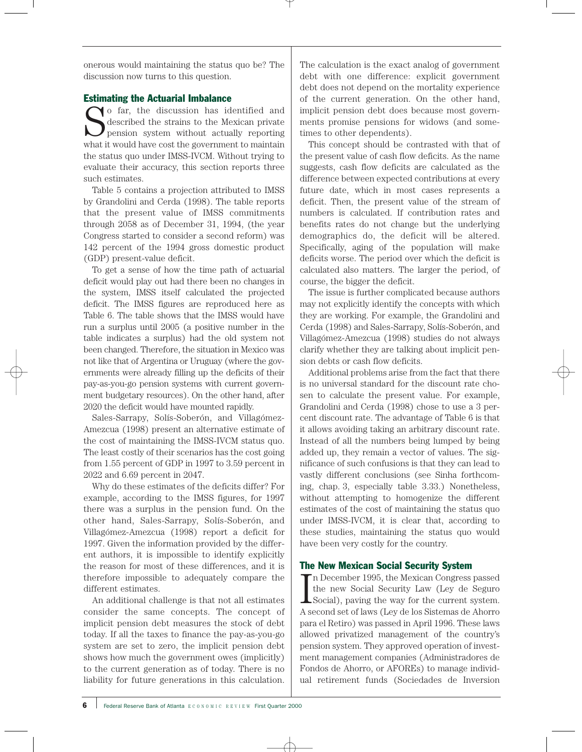onerous would maintaining the status quo be? The discussion now turns to this question.

# Estimating the Actuarial Imbalance

So far, the discussion has identified and described the strains to the Mexican private<br>pension system without actually reporting<br>what it would have cost the government to maintain described the strains to the Mexican private pension system without actually reporting what it would have cost the government to maintain the status quo under IMSS-IVCM. Without trying to evaluate their accuracy, this section reports three such estimates.

Table 5 contains a projection attributed to IMSS by Grandolini and Cerda (1998). The table reports that the present value of IMSS commitments through 2058 as of December 31, 1994, (the year Congress started to consider a second reform) was 142 percent of the 1994 gross domestic product (GDP) present-value deficit.

To get a sense of how the time path of actuarial deficit would play out had there been no changes in the system, IMSS itself calculated the projected deficit. The IMSS figures are reproduced here as Table 6. The table shows that the IMSS would have run a surplus until 2005 (a positive number in the table indicates a surplus) had the old system not been changed. Therefore, the situation in Mexico was not like that of Argentina or Uruguay (where the governments were already filling up the deficits of their pay-as-you-go pension systems with current government budgetary resources). On the other hand, after 2020 the deficit would have mounted rapidly.

Sales-Sarrapy, Solís-Soberón, and Villagómez-Amezcua (1998) present an alternative estimate of the cost of maintaining the IMSS-IVCM status quo. The least costly of their scenarios has the cost going from 1.55 percent of GDP in 1997 to 3.59 percent in 2022 and 6.69 percent in 2047.

Why do these estimates of the deficits differ? For example, according to the IMSS figures, for 1997 there was a surplus in the pension fund. On the other hand, Sales-Sarrapy, Solís-Soberón, and Villagómez-Amezcua (1998) report a deficit for 1997. Given the information provided by the different authors, it is impossible to identify explicitly the reason for most of these differences, and it is therefore impossible to adequately compare the different estimates.

An additional challenge is that not all estimates consider the same concepts. The concept of implicit pension debt measures the stock of debt today. If all the taxes to finance the pay-as-you-go system are set to zero, the implicit pension debt shows how much the government owes (implicitly) to the current generation as of today. There is no liability for future generations in this calculation.

The calculation is the exact analog of government debt with one difference: explicit government debt does not depend on the mortality experience of the current generation. On the other hand, implicit pension debt does because most governments promise pensions for widows (and sometimes to other dependents).

This concept should be contrasted with that of the present value of cash flow deficits. As the name suggests, cash flow deficits are calculated as the difference between expected contributions at every future date, which in most cases represents a deficit. Then, the present value of the stream of numbers is calculated. If contribution rates and benefits rates do not change but the underlying demographics do, the deficit will be altered. Specifically, aging of the population will make deficits worse. The period over which the deficit is calculated also matters. The larger the period, of course, the bigger the deficit.

The issue is further complicated because authors may not explicitly identify the concepts with which they are working. For example, the Grandolini and Cerda (1998) and Sales-Sarrapy, Solís-Soberón, and Villagómez-Amezcua (1998) studies do not always clarify whether they are talking about implicit pension debts or cash flow deficits.

Additional problems arise from the fact that there is no universal standard for the discount rate chosen to calculate the present value. For example, Grandolini and Cerda (1998) chose to use a 3 percent discount rate. The advantage of Table 6 is that it allows avoiding taking an arbitrary discount rate. Instead of all the numbers being lumped by being added up, they remain a vector of values. The significance of such confusions is that they can lead to vastly different conclusions (see Sinha forthcoming, chap. 3, especially table 3.33.) Nonetheless, without attempting to homogenize the different estimates of the cost of maintaining the status quo under IMSS-IVCM, it is clear that, according to these studies, maintaining the status quo would have been very costly for the country.

# The New Mexican Social Security System

In December 1995, the Mexican Congress passed<br>the new Social Security Law (Ley de Seguro<br>Social), paving the way for the current system. n December 1995, the Mexican Congress passed the new Social Security Law (Ley de Seguro A second set of laws (Ley de los Sistemas de Ahorro para el Retiro) was passed in April 1996. These laws allowed privatized management of the country's pension system. They approved operation of investment management companies (Administradores de Fondos de Ahorro, or AFOREs) to manage individual retirement funds (Sociedades de Inversion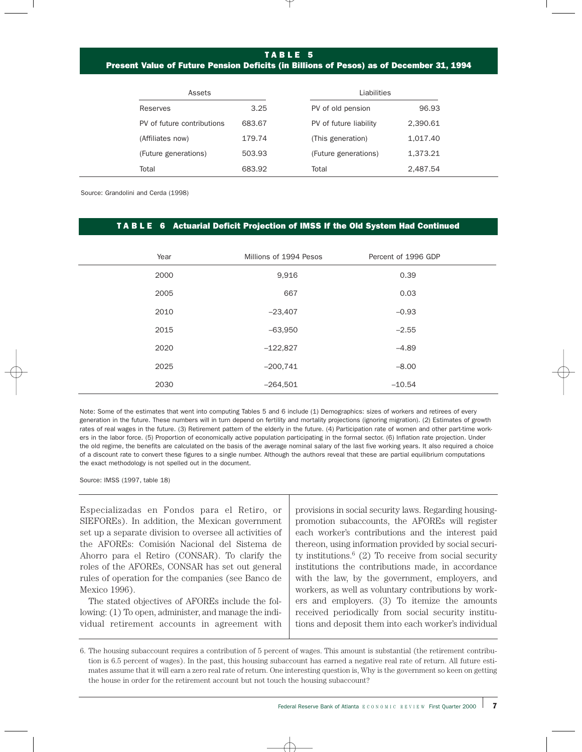# TABLE 5

# Present Value of Future Pension Deficits (in Billions of Pesos) as of December 31, 1994

| Assets                     |        | Liabilities            |          |  |
|----------------------------|--------|------------------------|----------|--|
| Reserves                   | 3.25   | PV of old pension      | 96.93    |  |
| PV of future contributions | 683.67 | PV of future liability | 2.390.61 |  |
| (Affiliates now)           | 179.74 | (This generation)      | 1.017.40 |  |
| (Future generations)       | 503.93 | (Future generations)   | 1.373.21 |  |
| Total                      | 683.92 | Total                  | 2.487.54 |  |

Source: Grandolini and Cerda (1998)

### T A B L E 6 Actuarial Deficit Projection of IMSS If the Old System Had Continued

| Year | Millions of 1994 Pesos | Percent of 1996 GDP |
|------|------------------------|---------------------|
| 2000 | 9,916                  | 0.39                |
| 2005 | 667                    | 0.03                |
| 2010 | $-23,407$              | $-0.93$             |
| 2015 | $-63,950$              | $-2.55$             |
| 2020 | $-122,827$             | $-4.89$             |
| 2025 | $-200,741$             | $-8.00$             |
| 2030 | $-264,501$             | $-10.54$            |

Note: Some of the estimates that went into computing Tables 5 and 6 include (1) Demographics: sizes of workers and retirees of every generation in the future. These numbers will in turn depend on fertility and mortality projections (ignoring migration). (2) Estimates of growth rates of real wages in the future. (3) Retirement pattern of the elderly in the future. (4) Participation rate of women and other part-time workers in the labor force. (5) Proportion of economically active population participating in the formal sector. (6) Inflation rate projection. Under the old regime, the benefits are calculated on the basis of the average nominal salary of the last five working years. It also required a choice of a discount rate to convert these figures to a single number. Although the authors reveal that these are partial equilibrium computations the exact methodology is not spelled out in the document.

Source: IMSS (1997, table 18)

| Especializadas en Fondos para el Retiro, or             | provisions in social security laws. Regarding housing-            |
|---------------------------------------------------------|-------------------------------------------------------------------|
| SIEFOREs). In addition, the Mexican government          | promotion subaccounts, the AFOREs will register                   |
| set up a separate division to oversee all activities of | each worker's contributions and the interest paid                 |
| the AFOREs: Comisión Nacional del Sistema de            | thereon, using information provided by social securi-             |
| Ahorro para el Retiro (CONSAR). To clarify the          | ty institutions. <sup>6</sup> (2) To receive from social security |
| roles of the AFOREs, CONSAR has set out general         | institutions the contributions made, in accordance                |
| rules of operation for the companies (see Banco de      | with the law, by the government, employers, and                   |
| Mexico 1996).                                           | workers, as well as voluntary contributions by work-              |
| The stated objectives of AFOREs include the fol-        | $ers$ and employers. $(3)$ To itemize the amounts                 |
| lowing: (1) To open, administer, and manage the indi-   | received periodically from social security institu-               |
| vidual retirement accounts in agreement with            | tions and deposit them into each worker's individual              |
|                                                         |                                                                   |

<sup>6.</sup> The housing subaccount requires a contribution of 5 percent of wages. This amount is substantial (the retirement contribution is 6.5 percent of wages). In the past, this housing subaccount has earned a negative real rate of return. All future estimates assume that it will earn a zero real rate of return. One interesting question is, Why is the government so keen on getting the house in order for the retirement account but not touch the housing subaccount?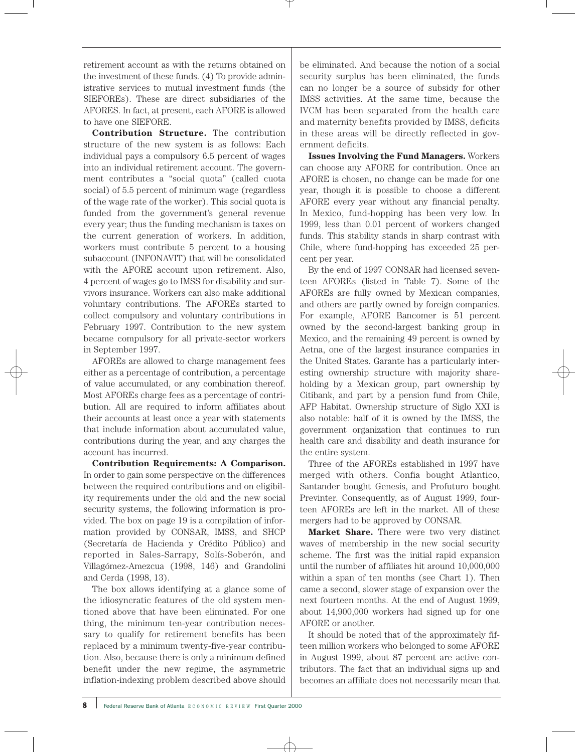retirement account as with the returns obtained on the investment of these funds. (4) To provide administrative services to mutual investment funds (the SIEFOREs). These are direct subsidiaries of the AFORES. In fact, at present, each AFORE is allowed to have one SIEFORE.

**Contribution Structure.** The contribution structure of the new system is as follows: Each individual pays a compulsory 6.5 percent of wages into an individual retirement account. The government contributes a "social quota" (called cuota social) of 5.5 percent of minimum wage (regardless of the wage rate of the worker). This social quota is funded from the government's general revenue every year; thus the funding mechanism is taxes on the current generation of workers. In addition, workers must contribute 5 percent to a housing subaccount (INFONAVIT) that will be consolidated with the AFORE account upon retirement. Also, 4 percent of wages go to IMSS for disability and survivors insurance. Workers can also make additional voluntary contributions. The AFOREs started to collect compulsory and voluntary contributions in February 1997. Contribution to the new system became compulsory for all private-sector workers in September 1997.

AFOREs are allowed to charge management fees either as a percentage of contribution, a percentage of value accumulated, or any combination thereof. Most AFOREs charge fees as a percentage of contribution. All are required to inform affiliates about their accounts at least once a year with statements that include information about accumulated value, contributions during the year, and any charges the account has incurred.

**Contribution Requirements: A Comparison.** In order to gain some perspective on the differences between the required contributions and on eligibility requirements under the old and the new social security systems, the following information is provided. The box on page 19 is a compilation of information provided by CONSAR, IMSS, and SHCP (Secretaría de Hacienda y Crédito Público) and reported in Sales-Sarrapy, Solís-Soberón, and Villagómez-Amezcua (1998, 146) and Grandolini and Cerda (1998, 13).

The box allows identifying at a glance some of the idiosyncratic features of the old system mentioned above that have been eliminated. For one thing, the minimum ten-year contribution necessary to qualify for retirement benefits has been replaced by a minimum twenty-five-year contribution. Also, because there is only a minimum defined benefit under the new regime, the asymmetric inflation-indexing problem described above should be eliminated. And because the notion of a social security surplus has been eliminated, the funds can no longer be a source of subsidy for other IMSS activities. At the same time, because the IVCM has been separated from the health care and maternity benefits provided by IMSS, deficits in these areas will be directly reflected in government deficits.

**Issues Involving the Fund Managers.** Workers can choose any AFORE for contribution. Once an AFORE is chosen, no change can be made for one year, though it is possible to choose a different AFORE every year without any financial penalty. In Mexico, fund-hopping has been very low. In 1999, less than 0.01 percent of workers changed funds. This stability stands in sharp contrast with Chile, where fund-hopping has exceeded 25 percent per year.

By the end of 1997 CONSAR had licensed seventeen AFOREs (listed in Table 7). Some of the AFOREs are fully owned by Mexican companies, and others are partly owned by foreign companies. For example, AFORE Bancomer is 51 percent owned by the second-largest banking group in Mexico, and the remaining 49 percent is owned by Aetna, one of the largest insurance companies in the United States. Garante has a particularly interesting ownership structure with majority shareholding by a Mexican group, part ownership by Citibank, and part by a pension fund from Chile, AFP Habitat. Ownership structure of Siglo XXI is also notable: half of it is owned by the IMSS, the government organization that continues to run health care and disability and death insurance for the entire system.

Three of the AFOREs established in 1997 have merged with others. Confia bought Atlantico, Santander bought Genesis, and Profuturo bought Previnter. Consequently, as of August 1999, fourteen AFOREs are left in the market. All of these mergers had to be approved by CONSAR.

**Market Share.** There were two very distinct waves of membership in the new social security scheme. The first was the initial rapid expansion until the number of affiliates hit around 10,000,000 within a span of ten months (see Chart 1). Then came a second, slower stage of expansion over the next fourteen months. At the end of August 1999, about 14,900,000 workers had signed up for one AFORE or another.

It should be noted that of the approximately fifteen million workers who belonged to some AFORE in August 1999, about 87 percent are active contributors. The fact that an individual signs up and becomes an affiliate does not necessarily mean that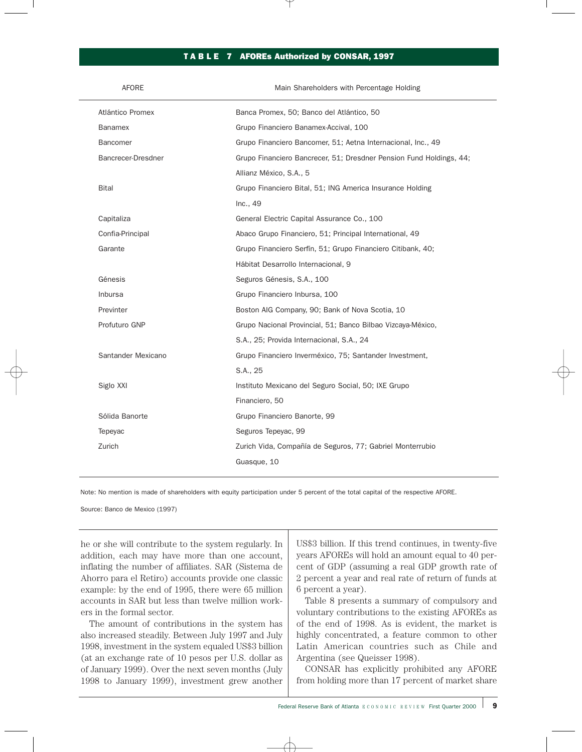### TA B L E 7 AFOREs Authorized by CONSAR, 1997

| <b>AFORE</b>       | Main Shareholders with Percentage Holding                           |
|--------------------|---------------------------------------------------------------------|
| Atlántico Promex   | Banca Promex, 50; Banco del Atlántico, 50                           |
| <b>Banamex</b>     | Grupo Financiero Banamex-Accival, 100                               |
| <b>Bancomer</b>    | Grupo Financiero Bancomer, 51; Aetna Internacional, Inc., 49        |
| Bancrecer-Dresdner | Grupo Financiero Bancrecer, 51; Dresdner Pension Fund Holdings, 44; |
|                    | Allianz México, S.A., 5                                             |
| <b>Bital</b>       | Grupo Financiero Bital, 51; ING America Insurance Holding           |
|                    | Inc., 49                                                            |
| Capitaliza         | General Electric Capital Assurance Co., 100                         |
| Confia-Principal   | Abaco Grupo Financiero, 51; Principal International, 49             |
| Garante            | Grupo Financiero Serfín, 51; Grupo Financiero Citibank, 40;         |
|                    | Hábitat Desarrollo Internacional, 9                                 |
| Génesis            | Seguros Génesis, S.A., 100                                          |
| Inbursa            | Grupo Financiero Inbursa, 100                                       |
| Previnter          | Boston AIG Company, 90; Bank of Nova Scotia, 10                     |
| Profuturo GNP      | Grupo Nacional Provincial, 51; Banco Bilbao Vizcaya-México,         |
|                    | S.A., 25; Provida Internacional, S.A., 24                           |
| Santander Mexicano | Grupo Financiero Inverméxico, 75; Santander Investment,             |
|                    | S.A., 25                                                            |
| Siglo XXI          | Instituto Mexicano del Seguro Social, 50; IXE Grupo                 |
|                    | Financiero, 50                                                      |
| Sólida Banorte     | Grupo Financiero Banorte, 99                                        |
| Tepeyac            | Seguros Tepeyac, 99                                                 |
| Zurich             | Zurich Vida, Compañía de Seguros, 77; Gabriel Monterrubio           |
|                    | Guasque, 10                                                         |
|                    |                                                                     |

Note: No mention is made of shareholders with equity participation under 5 percent of the total capital of the respective AFORE.

Source: Banco de Mexico (1997)

he or she will contribute to the system regularly. In addition, each may have more than one account, inflating the number of affiliates. SAR (Sistema de Ahorro para el Retiro) accounts provide one classic example: by the end of 1995, there were 65 million accounts in SAR but less than twelve million workers in the formal sector.

The amount of contributions in the system has also increased steadily. Between July 1997 and July 1998, investment in the system equaled US\$3 billion (at an exchange rate of 10 pesos per U.S. dollar as of January 1999). Over the next seven months (July 1998 to January 1999), investment grew another US\$3 billion. If this trend continues, in twenty-five years AFOREs will hold an amount equal to 40 percent of GDP (assuming a real GDP growth rate of 2 percent a year and real rate of return of funds at 6 percent a year).

Table 8 presents a summary of compulsory and voluntary contributions to the existing AFOREs as of the end of 1998. As is evident, the market is highly concentrated, a feature common to other Latin American countries such as Chile and Argentina (see Queisser 1998).

CONSAR has explicitly prohibited any AFORE from holding more than 17 percent of market share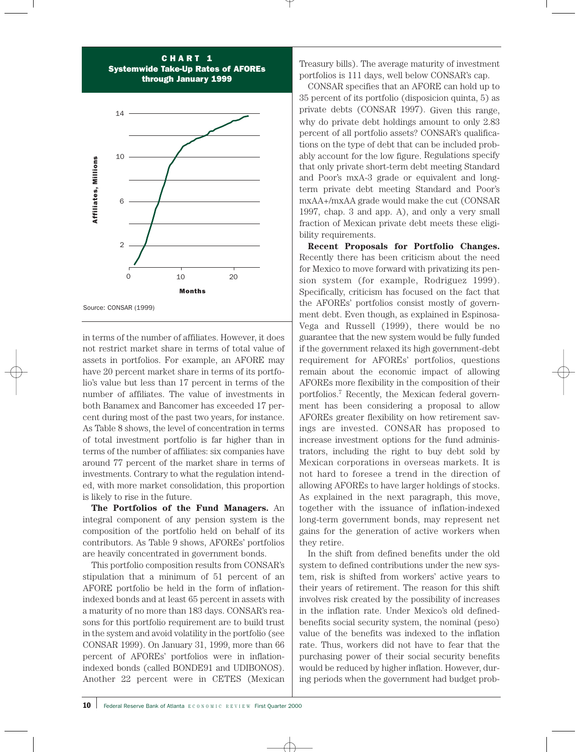



in terms of the number of affiliates. However, it does not restrict market share in terms of total value of assets in portfolios. For example, an AFORE may have 20 percent market share in terms of its portfolio's value but less than 17 percent in terms of the number of affiliates. The value of investments in both Banamex and Bancomer has exceeded 17 percent during most of the past two years, for instance. As Table 8 shows, the level of concentration in terms of total investment portfolio is far higher than in terms of the number of affiliates: six companies have around 77 percent of the market share in terms of investments. Contrary to what the regulation intended, with more market consolidation, this proportion is likely to rise in the future.

**The Portfolios of the Fund Managers.** An integral component of any pension system is the composition of the portfolio held on behalf of its contributors. As Table 9 shows, AFOREs' portfolios are heavily concentrated in government bonds.

This portfolio composition results from CONSAR's stipulation that a minimum of 51 percent of an AFORE portfolio be held in the form of inflationindexed bonds and at least 65 percent in assets with a maturity of no more than 183 days. CONSAR's reasons for this portfolio requirement are to build trust in the system and avoid volatility in the portfolio (see CONSAR 1999). On January 31, 1999, more than 66 percent of AFOREs' portfolios were in inflationindexed bonds (called BONDE91 and UDIBONOS). Another 22 percent were in CETES (Mexican

Treasury bills). The average maturity of investment portfolios is 111 days, well below CONSAR's cap.

CONSAR specifies that an AFORE can hold up to 35 percent of its portfolio (disposicion quinta, 5) as private debts (CONSAR 1997). Given this range, why do private debt holdings amount to only 2.83 percent of all portfolio assets? CONSAR's qualifications on the type of debt that can be included probably account for the low figure. Regulations specify that only private short-term debt meeting Standard and Poor's mxA-3 grade or equivalent and longterm private debt meeting Standard and Poor's mxAA+/mxAA grade would make the cut (CONSAR 1997, chap. 3 and app. A), and only a very small fraction of Mexican private debt meets these eligibility requirements.

**Recent Proposals for Portfolio Changes.** Recently there has been criticism about the need for Mexico to move forward with privatizing its pension system (for example, Rodriguez 1999). Specifically, criticism has focused on the fact that the AFOREs' portfolios consist mostly of government debt. Even though, as explained in Espinosa-Vega and Russell (1999), there would be no guarantee that the new system would be fully funded if the government relaxed its high government-debt requirement for AFOREs' portfolios, questions remain about the economic impact of allowing AFOREs more flexibility in the composition of their portfolios.7 Recently, the Mexican federal government has been considering a proposal to allow AFOREs greater flexibility on how retirement savings are invested. CONSAR has proposed to increase investment options for the fund administrators, including the right to buy debt sold by Mexican corporations in overseas markets. It is not hard to foresee a trend in the direction of allowing AFOREs to have larger holdings of stocks. As explained in the next paragraph, this move, together with the issuance of inflation-indexed long-term government bonds, may represent net gains for the generation of active workers when they retire.

In the shift from defined benefits under the old system to defined contributions under the new system, risk is shifted from workers' active years to their years of retirement. The reason for this shift involves risk created by the possibility of increases in the inflation rate. Under Mexico's old definedbenefits social security system, the nominal (peso) value of the benefits was indexed to the inflation rate. Thus, workers did not have to fear that the purchasing power of their social security benefits would be reduced by higher inflation. However, during periods when the government had budget prob-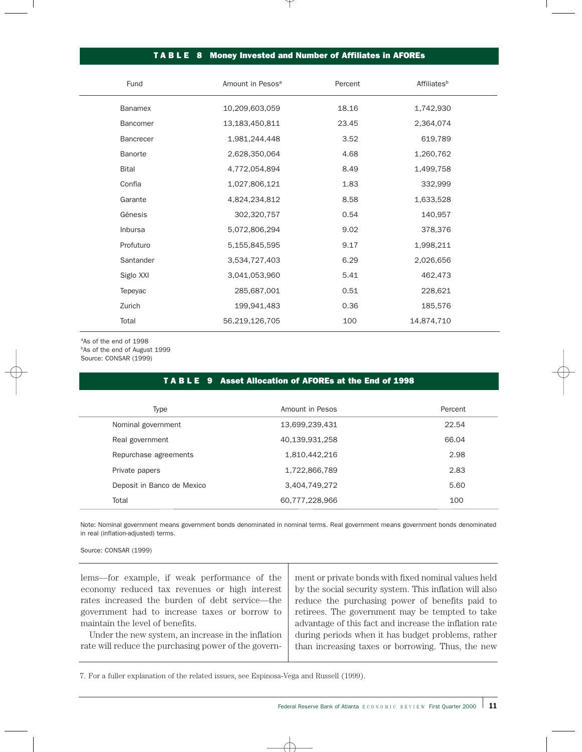# TABLE 8 Money Invested and Number of Affiliates in AFOREs

| Fund             | Percent<br>Amount in Pesos <sup>a</sup> |       | <b>Affiliates</b> <sup>b</sup> |  |  |
|------------------|-----------------------------------------|-------|--------------------------------|--|--|
| Banamex          | 10,209,603,059                          | 18.16 | 1,742,930                      |  |  |
| Bancomer         | 13,183,450,811                          | 23.45 | 2,364,074                      |  |  |
| <b>Bancrecer</b> | 1,981,244,448                           | 3.52  | 619,789                        |  |  |
| Banorte          | 2,628,350,064                           | 4.68  | 1,260,762                      |  |  |
| <b>Bital</b>     | 4,772,054,894                           | 8.49  | 1,499,758                      |  |  |
| Confía           | 1,027,806,121                           | 1.83  | 332,999                        |  |  |
| Garante          | 4,824,234,812                           | 8.58  | 1,633,528                      |  |  |
| Génesis          | 302,320,757                             | 0.54  | 140,957                        |  |  |
| Inbursa          | 5,072,806,294                           | 9.02  | 378,376                        |  |  |
| Profuturo        | 5,155,845,595                           | 9.17  | 1,998,211                      |  |  |
| Santander        | 3,534,727,403                           | 6.29  | 2,026,656                      |  |  |
| Siglo XXI        | 3,041,053,960                           | 5.41  | 462,473                        |  |  |
| Tepeyac          | 285,687,001                             | 0.51  | 228,621                        |  |  |
| Zurich           | 199,941,483                             | 0.36  | 185,576                        |  |  |
| Total            | 56,219,126,705                          | 100   | 14,874,710                     |  |  |

aAs of the end of 1998 bAs of the end of August 1999 Source: CONSAR (1999)

## T A B L E 9 Asset Allocation of AFOREs at the End of 1998

| Type                       | Amount in Pesos | Percent |
|----------------------------|-----------------|---------|
| Nominal government         | 13,699,239,431  | 22.54   |
| Real government            | 40,139,931,258  | 66.04   |
| Repurchase agreements      | 1,810,442,216   | 2.98    |
| Private papers             | 1,722,866,789   | 2.83    |
| Deposit in Banco de Mexico | 3,404,749,272   | 5.60    |
| Total                      | 60,777,228,966  | 100     |

Note: Nominal government means government bonds denominated in nominal terms. Real government means government bonds denominated in real (inflation-adjusted) terms.

Source: CONSAR (1999)

lems—for example, if weak performance of the economy reduced tax revenues or high interest rates increased the burden of debt service—the government had to increase taxes or borrow to maintain the level of benefits.

Under the new system, an increase in the inflation rate will reduce the purchasing power of the government or private bonds with fixed nominal values held by the social security system. This inflation will also reduce the purchasing power of benefits paid to retirees. The government may be tempted to take advantage of this fact and increase the inflation rate during periods when it has budget problems, rather than increasing taxes or borrowing. Thus, the new

7. For a fuller explanation of the related issues, see Espinosa-Vega and Russell (1999).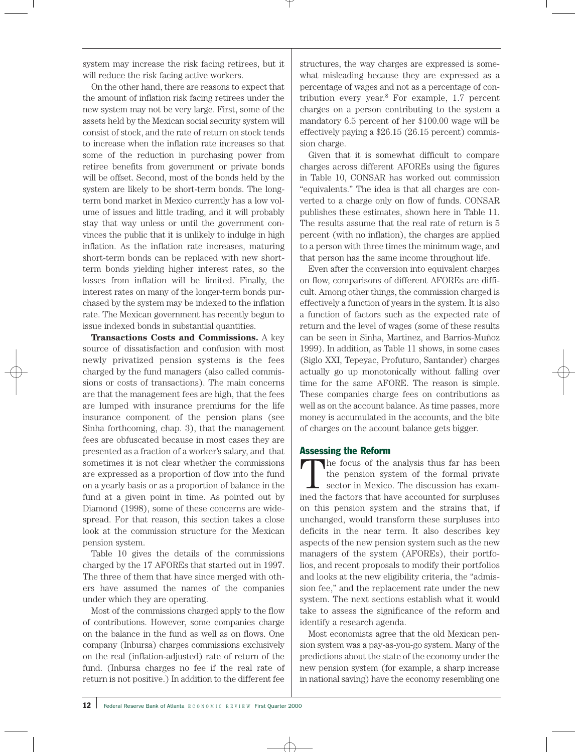system may increase the risk facing retirees, but it will reduce the risk facing active workers.

On the other hand, there are reasons to expect that the amount of inflation risk facing retirees under the new system may not be very large. First, some of the assets held by the Mexican social security system will consist of stock, and the rate of return on stock tends to increase when the inflation rate increases so that some of the reduction in purchasing power from retiree benefits from government or private bonds will be offset. Second, most of the bonds held by the system are likely to be short-term bonds. The longterm bond market in Mexico currently has a low volume of issues and little trading, and it will probably stay that way unless or until the government convinces the public that it is unlikely to indulge in high inflation. As the inflation rate increases, maturing short-term bonds can be replaced with new shortterm bonds yielding higher interest rates, so the losses from inflation will be limited. Finally, the interest rates on many of the longer-term bonds purchased by the system may be indexed to the inflation rate. The Mexican government has recently begun to issue indexed bonds in substantial quantities.

**Transactions Costs and Commissions.** A key source of dissatisfaction and confusion with most newly privatized pension systems is the fees charged by the fund managers (also called commissions or costs of transactions). The main concerns are that the management fees are high, that the fees are lumped with insurance premiums for the life insurance component of the pension plans (see Sinha forthcoming, chap. 3), that the management fees are obfuscated because in most cases they are presented as a fraction of a worker's salary, and that sometimes it is not clear whether the commissions are expressed as a proportion of flow into the fund on a yearly basis or as a proportion of balance in the fund at a given point in time. As pointed out by Diamond (1998), some of these concerns are widespread. For that reason, this section takes a close look at the commission structure for the Mexican pension system.

Table 10 gives the details of the commissions charged by the 17 AFOREs that started out in 1997. The three of them that have since merged with others have assumed the names of the companies under which they are operating.

Most of the commissions charged apply to the flow of contributions. However, some companies charge on the balance in the fund as well as on flows. One company (Inbursa) charges commissions exclusively on the real (inflation-adjusted) rate of return of the fund. (Inbursa charges no fee if the real rate of return is not positive.) In addition to the different fee

structures, the way charges are expressed is somewhat misleading because they are expressed as a percentage of wages and not as a percentage of contribution every year. $8$  For example, 1.7 percent charges on a person contributing to the system a mandatory 6.5 percent of her \$100.00 wage will be effectively paying a \$26.15 (26.15 percent) commission charge.

Given that it is somewhat difficult to compare charges across different AFOREs using the figures in Table 10, CONSAR has worked out commission "equivalents." The idea is that all charges are converted to a charge only on flow of funds. CONSAR publishes these estimates, shown here in Table 11. The results assume that the real rate of return is 5 percent (with no inflation), the charges are applied to a person with three times the minimum wage, and that person has the same income throughout life.

Even after the conversion into equivalent charges on flow, comparisons of different AFOREs are difficult. Among other things, the commission charged is effectively a function of years in the system. It is also a function of factors such as the expected rate of return and the level of wages (some of these results can be seen in Sinha, Martinez, and Barrios-Muñoz 1999). In addition, as Table 11 shows, in some cases (Siglo XXI, Tepeyac, Profuturo, Santander) charges actually go up monotonically without falling over time for the same AFORE. The reason is simple. These companies charge fees on contributions as well as on the account balance. As time passes, more money is accumulated in the accounts, and the bite of charges on the account balance gets bigger.

## Assessing the Reform

The focus of the analysis thus far has been the pension system of the formal private sector in Mexico. The discussion has examined the factors that have accounted for surpluses on this pension system and the strains that, if unchanged, would transform these surpluses into deficits in the near term. It also describes key aspects of the new pension system such as the new managers of the system (AFOREs), their portfolios, and recent proposals to modify their portfolios and looks at the new eligibility criteria, the "admission fee," and the replacement rate under the new system. The next sections establish what it would take to assess the significance of the reform and identify a research agenda.

Most economists agree that the old Mexican pension system was a pay-as-you-go system. Many of the predictions about the state of the economy under the new pension system (for example, a sharp increase in national saving) have the economy resembling one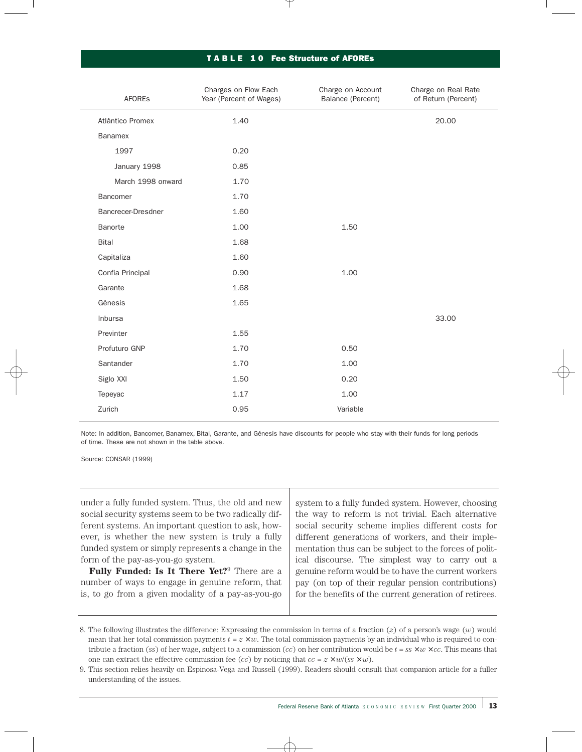### T A B L E 1 0 Fee Structure of AFOREs

| <b>AFORES</b>      | Charges on Flow Each<br>Year (Percent of Wages) | Charge on Account<br>Balance (Percent) | Charge on Real Rate<br>of Return (Percent) |
|--------------------|-------------------------------------------------|----------------------------------------|--------------------------------------------|
| Atlántico Promex   | 1.40                                            |                                        | 20.00                                      |
| Banamex            |                                                 |                                        |                                            |
| 1997               | 0.20                                            |                                        |                                            |
| January 1998       | 0.85                                            |                                        |                                            |
| March 1998 onward  | 1.70                                            |                                        |                                            |
| Bancomer           | 1.70                                            |                                        |                                            |
| Bancrecer-Dresdner | 1.60                                            |                                        |                                            |
| Banorte            | 1.00                                            | 1.50                                   |                                            |
| <b>Bital</b>       | 1.68                                            |                                        |                                            |
| Capitaliza         | 1.60                                            |                                        |                                            |
| Confia Principal   | 0.90                                            | 1.00                                   |                                            |
| Garante            | 1.68                                            |                                        |                                            |
| Génesis            | 1.65                                            |                                        |                                            |
| Inbursa            |                                                 |                                        | 33.00                                      |
| Previnter          | 1.55                                            |                                        |                                            |
| Profuturo GNP      | 1.70                                            | 0.50                                   |                                            |
| Santander          | 1.70                                            | 1.00                                   |                                            |
| Siglo XXI          | 1.50                                            | 0.20                                   |                                            |
| Tepeyac            | 1.17                                            | 1.00                                   |                                            |
| Zurich             | 0.95                                            | Variable                               |                                            |
|                    |                                                 |                                        |                                            |

Note: In addition, Bancomer, Banamex, Bital, Garante, and Génesis have discounts for people who stay with their funds for long periods of time. These are not shown in the table above.

Source: CONSAR (1999)

under a fully funded system. Thus, the old and new social security systems seem to be two radically different systems. An important question to ask, however, is whether the new system is truly a fully funded system or simply represents a change in the form of the pay-as-you-go system.

**Fully Funded: Is It There Yet?**<sup>9</sup> There are a number of ways to engage in genuine reform, that is, to go from a given modality of a pay-as-you-go system to a fully funded system. However, choosing the way to reform is not trivial. Each alternative social security scheme implies different costs for different generations of workers, and their implementation thus can be subject to the forces of political discourse. The simplest way to carry out a genuine reform would be to have the current workers pay (on top of their regular pension contributions) for the benefits of the current generation of retirees.

<sup>8.</sup> The following illustrates the difference: Expressing the commission in terms of a fraction (*z*) of a person's wage (*w*) would mean that her total commission payments  $t = z \times w$ . The total commission payments by an individual who is required to contribute a fraction (*ss*) of her wage, subject to a commission (*cc*) on her contribution would be  $t = ss \times w \times cc$ . This means that one can extract the effective commission fee (*cc*) by noticing that  $cc = z \times w/(ss \times w)$ .

<sup>9.</sup> This section relies heavily on Espinosa-Vega and Russell (1999). Readers should consult that companion article for a fuller understanding of the issues.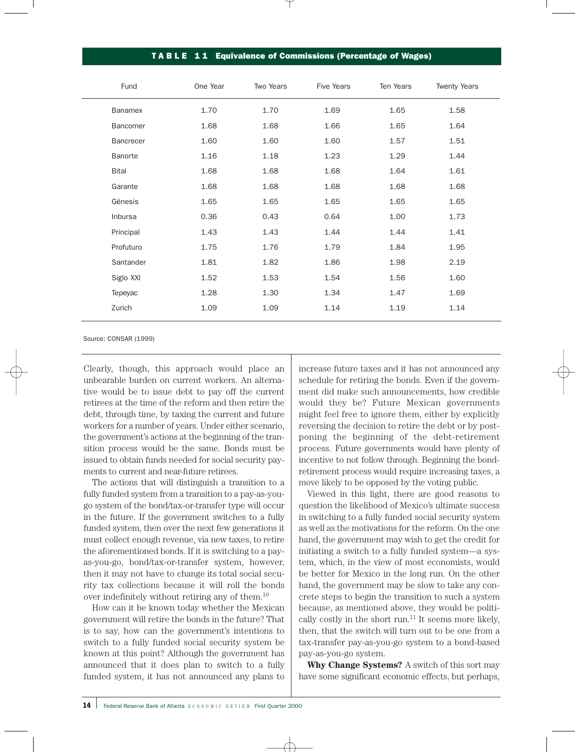### TA B L E 11 Equivalence of Commissions (Percentage of Wages)

| Fund             | One Year | Two Years | Five Years | Ten Years | <b>Twenty Years</b> |
|------------------|----------|-----------|------------|-----------|---------------------|
| <b>Banamex</b>   | 1.70     | 1.70      | 1.69       | 1.65      | 1.58                |
| Bancomer         | 1.68     | 1.68      | 1.66       | 1.65      | 1.64                |
| <b>Bancrecer</b> | 1.60     | 1.60      | 1.60       | 1.57      | 1.51                |
| Banorte          | 1.16     | 1.18      | 1.23       | 1.29      | 1.44                |
| <b>Bital</b>     | 1.68     | 1.68      | 1.68       | 1.64      | 1.61                |
| Garante          | 1.68     | 1.68      | 1.68       | 1.68      | 1.68                |
| Génesis          | 1.65     | 1.65      | 1.65       | 1.65      | 1.65                |
| Inbursa          | 0.36     | 0.43      | 0.64       | 1.00      | 1.73                |
| Principal        | 1.43     | 1.43      | 1.44       | 1.44      | 1.41                |
| Profuturo        | 1.75     | 1.76      | 1.79       | 1.84      | 1.95                |
| Santander        | 1.81     | 1.82      | 1.86       | 1.98      | 2.19                |
| Siglo XXI        | 1.52     | 1.53      | 1.54       | 1.56      | 1.60                |
| Tepeyac          | 1.28     | 1.30      | 1.34       | 1.47      | 1.69                |
| Zurich           | 1.09     | 1.09      | 1.14       | 1.19      | 1.14                |
|                  |          |           |            |           |                     |

Source: CONSAR (1999)

Clearly, though, this approach would place an unbearable burden on current workers. An alternative would be to issue debt to pay off the current retirees at the time of the reform and then retire the debt, through time, by taxing the current and future workers for a number of years. Under either scenario, the government's actions at the beginning of the transition process would be the same. Bonds must be issued to obtain funds needed for social security payments to current and near-future retirees.

The actions that will distinguish a transition to a fully funded system from a transition to a pay-as-yougo system of the bond/tax-or-transfer type will occur in the future. If the government switches to a fully funded system, then over the next few generations it must collect enough revenue, via new taxes, to retire the aforementioned bonds. If it is switching to a payas-you-go, bond/tax-or-transfer system, however, then it may not have to change its total social security tax collections because it will roll the bonds over indefinitely without retiring any of them.10

How can it be known today whether the Mexican government will retire the bonds in the future? That is to say, how can the government's intentions to switch to a fully funded social security system be known at this point? Although the government has announced that it does plan to switch to a fully funded system, it has not announced any plans to

increase future taxes and it has not announced any schedule for retiring the bonds. Even if the government did make such announcements, how credible would they be? Future Mexican governments might feel free to ignore them, either by explicitly reversing the decision to retire the debt or by postponing the beginning of the debt-retirement process. Future governments would have plenty of incentive to not follow through. Beginning the bondretirement process would require increasing taxes, a move likely to be opposed by the voting public.

Viewed in this light, there are good reasons to question the likelihood of Mexico's ultimate success in switching to a fully funded social security system as well as the motivations for the reform. On the one hand, the government may wish to get the credit for initiating a switch to a fully funded system—a system, which, in the view of most economists, would be better for Mexico in the long run. On the other hand, the government may be slow to take any concrete steps to begin the transition to such a system because, as mentioned above, they would be politically costly in the short run. $11$  It seems more likely, then, that the switch will turn out to be one from a tax-transfer pay-as-you-go system to a bond-based pay-as-you-go system.

**Why Change Systems?** A switch of this sort may have some significant economic effects, but perhaps,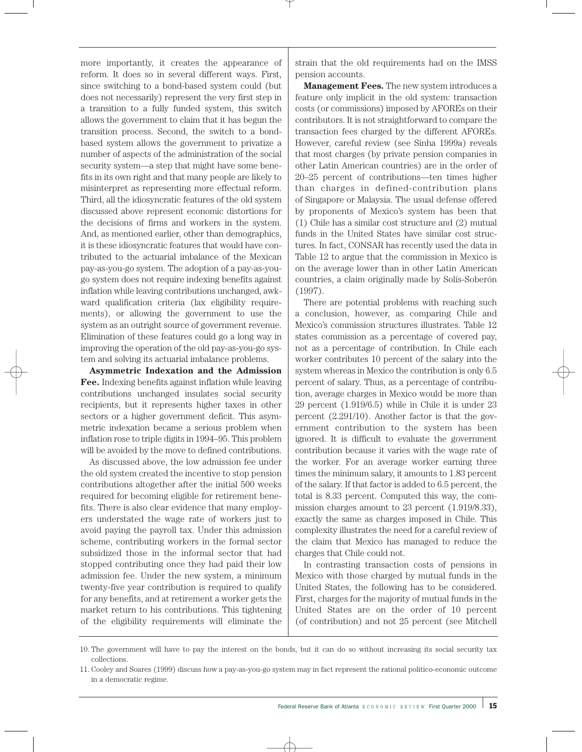more importantly, it creates the appearance of reform. It does so in several different ways. First, since switching to a bond-based system could (but does not necessarily) represent the very first step in a transition to a fully funded system, this switch allows the government to claim that it has begun the transition process. Second, the switch to a bondbased system allows the government to privatize a number of aspects of the administration of the social security system—a step that might have some benefits in its own right and that many people are likely to misinterpret as representing more effectual reform. Third, all the idiosyncratic features of the old system discussed above represent economic distortions for the decisions of firms and workers in the system. And, as mentioned earlier, other than demographics, it is these idiosyncratic features that would have contributed to the actuarial imbalance of the Mexican pay-as-you-go system. The adoption of a pay-as-yougo system does not require indexing benefits against inflation while leaving contributions unchanged, awkward qualification criteria (lax eligibility requirements), or allowing the government to use the system as an outright source of government revenue. Elimination of these features could go a long way in improving the operation of the old pay-as-you-go system and solving its actuarial imbalance problems.

**Asymmetric Indexation and the Admission Fee.** Indexing benefits against inflation while leaving contributions unchanged insulates social security recipients, but it represents higher taxes in other sectors or a higher government deficit. This asymmetric indexation became a serious problem when inflation rose to triple digits in 1994–95. This problem will be avoided by the move to defined contributions.

As discussed above, the low admission fee under the old system created the incentive to stop pension contributions altogether after the initial 500 weeks required for becoming eligible for retirement benefits. There is also clear evidence that many employers understated the wage rate of workers just to avoid paying the payroll tax. Under this admission scheme, contributing workers in the formal sector subsidized those in the informal sector that had stopped contributing once they had paid their low admission fee. Under the new system, a minimum twenty-five year contribution is required to qualify for any benefits, and at retirement a worker gets the market return to his contributions. This tightening of the eligibility requirements will eliminate the

strain that the old requirements had on the IMSS pension accounts.

**Management Fees.** The new system introduces a feature only implicit in the old system: transaction costs (or commissions) imposed by AFOREs on their contributors. It is not straightforward to compare the transaction fees charged by the different AFOREs. However, careful review (see Sinha 1999a) reveals that most charges (by private pension companies in other Latin American countries) are in the order of 20–25 percent of contributions—ten times higher than charges in defined-contribution plans of Singapore or Malaysia. The usual defense offered by proponents of Mexico's system has been that (1) Chile has a similar cost structure and (2) mutual funds in the United States have similar cost structures. In fact, CONSAR has recently used the data in Table 12 to argue that the commission in Mexico is on the average lower than in other Latin American countries, a claim originally made by Solís-Soberón (1997).

There are potential problems with reaching such a conclusion, however, as comparing Chile and Mexico's commission structures illustrates. Table 12 states commission as a percentage of covered pay, not as a percentage of contribution. In Chile each worker contributes 10 percent of the salary into the system whereas in Mexico the contribution is only 6.5 percent of salary. Thus, as a percentage of contribution, average charges in Mexico would be more than 29 percent (1.919/6.5) while in Chile it is under 23 percent (2.291/10). Another factor is that the government contribution to the system has been ignored. It is difficult to evaluate the government contribution because it varies with the wage rate of the worker. For an average worker earning three times the minimum salary, it amounts to 1.83 percent of the salary. If that factor is added to 6.5 percent, the total is 8.33 percent. Computed this way, the commission charges amount to 23 percent (1.919/8.33), exactly the same as charges imposed in Chile. This complexity illustrates the need for a careful review of the claim that Mexico has managed to reduce the charges that Chile could not.

In contrasting transaction costs of pensions in Mexico with those charged by mutual funds in the United States, the following has to be considered. First, charges for the majority of mutual funds in the United States are on the order of 10 percent (of contribution) and not 25 percent (see Mitchell

<sup>10.</sup> The government will have to pay the interest on the bonds, but it can do so without increasing its social security tax collections.

<sup>11.</sup> Cooley and Soares (1999) discuss how a pay-as-you-go system may in fact represent the rational politico-economic outcome in a democratic regime.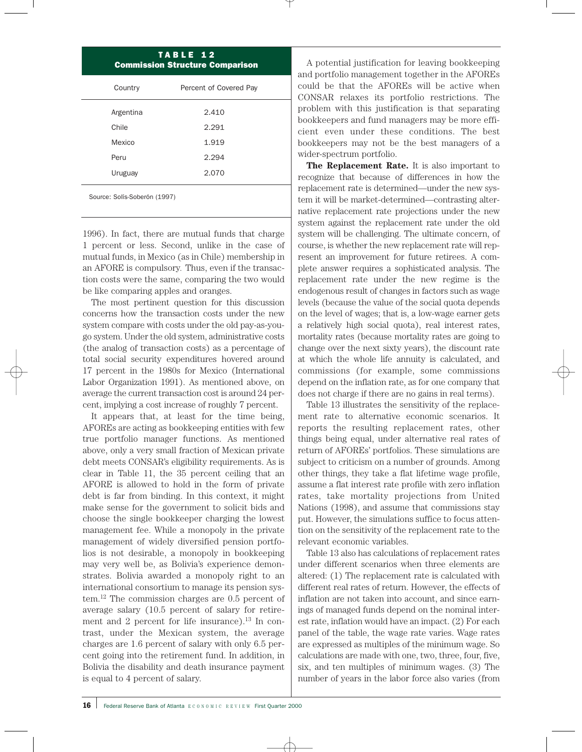| TABLE 12<br><b>Commission Structure Comparison</b> |                        |  |  |  |
|----------------------------------------------------|------------------------|--|--|--|
| Country                                            | Percent of Covered Pay |  |  |  |
| Argentina                                          | 2.410                  |  |  |  |
| Chile                                              | 2.291                  |  |  |  |
| Mexico                                             | 1.919                  |  |  |  |
| Peru                                               | 2.294                  |  |  |  |
| Uruguay                                            | 2.070                  |  |  |  |
| Source: Solís-Soberón (1997)                       |                        |  |  |  |

1996). In fact, there are mutual funds that charge 1 percent or less. Second, unlike in the case of mutual funds, in Mexico (as in Chile) membership in an AFORE is compulsory*.* Thus, even if the transaction costs were the same, comparing the two would be like comparing apples and oranges.

The most pertinent question for this discussion concerns how the transaction costs under the new system compare with costs under the old pay-as-yougo system. Under the old system, administrative costs (the analog of transaction costs) as a percentage of total social security expenditures hovered around 17 percent in the 1980s for Mexico (International Labor Organization 1991). As mentioned above, on average the current transaction cost is around 24 percent, implying a cost increase of roughly 7 percent.

It appears that, at least for the time being, AFOREs are acting as bookkeeping entities with few true portfolio manager functions. As mentioned above, only a very small fraction of Mexican private debt meets CONSAR's eligibility requirements. As is clear in Table 11, the 35 percent ceiling that an AFORE is allowed to hold in the form of private debt is far from binding. In this context, it might make sense for the government to solicit bids and choose the single bookkeeper charging the lowest management fee. While a monopoly in the private management of widely diversified pension portfolios is not desirable, a monopoly in bookkeeping may very well be, as Bolivia's experience demonstrates. Bolivia awarded a monopoly right to an international consortium to manage its pension system.12 The commission charges are 0.5 percent of average salary (10.5 percent of salary for retirement and 2 percent for life insurance). $^{13}$  In contrast, under the Mexican system, the average charges are 1.6 percent of salary with only 6.5 percent going into the retirement fund. In addition, in Bolivia the disability and death insurance payment is equal to 4 percent of salary.

A potential justification for leaving bookkeeping and portfolio management together in the AFOREs could be that the AFOREs will be active when CONSAR relaxes its portfolio restrictions. The problem with this justification is that separating bookkeepers and fund managers may be more efficient even under these conditions. The best bookkeepers may not be the best managers of a wider-spectrum portfolio.

**The Replacement Rate.** It is also important to recognize that because of differences in how the replacement rate is determined—under the new system it will be market-determined—contrasting alternative replacement rate projections under the new system against the replacement rate under the old system will be challenging. The ultimate concern, of course, is whether the new replacement rate will represent an improvement for future retirees. A complete answer requires a sophisticated analysis. The replacement rate under the new regime is the endogenous result of changes in factors such as wage levels (because the value of the social quota depends on the level of wages; that is, a low-wage earner gets a relatively high social quota), real interest rates, mortality rates (because mortality rates are going to change over the next sixty years), the discount rate at which the whole life annuity is calculated, and commissions (for example, some commissions depend on the inflation rate, as for one company that does not charge if there are no gains in real terms).

Table 13 illustrates the sensitivity of the replacement rate to alternative economic scenarios. It reports the resulting replacement rates, other things being equal, under alternative real rates of return of AFOREs' portfolios. These simulations are subject to criticism on a number of grounds. Among other things, they take a flat lifetime wage profile, assume a flat interest rate profile with zero inflation rates, take mortality projections from United Nations (1998), and assume that commissions stay put. However, the simulations suffice to focus attention on the sensitivity of the replacement rate to the relevant economic variables.

Table 13 also has calculations of replacement rates under different scenarios when three elements are altered: (1) The replacement rate is calculated with different real rates of return. However, the effects of inflation are not taken into account, and since earnings of managed funds depend on the nominal interest rate, inflation would have an impact. (2) For each panel of the table, the wage rate varies. Wage rates are expressed as multiples of the minimum wage. So calculations are made with one, two, three, four, five, six, and ten multiples of minimum wages. (3) The number of years in the labor force also varies (from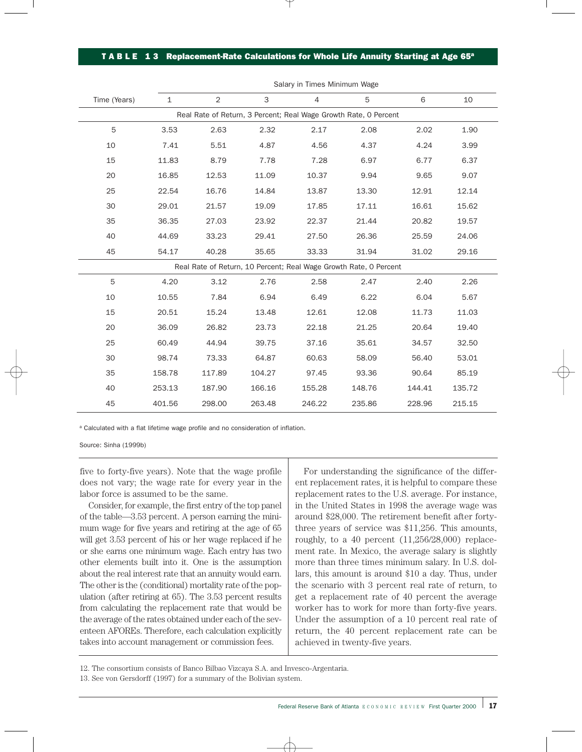#### TABLE 13 Replacement-Rate Calculations for Whole Life Annuity Starting at Age 65<sup>a</sup>

|              |              |                |        | Jaidry III TIMICS MIMMUUTI WAKE |                                                                   |        |        |  |
|--------------|--------------|----------------|--------|---------------------------------|-------------------------------------------------------------------|--------|--------|--|
| Time (Years) | $\mathbf{1}$ | $\overline{2}$ | 3      | 4                               | 5                                                                 | 6      | 10     |  |
|              |              |                |        |                                 | Real Rate of Return, 3 Percent; Real Wage Growth Rate, 0 Percent  |        |        |  |
| 5            | 3.53         | 2.63           | 2.32   | 2.17                            | 2.08                                                              | 2.02   | 1.90   |  |
| 10           | 7.41         | 5.51           | 4.87   | 4.56                            | 4.37                                                              | 4.24   | 3.99   |  |
| 15           | 11.83        | 8.79           | 7.78   | 7.28                            | 6.97                                                              | 6.77   | 6.37   |  |
| 20           | 16.85        | 12.53          | 11.09  | 10.37                           | 9.94                                                              | 9.65   | 9.07   |  |
| 25           | 22.54        | 16.76          | 14.84  | 13.87                           | 13.30                                                             | 12.91  | 12.14  |  |
| 30           | 29.01        | 21.57          | 19.09  | 17.85                           | 17.11                                                             | 16.61  | 15.62  |  |
| 35           | 36.35        | 27.03          | 23.92  | 22.37                           | 21.44                                                             | 20.82  | 19.57  |  |
| 40           | 44.69        | 33.23          | 29.41  | 27.50                           | 26.36                                                             | 25.59  | 24.06  |  |
| 45           | 54.17        | 40.28          | 35.65  | 33.33                           | 31.94                                                             | 31.02  | 29.16  |  |
|              |              |                |        |                                 | Real Rate of Return, 10 Percent; Real Wage Growth Rate, 0 Percent |        |        |  |
| 5            | 4.20         | 3.12           | 2.76   | 2.58                            | 2.47                                                              | 2.40   | 2.26   |  |
| 10           | 10.55        | 7.84           | 6.94   | 6.49                            | 6.22                                                              | 6.04   | 5.67   |  |
| 15           | 20.51        | 15.24          | 13.48  | 12.61                           | 12.08                                                             | 11.73  | 11.03  |  |
| 20           | 36.09        | 26.82          | 23.73  | 22.18                           | 21.25                                                             | 20.64  | 19.40  |  |
| 25           | 60.49        | 44.94          | 39.75  | 37.16                           | 35.61                                                             | 34.57  | 32.50  |  |
| 30           | 98.74        | 73.33          | 64.87  | 60.63                           | 58.09                                                             | 56.40  | 53.01  |  |
| 35           | 158.78       | 117.89         | 104.27 | 97.45                           | 93.36                                                             | 90.64  | 85.19  |  |
| 40           | 253.13       | 187.90         | 166.16 | 155.28                          | 148.76                                                            | 144.41 | 135.72 |  |
| 45           | 401.56       | 298.00         | 263.48 | 246.22                          | 235.86                                                            | 228.96 | 215.15 |  |

Salary in Times Minimum Wage

a Calculated with a flat lifetime wage profile and no consideration of inflation.

Source: Sinha (1999b)

five to forty-five years). Note that the wage profile does not vary; the wage rate for every year in the labor force is assumed to be the same.

Consider, for example, the first entry of the top panel of the table—3.53 percent. A person earning the minimum wage for five years and retiring at the age of 65 will get 3.53 percent of his or her wage replaced if he or she earns one minimum wage. Each entry has two other elements built into it. One is the assumption about the real interest rate that an annuity would earn. The other is the (conditional) mortality rate of the population (after retiring at 65). The 3.53 percent results from calculating the replacement rate that would be the average of the rates obtained under each of the seventeen AFOREs. Therefore, each calculation explicitly takes into account management or commission fees.

For understanding the significance of the different replacement rates, it is helpful to compare these replacement rates to the U.S. average. For instance, in the United States in 1998 the average wage was around \$28,000. The retirement benefit after fortythree years of service was \$11,256. This amounts, roughly, to a 40 percent  $(11,256/28,000)$  replacement rate. In Mexico, the average salary is slightly more than three times minimum salary. In U.S. dollars, this amount is around \$10 a day. Thus, under the scenario with 3 percent real rate of return, to get a replacement rate of 40 percent the average worker has to work for more than forty-five years. Under the assumption of a 10 percent real rate of return, the 40 percent replacement rate can be achieved in twenty-five years.

12. The consortium consists of Banco Bilbao Vizcaya S.A. and Invesco-Argentaria.

<sup>13.</sup> See von Gersdorff (1997) for a summary of the Bolivian system.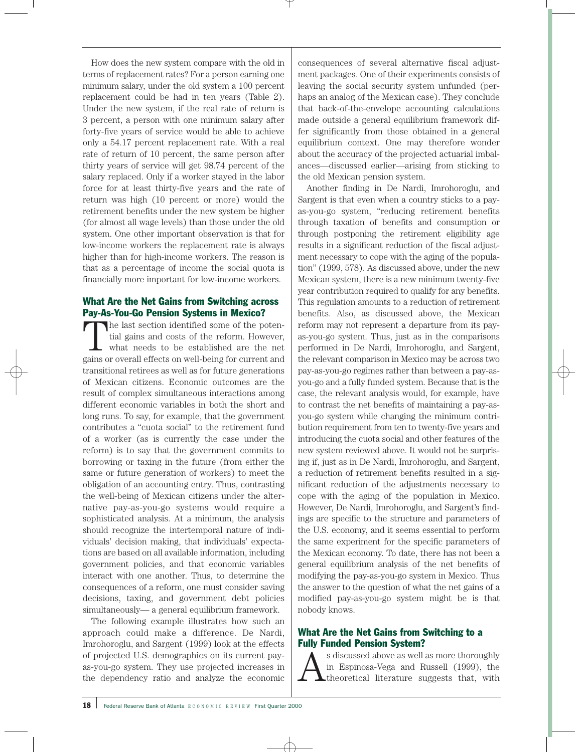How does the new system compare with the old in terms of replacement rates? For a person earning one minimum salary, under the old system a 100 percent replacement could be had in ten years (Table 2). Under the new system, if the real rate of return is 3 percent, a person with one minimum salary after forty-five years of service would be able to achieve only a 54.17 percent replacement rate. With a real rate of return of 10 percent, the same person after thirty years of service will get 98.74 percent of the salary replaced. Only if a worker stayed in the labor force for at least thirty-five years and the rate of return was high (10 percent or more) would the retirement benefits under the new system be higher (for almost all wage levels) than those under the old system. One other important observation is that for low-income workers the replacement rate is always higher than for high-income workers. The reason is that as a percentage of income the social quota is financially more important for low-income workers.

# What Are the Net Gains from Switching across Pay-As-You-Go Pension Systems in Mexico?

The last section identified some of the potential gains and costs of the reform. However, what needs to be established are the net gains or overall effects on well-being for current and transitional retirees as well as for future generations of Mexican citizens. Economic outcomes are the result of complex simultaneous interactions among different economic variables in both the short and long runs. To say, for example, that the government contributes a "cuota social" to the retirement fund of a worker (as is currently the case under the reform) is to say that the government commits to borrowing or taxing in the future (from either the same or future generation of workers) to meet the obligation of an accounting entry. Thus, contrasting the well-being of Mexican citizens under the alternative pay-as-you-go systems would require a sophisticated analysis. At a minimum, the analysis should recognize the intertemporal nature of individuals' decision making, that individuals' expectations are based on all available information, including government policies, and that economic variables interact with one another. Thus, to determine the consequences of a reform, one must consider saving decisions, taxing, and government debt policies simultaneously— a general equilibrium framework.

The following example illustrates how such an approach could make a difference. De Nardi, Imrohoroglu, and Sargent (1999) look at the effects of projected U.S. demographics on its current payas-you-go system. They use projected increases in the dependency ratio and analyze the economic

consequences of several alternative fiscal adjustment packages. One of their experiments consists of leaving the social security system unfunded (perhaps an analog of the Mexican case). They conclude that back-of-the-envelope accounting calculations made outside a general equilibrium framework differ significantly from those obtained in a general equilibrium context. One may therefore wonder about the accuracy of the projected actuarial imbalances—discussed earlier—arising from sticking to the old Mexican pension system.

Another finding in De Nardi, Imrohoroglu, and Sargent is that even when a country sticks to a payas-you-go system, "reducing retirement benefits through taxation of benefits and consumption or through postponing the retirement eligibility age results in a significant reduction of the fiscal adjustment necessary to cope with the aging of the population" (1999, 578). As discussed above, under the new Mexican system, there is a new minimum twenty-five year contribution required to qualify for any benefits. This regulation amounts to a reduction of retirement benefits. Also, as discussed above, the Mexican reform may not represent a departure from its payas-you-go system. Thus, just as in the comparisons performed in De Nardi, Imrohoroglu, and Sargent, the relevant comparison in Mexico may be across two pay-as-you-go regimes rather than between a pay-asyou-go and a fully funded system. Because that is the case, the relevant analysis would, for example, have to contrast the net benefits of maintaining a pay-asyou-go system while changing the minimum contribution requirement from ten to twenty-five years and introducing the cuota social and other features of the new system reviewed above. It would not be surprising if, just as in De Nardi, Imrohoroglu, and Sargent, a reduction of retirement benefits resulted in a significant reduction of the adjustments necessary to cope with the aging of the population in Mexico. However, De Nardi, Imrohoroglu, and Sargent's findings are specific to the structure and parameters of the U.S. economy, and it seems essential to perform the same experiment for the specific parameters of the Mexican economy. To date, there has not been a general equilibrium analysis of the net benefits of modifying the pay-as-you-go system in Mexico. Thus the answer to the question of what the net gains of a modified pay-as-you-go system might be is that nobody knows.

# What Are the Net Gains from Switching to a Fully Funded Pension System?

 $\sum_{n=1}^{\infty}$  s discussed above as well as more thoroughly<br>the Espinosa-Vega and Russell (1999), the<br>theoretical literature suggests that, with in Espinosa-Vega and Russell (1999), the **L**theoretical literature suggests that, with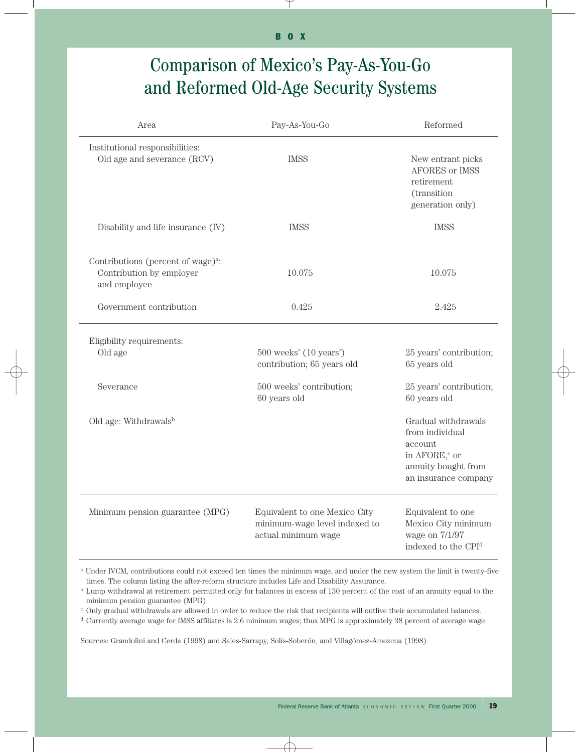# Comparison of Mexico's Pay-As-You-Go and Reformed Old-Age Security Systems

| Area                                                                                       | Pay-As-You-Go                                                                         | Reformed                                                                                                                      |
|--------------------------------------------------------------------------------------------|---------------------------------------------------------------------------------------|-------------------------------------------------------------------------------------------------------------------------------|
| Institutional responsibilities:<br>Old age and severance (RCV)                             | <b>IMSS</b>                                                                           | New entrant picks<br>AFORES or IMSS<br>retirement<br>(transition<br>generation only)                                          |
| Disability and life insurance (IV)                                                         | <b>IMSS</b>                                                                           | <b>IMSS</b>                                                                                                                   |
| Contributions (percent of wage) <sup>a</sup> :<br>Contribution by employer<br>and employee | 10.075                                                                                | 10.075                                                                                                                        |
| Government contribution                                                                    | 0.425                                                                                 | 2.425                                                                                                                         |
| Eligibility requirements:<br>Old age<br>Severance                                          | 500 weeks' (10 years')<br>contribution; 65 years old                                  | 25 years' contribution;<br>65 years old                                                                                       |
|                                                                                            | 500 weeks' contribution;<br>60 years old                                              | 25 years' contribution;<br>60 years old                                                                                       |
| Old age: Withdrawalsb                                                                      |                                                                                       | Gradual withdrawals<br>from individual<br>account<br>in AFORE, <sup>c</sup> or<br>annuity bought from<br>an insurance company |
| Minimum pension guarantee (MPG)                                                            | Equivalent to one Mexico City<br>minimum-wage level indexed to<br>actual minimum wage | Equivalent to one<br>Mexico City minimum<br>wage on 7/1/97<br>indexed to the CPI <sup>d</sup>                                 |

a Under IVCM, contributions could not exceed ten times the minimum wage, and under the new system the limit is twenty-five times. The column listing the after-reform structure includes Life and Disability Assurance.

<sup>b</sup> Lump withdrawal at retirement permitted only for balances in excess of 130 percent of the cost of an annuity equal to the minimum pension guarantee (MPG).

 $c$  Only gradual withdrawals are allowed in order to reduce the risk that recipients will outlive their accumulated balances.

<sup>d</sup> Currently average wage for IMSS affiliates is 2.6 minimum wages; thus MPG is approximately 38 percent of average wage.

Sources: Grandolini and Cerda (1998) and Sales-Sarrapy, Solís-Soberón, and Villagómez-Amezcua (1998)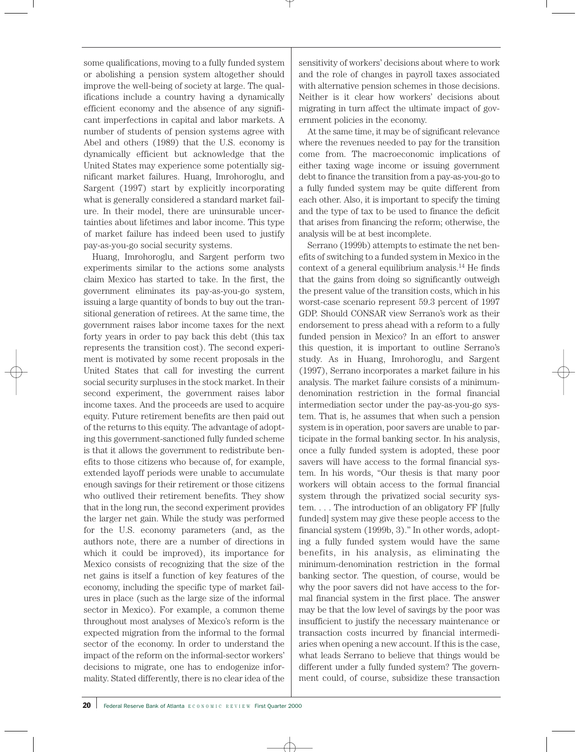some qualifications, moving to a fully funded system or abolishing a pension system altogether should improve the well-being of society at large. The qualifications include a country having a dynamically efficient economy and the absence of any significant imperfections in capital and labor markets. A number of students of pension systems agree with Abel and others (1989) that the U.S. economy is dynamically efficient but acknowledge that the United States may experience some potentially significant market failures. Huang, Imrohoroglu, and Sargent (1997) start by explicitly incorporating what is generally considered a standard market failure. In their model, there are uninsurable uncertainties about lifetimes and labor income. This type of market failure has indeed been used to justify pay-as-you-go social security systems.

Huang, Imrohoroglu, and Sargent perform two experiments similar to the actions some analysts claim Mexico has started to take. In the first, the government eliminates its pay-as-you-go system, issuing a large quantity of bonds to buy out the transitional generation of retirees. At the same time, the government raises labor income taxes for the next forty years in order to pay back this debt (this tax represents the transition cost). The second experiment is motivated by some recent proposals in the United States that call for investing the current social security surpluses in the stock market. In their second experiment, the government raises labor income taxes. And the proceeds are used to acquire equity. Future retirement benefits are then paid out of the returns to this equity. The advantage of adopting this government-sanctioned fully funded scheme is that it allows the government to redistribute benefits to those citizens who because of, for example, extended layoff periods were unable to accumulate enough savings for their retirement or those citizens who outlived their retirement benefits. They show that in the long run, the second experiment provides the larger net gain. While the study was performed for the U.S. economy parameters (and, as the authors note, there are a number of directions in which it could be improved), its importance for Mexico consists of recognizing that the size of the net gains is itself a function of key features of the economy, including the specific type of market failures in place (such as the large size of the informal sector in Mexico). For example, a common theme throughout most analyses of Mexico's reform is the expected migration from the informal to the formal sector of the economy. In order to understand the impact of the reform on the informal-sector workers' decisions to migrate, one has to endogenize informality. Stated differently, there is no clear idea of the sensitivity of workers' decisions about where to work and the role of changes in payroll taxes associated with alternative pension schemes in those decisions. Neither is it clear how workers' decisions about migrating in turn affect the ultimate impact of government policies in the economy.

At the same time, it may be of significant relevance where the revenues needed to pay for the transition come from. The macroeconomic implications of either taxing wage income or issuing government debt to finance the transition from a pay-as-you-go to a fully funded system may be quite different from each other. Also, it is important to specify the timing and the type of tax to be used to finance the deficit that arises from financing the reform; otherwise, the analysis will be at best incomplete.

Serrano (1999b) attempts to estimate the net benefits of switching to a funded system in Mexico in the context of a general equilibrium analysis.14 He finds that the gains from doing so significantly outweigh the present value of the transition costs, which in his worst-case scenario represent 59.3 percent of 1997 GDP. Should CONSAR view Serrano's work as their endorsement to press ahead with a reform to a fully funded pension in Mexico? In an effort to answer this question, it is important to outline Serrano's study. As in Huang, Imrohoroglu, and Sargent (1997), Serrano incorporates a market failure in his analysis. The market failure consists of a minimumdenomination restriction in the formal financial intermediation sector under the pay-as-you-go system. That is, he assumes that when such a pension system is in operation, poor savers are unable to participate in the formal banking sector. In his analysis, once a fully funded system is adopted, these poor savers will have access to the formal financial system. In his words, "Our thesis is that many poor workers will obtain access to the formal financial system through the privatized social security system. . . . The introduction of an obligatory FF [fully funded] system may give these people access to the financial system (1999b, 3)." In other words, adopting a fully funded system would have the same benefits, in his analysis, as eliminating the minimum-denomination restriction in the formal banking sector. The question, of course, would be why the poor savers did not have access to the formal financial system in the first place. The answer may be that the low level of savings by the poor was insufficient to justify the necessary maintenance or transaction costs incurred by financial intermediaries when opening a new account. If this is the case, what leads Serrano to believe that things would be different under a fully funded system? The government could, of course, subsidize these transaction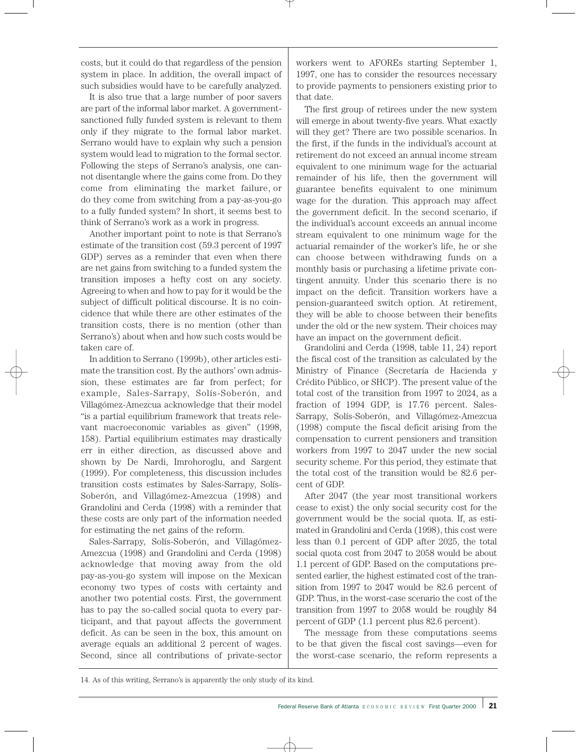costs, but it could do that regardless of the pension system in place. In addition, the overall impact of such subsidies would have to be carefully analyzed.

It is also true that a large number of poor savers are part of the informal labor market. A governmentsanctioned fully funded system is relevant to them only if they migrate to the formal labor market. Serrano would have to explain why such a pension system would lead to migration to the formal sector. Following the steps of Serrano's analysis, one cannot disentangle where the gains come from. Do they come from eliminating the market failure, or do they come from switching from a pay-as-you-go to a fully funded system? In short, it seems best to think of Serrano's work as a work in progress.

Another important point to note is that Serrano's estimate of the transition cost (59.3 percent of 1997 GDP) serves as a reminder that even when there are net gains from switching to a funded system the transition imposes a hefty cost on any society. Agreeing to when and how to pay for it would be the subject of difficult political discourse. It is no coincidence that while there are other estimates of the transition costs, there is no mention (other than Serrano's) about when and how such costs would be taken care of.

In addition to Serrano (1999b), other articles estimate the transition cost. By the authors' own admission, these estimates are far from perfect; for example, Sales-Sarrapy, Solís-Soberón, and Villagómez-Amezcua acknowledge that their model "is a partial equilibrium framework that treats relevant macroeconomic variables as given" (1998, 158). Partial equilibrium estimates may drastically err in either direction, as discussed above and shown by De Nardi, Imrohoroglu, and Sargent (1999). For completeness, this discussion includes transition costs estimates by Sales-Sarrapy, Solís-Soberón, and Villagómez-Amezcua (1998) and Grandolini and Cerda (1998) with a reminder that these costs are only part of the information needed for estimating the net gains of the reform.

Sales-Sarrapy, Solís-Soberón, and Villagómez-Amezcua (1998) and Grandolini and Cerda (1998) acknowledge that moving away from the old pay-as-you-go system will impose on the Mexican economy two types of costs with certainty and another two potential costs. First, the government has to pay the so-called social quota to every participant, and that payout affects the government deficit. As can be seen in the box, this amount on average equals an additional 2 percent of wages. Second, since all contributions of private-sector

workers went to AFOREs starting September 1, 1997, one has to consider the resources necessary to provide payments to pensioners existing prior to that date.

The first group of retirees under the new system will emerge in about twenty-five years. What exactly will they get? There are two possible scenarios. In the first, if the funds in the individual's account at retirement do not exceed an annual income stream equivalent to one minimum wage for the actuarial remainder of his life, then the government will guarantee benefits equivalent to one minimum wage for the duration. This approach may affect the government deficit. In the second scenario, if the individual's account exceeds an annual income stream equivalent to one minimum wage for the actuarial remainder of the worker's life, he or she can choose between withdrawing funds on a monthly basis or purchasing a lifetime private contingent annuity. Under this scenario there is no impact on the deficit. Transition workers have a pension-guaranteed switch option. At retirement, they will be able to choose between their benefits under the old or the new system. Their choices may have an impact on the government deficit.

Grandolini and Cerda (1998, table 11, 24) report the fiscal cost of the transition as calculated by the Ministry of Finance (Secretaría de Hacienda y Crédito Público, or SHCP). The present value of the total cost of the transition from 1997 to 2024, as a fraction of 1994 GDP, is 17.76 percent. Sales-Sarrapy, Solís-Soberón, and Villagómez-Amezcua (1998) compute the fiscal deficit arising from the compensation to current pensioners and transition workers from 1997 to 2047 under the new social security scheme. For this period, they estimate that the total cost of the transition would be 82.6 percent of GDP.

After 2047 (the year most transitional workers cease to exist) the only social security cost for the government would be the social quota. If, as estimated in Grandolini and Cerda (1998), this cost were less than 0.1 percent of GDP after 2025, the total social quota cost from 2047 to 2058 would be about 1.1 percent of GDP. Based on the computations presented earlier, the highest estimated cost of the transition from 1997 to 2047 would be 82.6 percent of GDP. Thus, in the worst-case scenario the cost of the transition from 1997 to 2058 would be roughly 84 percent of GDP (1.1 percent plus 82.6 percent).

The message from these computations seems to be that given the fiscal cost savings—even for the worst-case scenario, the reform represents a

<sup>14.</sup> As of this writing, Serrano's is apparently the only study of its kind.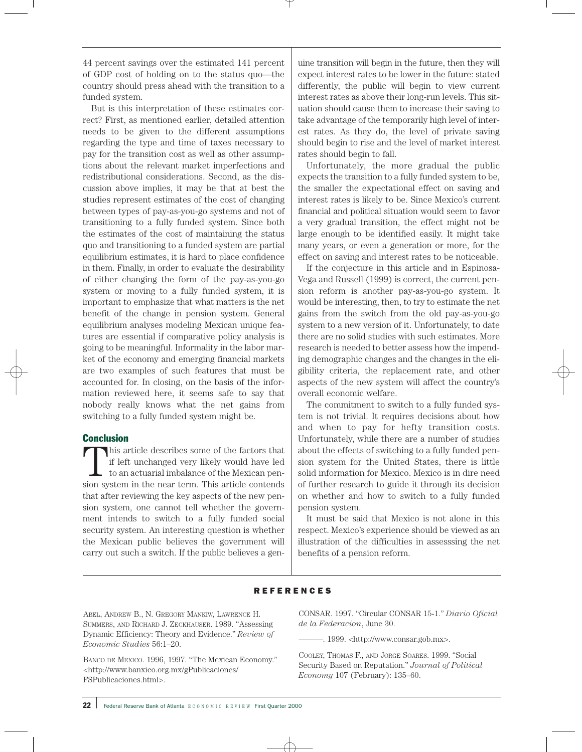44 percent savings over the estimated 141 percent of GDP cost of holding on to the status quo—the country should press ahead with the transition to a funded system.

But is this interpretation of these estimates correct? First, as mentioned earlier, detailed attention needs to be given to the different assumptions regarding the type and time of taxes necessary to pay for the transition cost as well as other assumptions about the relevant market imperfections and redistributional considerations. Second, as the discussion above implies, it may be that at best the studies represent estimates of the cost of changing between types of pay-as-you-go systems and not of transitioning to a fully funded system. Since both the estimates of the cost of maintaining the status quo and transitioning to a funded system are partial equilibrium estimates, it is hard to place confidence in them. Finally, in order to evaluate the desirability of either changing the form of the pay-as-you-go system or moving to a fully funded system, it is important to emphasize that what matters is the net benefit of the change in pension system. General equilibrium analyses modeling Mexican unique features are essential if comparative policy analysis is going to be meaningful. Informality in the labor market of the economy and emerging financial markets are two examples of such features that must be accounted for. In closing, on the basis of the information reviewed here, it seems safe to say that nobody really knows what the net gains from switching to a fully funded system might be.

## Conclusion

This article describes some of the factors that<br>if left unchanged very likely would have led<br>to an actuarial imbalance of the Mexican pen-<br>sion gyptom in the near term. This article contends if left unchanged very likely would have led to an actuarial imbalance of the Mexican pension system in the near term. This article contends that after reviewing the key aspects of the new pension system, one cannot tell whether the government intends to switch to a fully funded social security system. An interesting question is whether the Mexican public believes the government will carry out such a switch. If the public believes a genuine transition will begin in the future, then they will expect interest rates to be lower in the future: stated differently, the public will begin to view current interest rates as above their long-run levels. This situation should cause them to increase their saving to take advantage of the temporarily high level of interest rates. As they do, the level of private saving should begin to rise and the level of market interest rates should begin to fall.

Unfortunately, the more gradual the public expects the transition to a fully funded system to be, the smaller the expectational effect on saving and interest rates is likely to be. Since Mexico's current financial and political situation would seem to favor a very gradual transition, the effect might not be large enough to be identified easily. It might take many years, or even a generation or more, for the effect on saving and interest rates to be noticeable.

If the conjecture in this article and in Espinosa-Vega and Russell (1999) is correct, the current pension reform is another pay-as-you-go system. It would be interesting, then, to try to estimate the net gains from the switch from the old pay-as-you-go system to a new version of it. Unfortunately, to date there are no solid studies with such estimates. More research is needed to better assess how the impending demographic changes and the changes in the eligibility criteria, the replacement rate, and other aspects of the new system will affect the country's overall economic welfare.

The commitment to switch to a fully funded system is not trivial. It requires decisions about how and when to pay for hefty transition costs. Unfortunately, while there are a number of studies about the effects of switching to a fully funded pension system for the United States, there is little solid information for Mexico. Mexico is in dire need of further research to guide it through its decision on whether and how to switch to a fully funded pension system.

It must be said that Mexico is not alone in this respect. Mexico's experience should be viewed as an illustration of the difficulties in assesssing the net benefits of a pension reform.

### **REFERENCES**

ABEL, ANDREW B., N. GREGORY MANKIW, LAWRENCE H. SUMMERS, AND RICHARD J. ZECKHAUSER. 1989. "Assessing Dynamic Efficiency: Theory and Evidence." *Review of Economic Studies* 56:1–20.

BANCO DE MEXICO. 1996, 1997. "The Mexican Economy." <http://www.banxico.org.mx/gPublicaciones/ FSPublicaciones.html>.

CONSAR. 1997. "Circular CONSAR 15-1." *Diario Oficial de la Federacion*, June 30.

———. 1999. <http://www.consar.gob.mx>.

COOLEY, THOMAS F., AND JORGE SOARES. 1999. "Social Security Based on Reputation." *Journal of Political Economy* 107 (February): 135–60.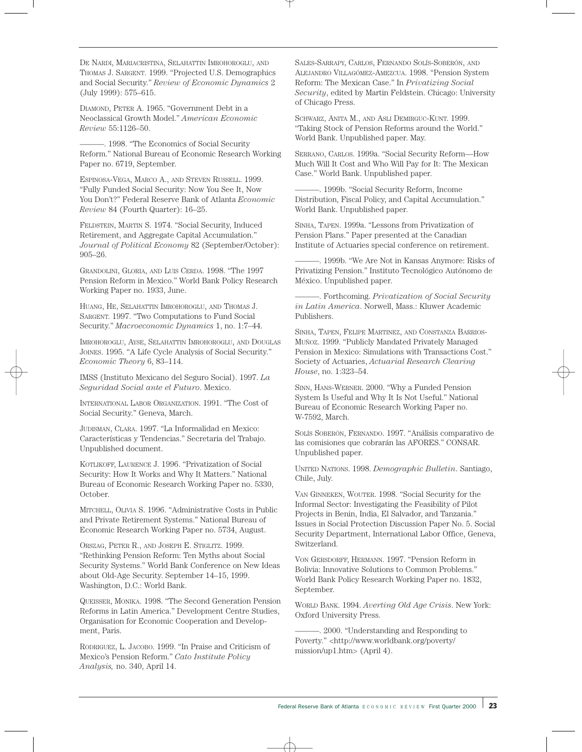DE NARDI, MARIACRISTINA, SELAHATTIN IMROHOROGLU, AND THOMAS J. SARGENT. 1999. "Projected U.S. Demographics and Social Security." *Review of Economic Dynamics* 2 (July 1999): 575–615.

DIAMOND, PETER A. 1965. "Government Debt in a Neoclassical Growth Model." *American Economic Review* 55:1126–50.

———. 1998. "The Economics of Social Security Reform." National Bureau of Economic Research Working Paper no. 6719, September.

ESPINOSA-VEGA, MARCO A., AND STEVEN RUSSELL. 1999. "Fully Funded Social Security: Now You See It, Now You Don't?" Federal Reserve Bank of Atlanta *Economic Review* 84 (Fourth Quarter): 16–25.

FELDSTEIN, MARTIN S. 1974. "Social Security, Induced Retirement, and Aggregate Capital Accumulation." *Journal of Political Economy* 82 (September/October): 905–26.

GRANDOLINI, GLORIA, AND LUIS CERDA. 1998. "The 1997 Pension Reform in Mexico." World Bank Policy Research Working Paper no. 1933, June.

HUANG, HE, SELAHATTIN IMROHOROGLU, AND THOMAS J. SARGENT. 1997. "Two Computations to Fund Social Security." *Macroeconomic Dynamics* 1, no. 1:7–44.

IMROHOROGLU, AYSE, SELAHATTIN IMROHOROGLU, AND DOUGLAS JOINES. 1995. "A Life Cycle Analysis of Social Security." *Economic Theory* 6, 83–114.

IMSS (Instituto Mexicano del Seguro Social). 1997. *La Seguridad Social ante el Futuro*. Mexico.

INTERNATIONAL LABOR ORGANIZATION. 1991. "The Cost of Social Security." Geneva, March.

JUDISMAN, CLARA. 1997. "La Informalidad en Mexico: Características y Tendencias." Secretaria del Trabajo. Unpublished document.

KOTLIKOFF, LAURENCE J. 1996. "Privatization of Social Security: How It Works and Why It Matters." National Bureau of Economic Research Working Paper no. 5330, October.

MITCHELL, OLIVIA S. 1996. "Administrative Costs in Public and Private Retirement Systems." National Bureau of Economic Research Working Paper no. 5734, August.

ORSZAG, PETER R., AND JOSEPH E. STIGLITZ. 1999. "Rethinking Pension Reform: Ten Myths about Social Security Systems." World Bank Conference on New Ideas about Old-Age Security. September 14–15, 1999. Washington, D.C.: World Bank.

QUEISSER, MONIKA. 1998. "The Second Generation Pension Reforms in Latin America." Development Centre Studies, Organisation for Economic Cooperation and Development, Paris.

RODRIGUEZ, L. JACOBO. 1999. "In Praise and Criticism of Mexico's Pension Reform." *Cato Institute Policy Analysis,* no. 340, April 14.

SALES-SARRAPY, CARLOS, FERNANDO SOLÍS-SOBERÓN, AND ALEJANDRO VILLAGÓMEZ-AMEZCUA. 1998. "Pension System Reform: The Mexican Case." In *Privatizing Social Security*, edited by Martin Feldstein. Chicago: University of Chicago Press.

SCHWARZ, ANITA M., AND ASLI DEMIRGUC-KUNT. 1999. "Taking Stock of Pension Reforms around the World." World Bank. Unpublished paper. May.

SERRANO, CARLOS. 1999a. "Social Security Reform—How Much Will It Cost and Who Will Pay for It: The Mexican Case." World Bank. Unpublished paper.

———. 1999b. "Social Security Reform, Income Distribution, Fiscal Policy, and Capital Accumulation." World Bank. Unpublished paper.

SINHA, TAPEN. 1999a. "Lessons from Privatization of Pension Plans." Paper presented at the Canadian Institute of Actuaries special conference on retirement.

-. 1999b. "We Are Not in Kansas Anymore: Risks of Privatizing Pension." Instituto Tecnológico Autónomo de México. Unpublished paper.

———. Forthcoming. *Privatization of Social Security in Latin America*. Norwell, Mass.: Kluwer Academic Publishers.

SINHA, TAPEN, FELIPE MARTINEZ, AND CONSTANZA BARRIOS-MUÑOZ. 1999. "Publicly Mandated Privately Managed Pension in Mexico: Simulations with Transactions Cost." Society of Actuaries, *Actuarial Research Clearing House*, no. 1:323–54.

SINN, HANS-WERNER. 2000. "Why a Funded Pension System Is Useful and Why It Is Not Useful." National Bureau of Economic Research Working Paper no. W-7592, March.

SOLÍS SOBERÓN, FERNANDO. 1997. "Análisis comparativo de las comisiones que cobrarán las AFORES." CONSAR. Unpublished paper.

UNITED NATIONS. 1998. *Demographic Bulletin*. Santiago, Chile, July.

VAN GINNEKEN, WOUTER. 1998. "Social Security for the Informal Sector: Investigating the Feasibility of Pilot Projects in Benin, India, El Salvador, and Tanzania." Issues in Social Protection Discussion Paper No. 5. Social Security Department, International Labor Office, Geneva, Switzerland.

VON GERSDORFF, HERMANN. 1997. "Pension Reform in Bolivia: Innovative Solutions to Common Problems." World Bank Policy Research Working Paper no. 1832, September.

WORLD BANK. 1994. *Averting Old Age Crisis*. New York: Oxford University Press.

———. 2000. "Understanding and Responding to Poverty." <http://www.worldbank.org/poverty/ mission/up1.htm> (April 4).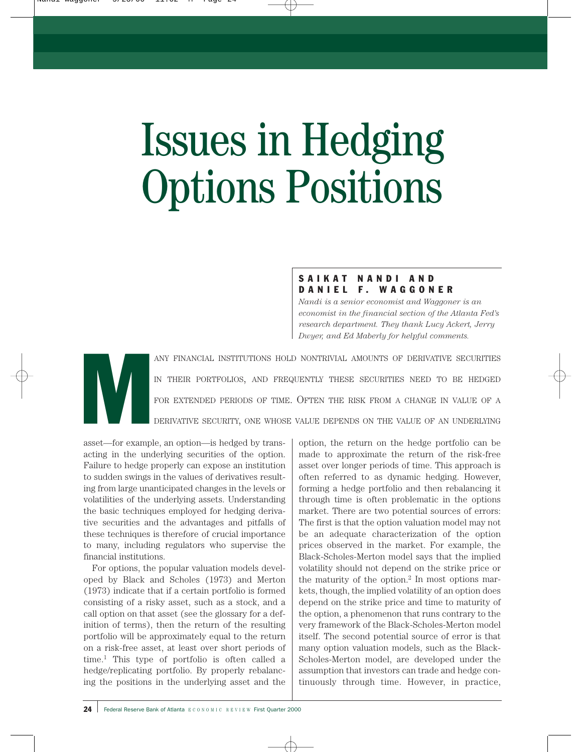# Issues in Hedging Options Positions

# SAIKAT NANDI AND DANIEL F. WAGGONER

*Nandi is a senior economist and Waggoner is an economist in the financial section of the Atlanta Fed's research department. They thank Lucy Ackert, Jerry Dwyer, and Ed Maberly for helpful comments.*

ANY FINANCIAL INSTITUTIONS HOLD NONTRIVIAL AMOUNTS OF DERIVATIVE SECURITIES IN THEIR PORTFOLIOS, AND FREQUENTLY THESE SECURITIES NEED TO BE HEDGED FOR EXTENDED PERIODS OF TIME. OFTEN THE RISK FROM A CHANGE IN VALUE OF A DE IN THEIR PORTFOLIOS, AND FREQUENTLY THESE SECURITIES NEED TO BE HEDGED FOR EXTENDED PERIODS OF TIME. OFTEN THE RISK FROM A CHANGE IN VALUE OF A DERIVATIVE SECURITY, ONE WHOSE VALUE DEPENDS ON THE VALUE OF AN UNDERLYING

asset—for example, an option—is hedged by transacting in the underlying securities of the option. Failure to hedge properly can expose an institution to sudden swings in the values of derivatives resulting from large unanticipated changes in the levels or volatilities of the underlying assets. Understanding the basic techniques employed for hedging derivative securities and the advantages and pitfalls of these techniques is therefore of crucial importance to many, including regulators who supervise the financial institutions.

For options, the popular valuation models developed by Black and Scholes (1973) and Merton (1973) indicate that if a certain portfolio is formed consisting of a risky asset, such as a stock, and a call option on that asset (see the glossary for a definition of terms), then the return of the resulting portfolio will be approximately equal to the return on a risk-free asset, at least over short periods of time.1 This type of portfolio is often called a hedge/replicating portfolio. By properly rebalancing the positions in the underlying asset and the option, the return on the hedge portfolio can be made to approximate the return of the risk-free asset over longer periods of time. This approach is often referred to as dynamic hedging. However, forming a hedge portfolio and then rebalancing it through time is often problematic in the options market. There are two potential sources of errors: The first is that the option valuation model may not be an adequate characterization of the option prices observed in the market. For example, the Black-Scholes-Merton model says that the implied volatility should not depend on the strike price or the maturity of the option.2 In most options markets, though, the implied volatility of an option does depend on the strike price and time to maturity of the option, a phenomenon that runs contrary to the very framework of the Black-Scholes-Merton model itself. The second potential source of error is that many option valuation models, such as the Black-Scholes-Merton model, are developed under the assumption that investors can trade and hedge continuously through time. However, in practice,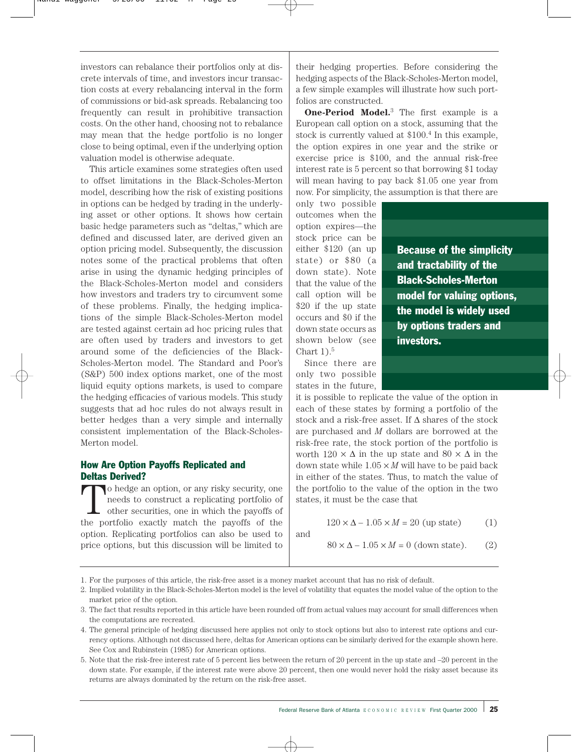investors can rebalance their portfolios only at discrete intervals of time, and investors incur transaction costs at every rebalancing interval in the form of commissions or bid-ask spreads. Rebalancing too frequently can result in prohibitive transaction costs. On the other hand, choosing not to rebalance may mean that the hedge portfolio is no longer close to being optimal, even if the underlying option valuation model is otherwise adequate.

This article examines some strategies often used to offset limitations in the Black-Scholes-Merton model, describing how the risk of existing positions in options can be hedged by trading in the underlying asset or other options. It shows how certain basic hedge parameters such as "deltas," which are defined and discussed later, are derived given an option pricing model. Subsequently, the discussion notes some of the practical problems that often arise in using the dynamic hedging principles of the Black-Scholes-Merton model and considers how investors and traders try to circumvent some of these problems. Finally, the hedging implications of the simple Black-Scholes-Merton model are tested against certain ad hoc pricing rules that are often used by traders and investors to get around some of the deficiencies of the Black-Scholes-Merton model. The Standard and Poor's (S&P) 500 index options market, one of the most liquid equity options markets, is used to compare the hedging efficacies of various models. This study suggests that ad hoc rules do not always result in better hedges than a very simple and internally consistent implementation of the Black-Scholes-Merton model.

# How Are Option Payoffs Replicated and Deltas Derived?

To hedge an option, or any risky security, one<br>needs to construct a replicating portfolio of<br>other securities, one in which the payoffs of<br>the portfolio syngthy match, the payoffs of the needs to construct a replicating portfolio of other securities, one in which the payoffs of the portfolio exactly match the payoffs of the option. Replicating portfolios can also be used to price options, but this discussion will be limited to their hedging properties. Before considering the hedging aspects of the Black-Scholes-Merton model, a few simple examples will illustrate how such portfolios are constructed.

**One-Period Model.**<sup>3</sup> The first example is a European call option on a stock, assuming that the stock is currently valued at \$100.4 In this example, the option expires in one year and the strike or exercise price is \$100, and the annual risk-free interest rate is 5 percent so that borrowing \$1 today will mean having to pay back \$1.05 one year from now. For simplicity, the assumption is that there are

only two possible outcomes when the option expires—the stock price can be either \$120 (an up state) or \$80 (a down state). Note that the value of the call option will be \$20 if the up state occurs and \$0 if the down state occurs as shown below (see Chart  $1$ ).<sup>5</sup>

Because of the simplicity and tractability of the Black-Scholes-Merton model for valuing options, the model is widely used by options traders and investors.

Since there are only two possible states in the future,

it is possible to replicate the value of the option in each of these states by forming a portfolio of the stock and a risk-free asset. If ∆ shares of the stock are purchased and *M* dollars are borrowed at the risk-free rate, the stock portion of the portfolio is worth  $120 \times \Delta$  in the up state and  $80 \times \Delta$  in the down state while  $1.05 \times M$  will have to be paid back in either of the states. Thus, to match the value of the portfolio to the value of the option in the two states, it must be the case that

$$
120 \times \Delta - 1.05 \times M = 20 \text{ (up state)} \tag{1}
$$

and

$$
80 \times \Delta - 1.05 \times M = 0
$$
 (down state). (2)

1. For the purposes of this article, the risk-free asset is a money market account that has no risk of default.

5. Note that the risk-free interest rate of 5 percent lies between the return of 20 percent in the up state and –20 percent in the down state. For example, if the interest rate were above 20 percent, then one would never hold the risky asset because its returns are always dominated by the return on the risk-free asset.

<sup>2.</sup> Implied volatility in the Black-Scholes-Merton model is the level of volatility that equates the model value of the option to the market price of the option.

<sup>3.</sup> The fact that results reported in this article have been rounded off from actual values may account for small differences when the computations are recreated.

<sup>4.</sup> The general principle of hedging discussed here applies not only to stock options but also to interest rate options and currency options. Although not discussed here, deltas for American options can be similarly derived for the example shown here. See Cox and Rubinstein (1985) for American options.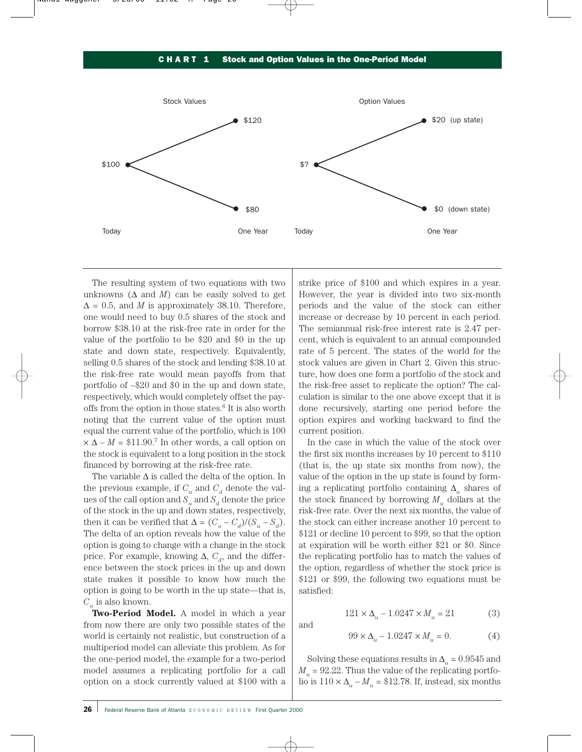### CHART 1 Stock and Option Values in the One-Period Model



and

The resulting system of two equations with two unknowns ( $\Delta$  and  $M$ ) can be easily solved to get  $\Delta = 0.5$ , and *M* is approximately 38.10. Therefore, one would need to buy 0.5 shares of the stock and borrow \$38.10 at the risk-free rate in order for the value of the portfolio to be \$20 and \$0 in the up state and down state, respectively. Equivalently, selling 0.5 shares of the stock and lending \$38.10 at the risk-free rate would mean payoffs from that portfolio of –\$20 and \$0 in the up and down state, respectively, which would completely offset the payoffs from the option in those states.6 It is also worth noting that the current value of the option must equal the current value of the portfolio, which is 100  $\times \Delta - M = $11.90$ .<sup>7</sup> In other words, a call option on the stock is equivalent to a long position in the stock financed by borrowing at the risk-free rate.

The variable  $\Delta$  is called the delta of the option. In the previous example, if  $C_u$  and  $C_d$  denote the values of the call option and  $S_u$  and  $S_d$  denote the price of the stock in the up and down states, respectively, then it can be verified that  $\Delta = (C_u - C_d)/(S_u - S_d)$ . The delta of an option reveals how the value of the option is going to change with a change in the stock price. For example, knowing  $\Delta$ ,  $C_d$ , and the difference between the stock prices in the up and down state makes it possible to know how much the option is going to be worth in the up state—that is,  $C_u$  is also known.

**Two-Period Model.** A model in which a year from now there are only two possible states of the world is certainly not realistic, but construction of a multiperiod model can alleviate this problem. As for the one-period model, the example for a two-period model assumes a replicating portfolio for a call option on a stock currently valued at \$100 with a strike price of \$100 and which expires in a year. However, the year is divided into two six-month periods and the value of the stock can either increase or decrease by 10 percent in each period. The semiannual risk-free interest rate is 2.47 percent, which is equivalent to an annual compounded rate of 5 percent. The states of the world for the stock values are given in Chart 2. Given this structure, how does one form a portfolio of the stock and the risk-free asset to replicate the option? The calculation is similar to the one above except that it is done recursively, starting one period before the option expires and working backward to find the current position.

In the case in which the value of the stock over the first six months increases by 10 percent to \$110 (that is, the up state six months from now), the value of the option in the up state is found by forming a replicating portfolio containing ∆*<sup>u</sup>* shares of the stock financed by borrowing  $M_u$  dollars at the risk-free rate. Over the next six months, the value of the stock can either increase another 10 percent to \$121 or decline 10 percent to \$99, so that the option at expiration will be worth either \$21 or \$0. Since the replicating portfolio has to match the values of the option, regardless of whether the stock price is \$121 or \$99, the following two equations must be satisfied:

$$
121 \times \Delta_u - 1.0247 \times M_u = 21
$$
 (3)

$$
99 \times \Delta_u - 1.0247 \times M_u = 0. \tag{4}
$$

Solving these equations results in  $\Delta_{\mu} = 0.9545$  and  $M_u = 92.22$ . Thus the value of the replicating portfolio is  $110 \times \Delta_{\mu} - M_{\mu} = $12.78$ . If, instead, six months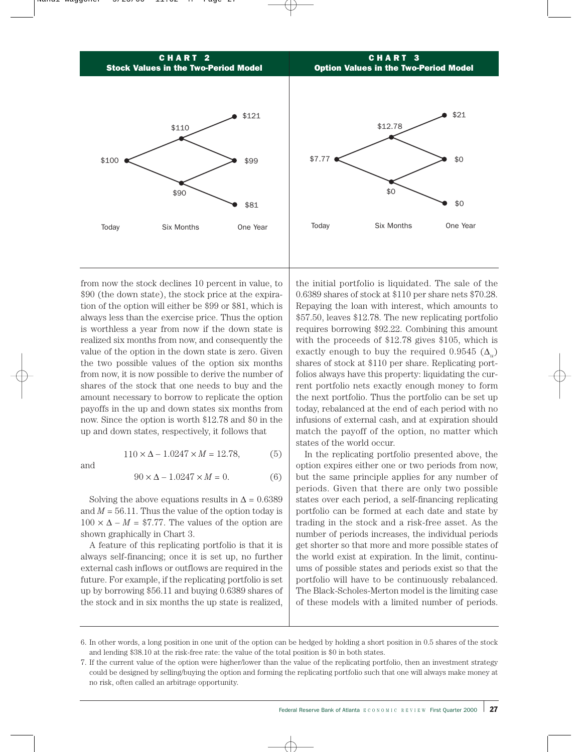

from now the stock declines 10 percent in value, to \$90 (the down state), the stock price at the expiration of the option will either be \$99 or \$81, which is always less than the exercise price. Thus the option is worthless a year from now if the down state is realized six months from now, and consequently the value of the option in the down state is zero. Given the two possible values of the option six months from now, it is now possible to derive the number of shares of the stock that one needs to buy and the amount necessary to borrow to replicate the option payoffs in the up and down states six months from now. Since the option is worth \$12.78 and \$0 in the up and down states, respectively, it follows that

and

$$
110 \times \Delta - 1.0247 \times M = 12.78,\tag{5}
$$

$$
90 \times \Delta - 1.0247 \times M = 0. \tag{6}
$$

Solving the above equations results in  $\Delta = 0.6389$ and  $M = 56.11$ . Thus the value of the option today is  $100 \times \Delta - M = $7.77$ . The values of the option are shown graphically in Chart 3.

A feature of this replicating portfolio is that it is always self-financing; once it is set up, no further external cash inflows or outflows are required in the future. For example, if the replicating portfolio is set up by borrowing \$56.11 and buying 0.6389 shares of the stock and in six months the up state is realized,

the initial portfolio is liquidated. The sale of the 0.6389 shares of stock at \$110 per share nets \$70.28. Repaying the loan with interest, which amounts to \$57.50, leaves \$12.78. The new replicating portfolio requires borrowing \$92.22. Combining this amount with the proceeds of \$12.78 gives \$105, which is exactly enough to buy the required  $0.9545$  ( $\Delta$ <sub>u</sub>) shares of stock at \$110 per share. Replicating portfolios always have this property: liquidating the current portfolio nets exactly enough money to form the next portfolio. Thus the portfolio can be set up today, rebalanced at the end of each period with no infusions of external cash, and at expiration should match the payoff of the option, no matter which states of the world occur.

In the replicating portfolio presented above, the option expires either one or two periods from now, but the same principle applies for any number of periods. Given that there are only two possible states over each period, a self-financing replicating portfolio can be formed at each date and state by trading in the stock and a risk-free asset. As the number of periods increases, the individual periods get shorter so that more and more possible states of the world exist at expiration. In the limit, continuums of possible states and periods exist so that the portfolio will have to be continuously rebalanced. The Black-Scholes-Merton model is the limiting case of these models with a limited number of periods.

<sup>6.</sup> In other words, a long position in one unit of the option can be hedged by holding a short position in 0.5 shares of the stock and lending \$38.10 at the risk-free rate: the value of the total position is \$0 in both states.

<sup>7.</sup> If the current value of the option were higher/lower than the value of the replicating portfolio, then an investment strategy could be designed by selling/buying the option and forming the replicating portfolio such that one will always make money at no risk, often called an arbitrage opportunity.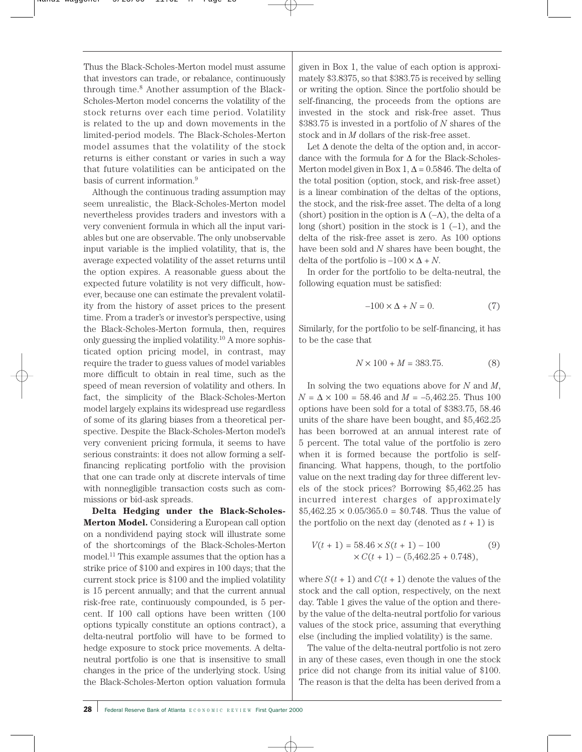Thus the Black-Scholes-Merton model must assume that investors can trade, or rebalance, continuously through time.8 Another assumption of the Black-Scholes-Merton model concerns the volatility of the stock returns over each time period. Volatility is related to the up and down movements in the limited-period models. The Black-Scholes-Merton model assumes that the volatility of the stock returns is either constant or varies in such a way that future volatilities can be anticipated on the basis of current information.9

Although the continuous trading assumption may seem unrealistic, the Black-Scholes-Merton model nevertheless provides traders and investors with a very convenient formula in which all the input variables but one are observable. The only unobservable input variable is the implied volatility, that is, the average expected volatility of the asset returns until the option expires. A reasonable guess about the expected future volatility is not very difficult, however, because one can estimate the prevalent volatility from the history of asset prices to the present time. From a trader's or investor's perspective, using the Black-Scholes-Merton formula, then, requires only guessing the implied volatility.<sup>10</sup> A more sophisticated option pricing model, in contrast, may require the trader to guess values of model variables more difficult to obtain in real time, such as the speed of mean reversion of volatility and others. In fact, the simplicity of the Black-Scholes-Merton model largely explains its widespread use regardless of some of its glaring biases from a theoretical perspective. Despite the Black-Scholes-Merton model's very convenient pricing formula, it seems to have serious constraints: it does not allow forming a selffinancing replicating portfolio with the provision that one can trade only at discrete intervals of time with nonnegligible transaction costs such as commissions or bid-ask spreads.

**Delta Hedging under the Black-Scholes-Merton Model.** Considering a European call option on a nondividend paying stock will illustrate some of the shortcomings of the Black-Scholes-Merton model.11 This example assumes that the option has a strike price of \$100 and expires in 100 days; that the current stock price is \$100 and the implied volatility is 15 percent annually; and that the current annual risk-free rate, continuously compounded, is 5 percent. If 100 call options have been written (100 options typically constitute an options contract), a delta-neutral portfolio will have to be formed to hedge exposure to stock price movements. A deltaneutral portfolio is one that is insensitive to small changes in the price of the underlying stock. Using the Black-Scholes-Merton option valuation formula

given in Box 1, the value of each option is approximately \$3.8375, so that \$383.75 is received by selling or writing the option. Since the portfolio should be self-financing, the proceeds from the options are invested in the stock and risk-free asset. Thus \$383.75 is invested in a portfolio of *N* shares of the stock and in *M* dollars of the risk-free asset.

Let ∆ denote the delta of the option and, in accordance with the formula for  $\Delta$  for the Black-Scholes-Merton model given in Box 1,  $\Delta = 0.5846$ . The delta of the total position (option, stock, and risk-free asset) is a linear combination of the deltas of the options, the stock, and the risk-free asset. The delta of a long (short) position in the option is  $\Lambda$  (- $\Lambda$ ), the delta of a long (short) position in the stock is  $1$  (-1), and the delta of the risk-free asset is zero. As 100 options have been sold and *N* shares have been bought, the delta of the portfolio is  $-100 \times \Delta + N$ .

In order for the portfolio to be delta-neutral, the following equation must be satisfied:

$$
-100 \times \Delta + N = 0. \tag{7}
$$

Similarly, for the portfolio to be self-financing, it has to be the case that

$$
N \times 100 + M = 383.75. \tag{8}
$$

In solving the two equations above for *N* and *M*,  $N = \Delta \times 100 = 58.46$  and  $M = -5,462.25$ . Thus 100 options have been sold for a total of \$383.75, 58.46 units of the share have been bought, and \$5,462.25 has been borrowed at an annual interest rate of 5 percent. The total value of the portfolio is zero when it is formed because the portfolio is selffinancing. What happens, though, to the portfolio value on the next trading day for three different levels of the stock prices? Borrowing \$5,462.25 has incurred interest charges of approximately  $$5,462.25 \times 0.05/365.0 = $0.748$ . Thus the value of the portfolio on the next day (denoted as  $t + 1$ ) is

$$
V(t + 1) = 58.46 \times S(t + 1) - 100
$$
 (9)  
× C(t + 1) – (5,462.25 + 0.748),

where  $S(t + 1)$  and  $C(t + 1)$  denote the values of the stock and the call option, respectively, on the next day. Table 1 gives the value of the option and thereby the value of the delta-neutral portfolio for various values of the stock price, assuming that everything else (including the implied volatility) is the same.

The value of the delta-neutral portfolio is not zero in any of these cases, even though in one the stock price did not change from its initial value of \$100. The reason is that the delta has been derived from a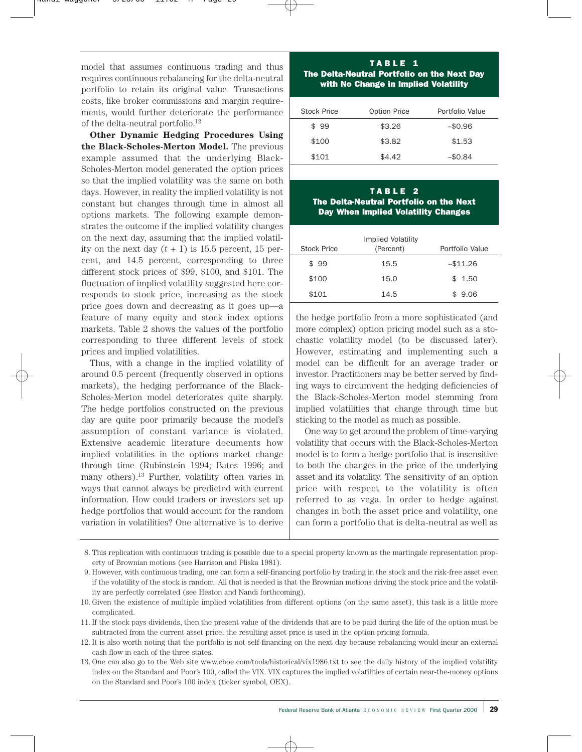model that assumes continuous trading and thus requires continuous rebalancing for the delta-neutral portfolio to retain its original value. Transactions costs, like broker commissions and margin requirements, would further deteriorate the performance of the delta-neutral portfolio.12

**Other Dynamic Hedging Procedures Using the Black-Scholes-Merton Model.** The previous example assumed that the underlying Black-Scholes-Merton model generated the option prices so that the implied volatility was the same on both days. However, in reality the implied volatility is not constant but changes through time in almost all options markets. The following example demonstrates the outcome if the implied volatility changes on the next day, assuming that the implied volatility on the next day  $(t + 1)$  is 15.5 percent, 15 percent, and 14.5 percent, corresponding to three different stock prices of \$99, \$100, and \$101. The fluctuation of implied volatility suggested here corresponds to stock price, increasing as the stock price goes down and decreasing as it goes up—a feature of many equity and stock index options markets. Table 2 shows the values of the portfolio corresponding to three different levels of stock prices and implied volatilities.

Thus, with a change in the implied volatility of around 0.5 percent (frequently observed in options markets), the hedging performance of the Black-Scholes-Merton model deteriorates quite sharply. The hedge portfolios constructed on the previous day are quite poor primarily because the model's assumption of constant variance is violated. Extensive academic literature documents how implied volatilities in the options market change through time (Rubinstein 1994; Bates 1996; and many others).13 Further, volatility often varies in ways that cannot always be predicted with current information. How could traders or investors set up hedge portfolios that would account for the random variation in volatilities? One alternative is to derive

## TABLE 1 The Delta-Neutral Portfolio on the Next Day with No Change in Implied Volatility

| Stock Price | <b>Option Price</b> | Portfolio Value |
|-------------|---------------------|-----------------|
| \$99        | \$3.26              | $-$0.96$        |
| \$100       | \$3.82              | \$1.53          |
| \$101       | \$4.42              | $-$0.84$        |

# TABLE 2 The Delta-Neutral Portfolio on the Next Day When Implied Volatility Changes

| Stock Price | Implied Volatility<br>(Percent) | Portfolio Value |
|-------------|---------------------------------|-----------------|
| \$99        | 15.5                            | $-$11.26$       |
| \$100       | 15.0                            | \$1.50          |
| \$101       | 14.5                            | \$9.06          |

the hedge portfolio from a more sophisticated (and more complex) option pricing model such as a stochastic volatility model (to be discussed later). However, estimating and implementing such a model can be difficult for an average trader or investor. Practitioners may be better served by finding ways to circumvent the hedging deficiencies of the Black-Scholes-Merton model stemming from implied volatilities that change through time but sticking to the model as much as possible.

One way to get around the problem of time-varying volatility that occurs with the Black-Scholes-Merton model is to form a hedge portfolio that is insensitive to both the changes in the price of the underlying asset and its volatility. The sensitivity of an option price with respect to the volatility is often referred to as vega. In order to hedge against changes in both the asset price and volatility, one can form a portfolio that is delta-neutral as well as

<sup>8.</sup> This replication with continuous trading is possible due to a special property known as the martingale representation property of Brownian motions (see Harrison and Pliska 1981).

<sup>9.</sup> However, with continuous trading, one can form a self-financing portfolio by trading in the stock and the risk-free asset even if the volatility of the stock is random. All that is needed is that the Brownian motions driving the stock price and the volatility are perfectly correlated (see Heston and Nandi forthcoming).

<sup>10.</sup> Given the existence of multiple implied volatilities from different options (on the same asset), this task is a little more complicated.

<sup>11.</sup> If the stock pays dividends, then the present value of the dividends that are to be paid during the life of the option must be subtracted from the current asset price; the resulting asset price is used in the option pricing formula.

<sup>12.</sup> It is also worth noting that the portfolio is not self-financing on the next day because rebalancing would incur an external cash flow in each of the three states.

<sup>13.</sup> One can also go to the Web site www.cboe.com/tools/historical/vix1986.txt to see the daily history of the implied volatility index on the Standard and Poor's 100, called the VIX. VIX captures the implied volatilities of certain near-the-money options on the Standard and Poor's 100 index (ticker symbol, OEX).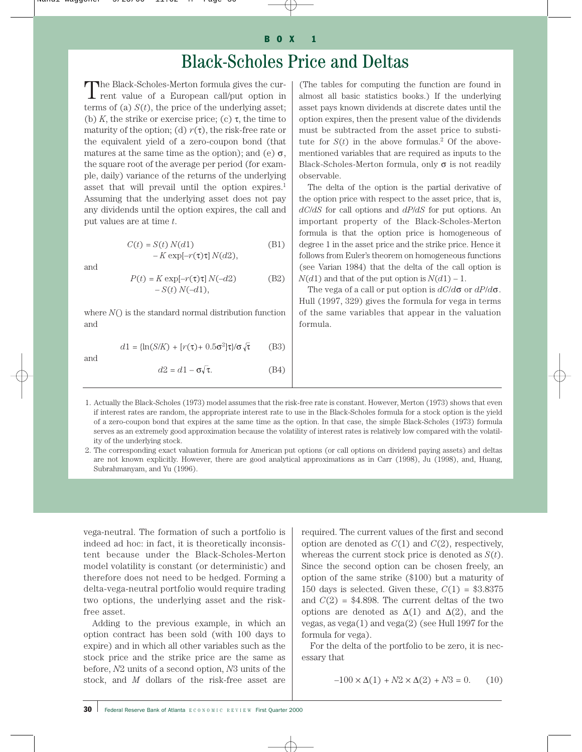# Black-Scholes Price and Deltas

The Black-Scholes-Merton formula gives the current value of a European call/put option in terms of (a)  $S(t)$ , the price of the underlying asset; (b)  $K$ , the strike or exercise price; (c)  $\tau$ , the time to maturity of the option; (d)  $r(\tau)$ , the risk-free rate or the equivalent yield of a zero-coupon bond (that matures at the same time as the option); and (e)  $\sigma$ , the square root of the average per period (for example, daily) variance of the returns of the underlying asset that will prevail until the option expires.<sup>1</sup> Assuming that the underlying asset does not pay any dividends until the option expires, the call and put values are at time *t*.

> $C(t) = S(t) N(d1)$  (B1) – *K* exp[–*r*(τ)τ] *N*(*d*2),

and

$$
P(t) = K \exp[-r(\tau)\tau] N(-d2)
$$
 (B2)  
- S(t) N(-d1),

where *N*() is the standard normal distribution function and

$$
d1 = \left\{ \ln(S/K) + \left[ r(\tau) + 0.5\sigma^2 \right] \tau \right\} / \sigma \sqrt{\tau} \tag{B3}
$$

and

 $d2 = d1 - \sigma \sqrt{\tau}$ . (B4)

(The tables for computing the function are found in almost all basic statistics books.) If the underlying asset pays known dividends at discrete dates until the option expires, then the present value of the dividends must be subtracted from the asset price to substitute for  $S(t)$  in the above formulas.<sup>2</sup> Of the abovementioned variables that are required as inputs to the Black-Scholes-Merton formula, only  $\sigma$  is not readily observable.

The delta of the option is the partial derivative of the option price with respect to the asset price, that is, *dC*/*dS* for call options and *dP*/*dS* for put options. An important property of the Black-Scholes-Merton formula is that the option price is homogeneous of degree 1 in the asset price and the strike price. Hence it follows from Euler's theorem on homogeneous functions (see Varian 1984) that the delta of the call option is  $N(d)$  and that of the put option is  $N(d) - 1$ .

The vega of a call or put option is *dC*/*d*σ or *dP*/*d*σ. Hull (1997, 329) gives the formula for vega in terms of the same variables that appear in the valuation formula.

- 1. Actually the Black-Scholes (1973) model assumes that the risk-free rate is constant. However, Merton (1973) shows that even if interest rates are random, the appropriate interest rate to use in the Black-Scholes formula for a stock option is the yield of a zero-coupon bond that expires at the same time as the option. In that case, the simple Black-Scholes (1973) formula serves as an extremely good approximation because the volatility of interest rates is relatively low compared with the volatility of the underlying stock.
- 2. The corresponding exact valuation formula for American put options (or call options on dividend paying assets) and deltas are not known explicitly. However, there are good analytical approximations as in Carr (1998), Ju (1998), and, Huang, Subrahmanyam, and Yu (1996).

vega-neutral. The formation of such a portfolio is indeed ad hoc: in fact, it is theoretically inconsistent because under the Black-Scholes-Merton model volatility is constant (or deterministic) and therefore does not need to be hedged. Forming a delta-vega-neutral portfolio would require trading two options, the underlying asset and the riskfree asset.

Adding to the previous example, in which an option contract has been sold (with 100 days to expire) and in which all other variables such as the stock price and the strike price are the same as before, *N*2 units of a second option, *N*3 units of the stock, and *M* dollars of the risk-free asset are

required. The current values of the first and second option are denoted as  $C(1)$  and  $C(2)$ , respectively, whereas the current stock price is denoted as *S*(*t*). Since the second option can be chosen freely, an option of the same strike (\$100) but a maturity of 150 days is selected. Given these,  $C(1) = $3.8375$ and  $C(2) = $4.898$ . The current deltas of the two options are denoted as  $\Delta(1)$  and  $\Delta(2)$ , and the vegas, as vega(1) and vega(2) (see Hull 1997 for the formula for vega).

For the delta of the portfolio to be zero, it is necessary that

$$
-100 \times \Delta(1) + N2 \times \Delta(2) + N3 = 0. \tag{10}
$$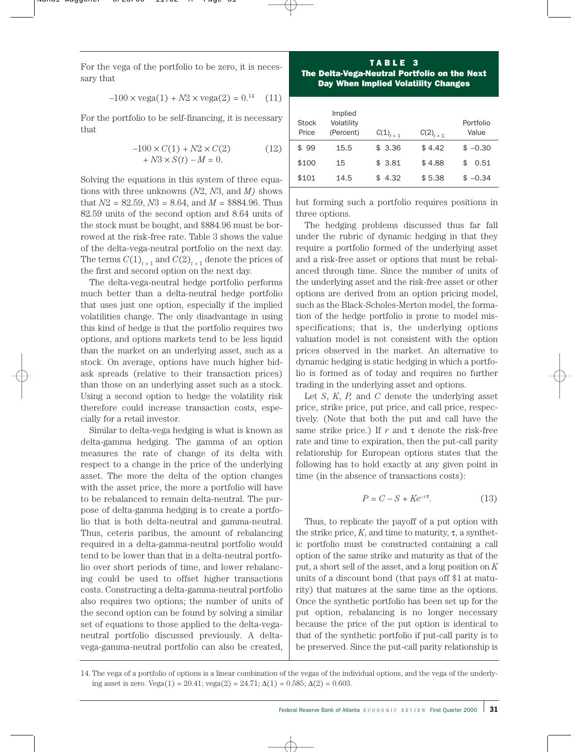For the vega of the portfolio to be zero, it is necessary that

$$
-100 \times \text{vega}(1) + N2 \times \text{vega}(2) = 0.^{14} \quad (11)
$$

For the portfolio to be self-financing, it is necessary that

$$
-100 \times C(1) + N2 \times C(2)
$$
  
+ N3 \times S(t) - M = 0. (12)

Solving the equations in this system of three equations with three unknowns (*N*2, *N*3, and *M)* shows that  $N2 = 82.59$ ,  $N3 = 8.64$ , and  $M = $884.96$ . Thus 82.59 units of the second option and 8.64 units of the stock must be bought, and \$884.96 must be borrowed at the risk-free rate. Table 3 shows the value of the delta-vega-neutral portfolio on the next day. The terms  $C(1)$ <sub>t+1</sub> and  $C(2)$ <sub>t+1</sub> denote the prices of the first and second option on the next day.

The delta-vega-neutral hedge portfolio performs much better than a delta-neutral hedge portfolio that uses just one option, especially if the implied volatilities change. The only disadvantage in using this kind of hedge is that the portfolio requires two options, and options markets tend to be less liquid than the market on an underlying asset, such as a stock. On average, options have much higher bidask spreads (relative to their transaction prices) than those on an underlying asset such as a stock. Using a second option to hedge the volatility risk therefore could increase transaction costs, especially for a retail investor.

Similar to delta-vega hedging is what is known as delta-gamma hedging. The gamma of an option measures the rate of change of its delta with respect to a change in the price of the underlying asset. The more the delta of the option changes with the asset price, the more a portfolio will have to be rebalanced to remain delta-neutral. The purpose of delta-gamma hedging is to create a portfolio that is both delta-neutral and gamma-neutral. Thus, ceteris paribus, the amount of rebalancing required in a delta-gamma-neutral portfolio would tend to be lower than that in a delta-neutral portfolio over short periods of time, and lower rebalancing could be used to offset higher transactions costs. Constructing a delta-gamma-neutral portfolio also requires two options; the number of units of the second option can be found by solving a similar set of equations to those applied to the delta-veganeutral portfolio discussed previously. A deltavega-gamma-neutral portfolio can also be created,

TABLE 3 The Delta-Vega-Neutral Portfolio on the Next Day When Implied Volatility Changes

| Stock<br>Price | Implied<br>Volatility<br>(Percent) | $C(1)_{t+1}$ | $C(2)_{t+1}$ | Portfolio<br>Value |
|----------------|------------------------------------|--------------|--------------|--------------------|
| \$99           | 15.5                               | \$3.36       | \$4.42       | $$ -0.30$          |
| \$100          | 15                                 | \$3.81       | \$4.88       | 0.51               |
| \$101          | 14.5                               | 4.32         | \$5.38       | $$ -0.34$          |

but forming such a portfolio requires positions in three options.

The hedging problems discussed thus far fall under the rubric of dynamic hedging in that they require a portfolio formed of the underlying asset and a risk-free asset or options that must be rebalanced through time. Since the number of units of the underlying asset and the risk-free asset or other options are derived from an option pricing model, such as the Black-Scholes-Merton model, the formation of the hedge portfolio is prone to model misspecifications; that is, the underlying options valuation model is not consistent with the option prices observed in the market. An alternative to dynamic hedging is static hedging in which a portfolio is formed as of today and requires no further trading in the underlying asset and options.

Let *S*, *K*, *P,* and *C* denote the underlying asset price, strike price, put price, and call price, respectively. (Note that both the put and call have the same strike price.) If  $r$  and  $\tau$  denote the risk-free rate and time to expiration, then the put-call parity relationship for European options states that the following has to hold exactly at any given point in time (in the absence of transactions costs):

$$
P = C - S + Ke^{-r\tau}.\tag{13}
$$

Thus, to replicate the payoff of a put option with the strike price,  $K$ , and time to maturity,  $\tau$ , a synthetic portfolio must be constructed containing a call option of the same strike and maturity as that of the put, a short sell of the asset, and a long position on *K* units of a discount bond (that pays off \$1 at maturity) that matures at the same time as the options. Once the synthetic portfolio has been set up for the put option, rebalancing is no longer necessary because the price of the put option is identical to that of the synthetic portfolio if put-call parity is to be preserved. Since the put-call parity relationship is

<sup>14.</sup> The vega of a portfolio of options is a linear combination of the vegas of the individual options, and the vega of the underlying asset is zero. Vega(1) = 20.41; vega(2) = 24.71;  $\Delta(1) = 0.585$ ;  $\Delta(2) = 0.603$ .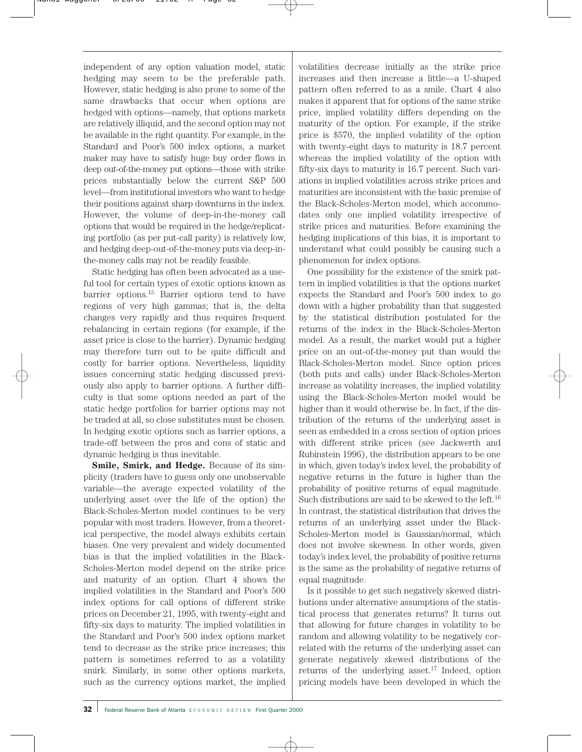independent of any option valuation model, static hedging may seem to be the preferable path. However, static hedging is also prone to some of the same drawbacks that occur when options are hedged with options—namely, that options markets are relatively illiquid, and the second option may not be available in the right quantity. For example, in the Standard and Poor's 500 index options, a market maker may have to satisfy huge buy order flows in deep out-of-the-money put options—those with strike prices substantially below the current S&P 500 level—from institutional investors who want to hedge their positions against sharp downturns in the index. However, the volume of deep-in-the-money call options that would be required in the hedge/replicating portfolio (as per put-call parity) is relatively low, and hedging deep-out-of-the-money puts via deep-inthe-money calls may not be readily feasible.

Static hedging has often been advocated as a useful tool for certain types of exotic options known as barrier options.15 Barrier options tend to have regions of very high gammas; that is, the delta changes very rapidly and thus requires frequent rebalancing in certain regions (for example, if the asset price is close to the barrier). Dynamic hedging may therefore turn out to be quite difficult and costly for barrier options. Nevertheless, liquidity issues concerning static hedging discussed previously also apply to barrier options. A further difficulty is that some options needed as part of the static hedge portfolios for barrier options may not be traded at all, so close substitutes must be chosen. In hedging exotic options such as barrier options, a trade-off between the pros and cons of static and dynamic hedging is thus inevitable.

**Smile, Smirk, and Hedge.** Because of its simplicity (traders have to guess only one unobservable variable—the average expected volatility of the underlying asset over the life of the option) the Black-Scholes-Merton model continues to be very popular with most traders. However, from a theoretical perspective, the model always exhibits certain biases. One very prevalent and widely documented bias is that the implied volatilities in the Black-Scholes-Merton model depend on the strike price and maturity of an option. Chart 4 shows the implied volatilities in the Standard and Poor's 500 index options for call options of different strike prices on December 21, 1995, with twenty-eight and fifty-six days to maturity. The implied volatilities in the Standard and Poor's 500 index options market tend to decrease as the strike price increases; this pattern is sometimes referred to as a volatility smirk. Similarly, in some other options markets, such as the currency options market, the implied volatilities decrease initially as the strike price increases and then increase a little—a U-shaped pattern often referred to as a smile. Chart 4 also makes it apparent that for options of the same strike price, implied volatility differs depending on the maturity of the option. For example, if the strike price is \$570, the implied volatility of the option with twenty-eight days to maturity is 18.7 percent whereas the implied volatility of the option with fifty-six days to maturity is 16.7 percent. Such variations in implied volatilities across strike prices and maturities are inconsistent with the basic premise of the Black-Scholes-Merton model, which accommodates only one implied volatility irrespective of strike prices and maturities. Before examining the hedging implications of this bias, it is important to understand what could possibly be causing such a phenomenon for index options.

One possibility for the existence of the smirk pattern in implied volatilities is that the options market expects the Standard and Poor's 500 index to go down with a higher probability than that suggested by the statistical distribution postulated for the returns of the index in the Black-Scholes-Merton model. As a result, the market would put a higher price on an out-of-the-money put than would the Black-Scholes-Merton model. Since option prices (both puts and calls) under Black-Scholes-Merton increase as volatility increases, the implied volatility using the Black-Scholes-Merton model would be higher than it would otherwise be. In fact, if the distribution of the returns of the underlying asset is seen as embedded in a cross section of option prices with different strike prices (see Jackwerth and Rubinstein 1996), the distribution appears to be one in which, given today's index level, the probability of negative returns in the future is higher than the probability of positive returns of equal magnitude. Such distributions are said to be skewed to the left.16 In contrast, the statistical distribution that drives the returns of an underlying asset under the Black-Scholes-Merton model is Gaussian/normal, which does not involve skewness. In other words, given today's index level, the probability of positive returns is the same as the probability of negative returns of equal magnitude.

Is it possible to get such negatively skewed distributions under alternative assumptions of the statistical process that generates returns? It turns out that allowing for future changes in volatility to be random and allowing volatility to be negatively correlated with the returns of the underlying asset can generate negatively skewed distributions of the returns of the underlying asset.<sup>17</sup> Indeed, option pricing models have been developed in which the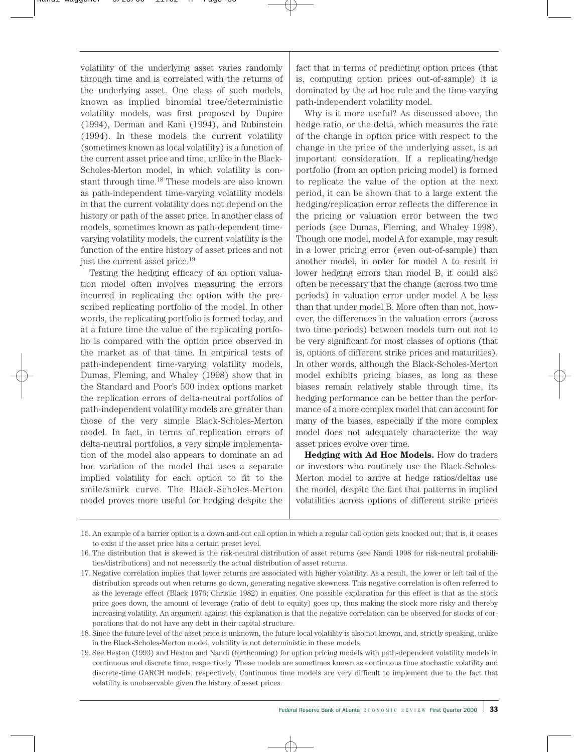volatility of the underlying asset varies randomly through time and is correlated with the returns of the underlying asset. One class of such models, known as implied binomial tree/deterministic volatility models, was first proposed by Dupire (1994), Derman and Kani (1994), and Rubinstein (1994). In these models the current volatility (sometimes known as local volatility) is a function of the current asset price and time, unlike in the Black-Scholes-Merton model, in which volatility is constant through time.18 These models are also known as path-independent time-varying volatility models in that the current volatility does not depend on the history or path of the asset price. In another class of models, sometimes known as path-dependent timevarying volatility models, the current volatility is the function of the entire history of asset prices and not just the current asset price.<sup>19</sup>

Testing the hedging efficacy of an option valuation model often involves measuring the errors incurred in replicating the option with the prescribed replicating portfolio of the model. In other words, the replicating portfolio is formed today, and at a future time the value of the replicating portfolio is compared with the option price observed in the market as of that time. In empirical tests of path-independent time-varying volatility models, Dumas, Fleming, and Whaley (1998) show that in the Standard and Poor's 500 index options market the replication errors of delta-neutral portfolios of path-independent volatility models are greater than those of the very simple Black-Scholes-Merton model. In fact, in terms of replication errors of delta-neutral portfolios, a very simple implementation of the model also appears to dominate an ad hoc variation of the model that uses a separate implied volatility for each option to fit to the smile/smirk curve. The Black-Scholes-Merton model proves more useful for hedging despite the

fact that in terms of predicting option prices (that is, computing option prices out-of-sample) it is dominated by the ad hoc rule and the time-varying path-independent volatility model.

Why is it more useful? As discussed above, the hedge ratio, or the delta, which measures the rate of the change in option price with respect to the change in the price of the underlying asset, is an important consideration. If a replicating/hedge portfolio (from an option pricing model) is formed to replicate the value of the option at the next period, it can be shown that to a large extent the hedging/replication error reflects the difference in the pricing or valuation error between the two periods (see Dumas, Fleming, and Whaley 1998). Though one model, model A for example, may result in a lower pricing error (even out-of-sample) than another model, in order for model A to result in lower hedging errors than model B, it could also often be necessary that the change (across two time periods) in valuation error under model A be less than that under model B. More often than not, however, the differences in the valuation errors (across two time periods) between models turn out not to be very significant for most classes of options (that is, options of different strike prices and maturities). In other words, although the Black-Scholes-Merton model exhibits pricing biases, as long as these biases remain relatively stable through time, its hedging performance can be better than the performance of a more complex model that can account for many of the biases, especially if the more complex model does not adequately characterize the way asset prices evolve over time.

**Hedging with Ad Hoc Models.** How do traders or investors who routinely use the Black-Scholes-Merton model to arrive at hedge ratios/deltas use the model, despite the fact that patterns in implied volatilities across options of different strike prices

<sup>15.</sup> An example of a barrier option is a down-and-out call option in which a regular call option gets knocked out; that is, it ceases to exist if the asset price hits a certain preset level.

<sup>16.</sup> The distribution that is skewed is the risk-neutral distribution of asset returns (see Nandi 1998 for risk-neutral probabilities/distributions) and not necessarily the actual distribution of asset returns.

<sup>17.</sup> Negative correlation implies that lower returns are associated with higher volatility. As a result, the lower or left tail of the distribution spreads out when returns go down, generating negative skewness. This negative correlation is often referred to as the leverage effect (Black 1976; Christie 1982) in equities. One possible explanation for this effect is that as the stock price goes down, the amount of leverage (ratio of debt to equity) goes up, thus making the stock more risky and thereby increasing volatility. An argument against this explanation is that the negative correlation can be observed for stocks of corporations that do not have any debt in their capital structure.

<sup>18.</sup> Since the future level of the asset price is unknown, the future local volatility is also not known, and, strictly speaking, unlike in the Black-Scholes-Merton model, volatility is not deterministic in these models.

<sup>19.</sup> See Heston (1993) and Heston and Nandi (forthcoming) for option pricing models with path-dependent volatility models in continuous and discrete time, respectively. These models are sometimes known as continuous time stochastic volatility and discrete-time GARCH models, respectively. Continuous time models are very difficult to implement due to the fact that volatility is unobservable given the history of asset prices.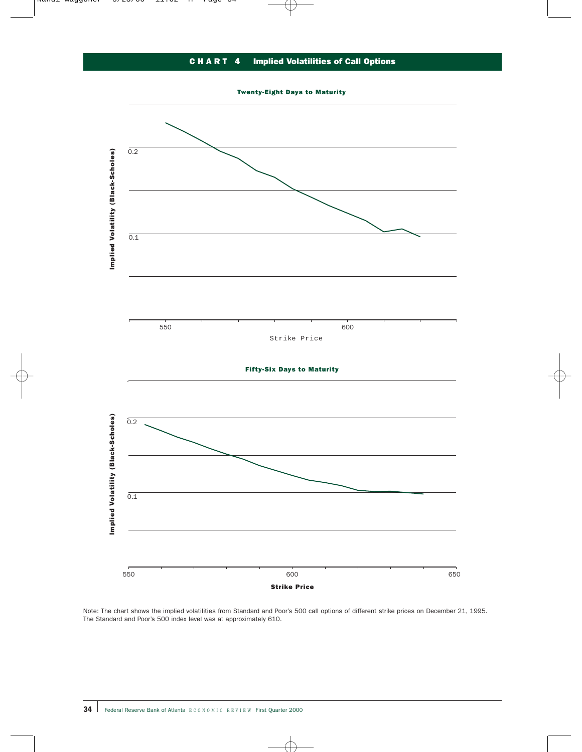# CHART 4 Implied Volatilities of Call Options

Twenty-Eight Days to Maturity



Note: The chart shows the implied volatilities from Standard and Poor's 500 call options of different strike prices on December 21, 1995. The Standard and Poor's 500 index level was at approximately 610.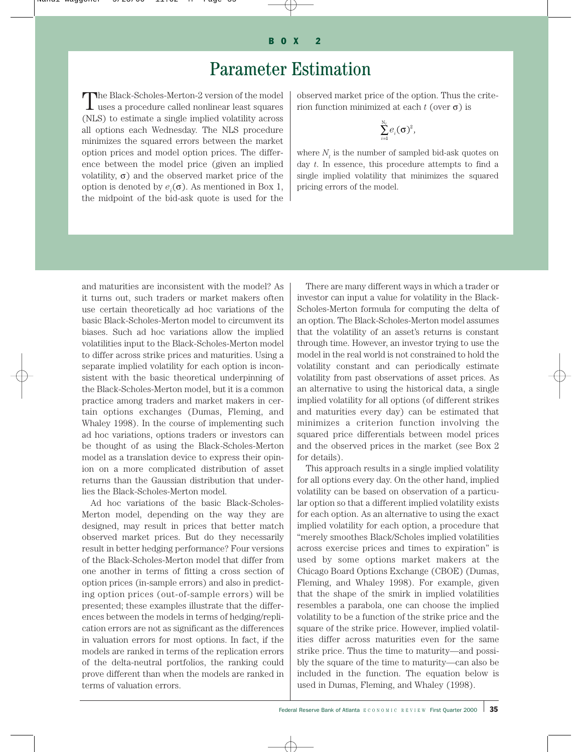# Parameter Estimation

The Black-Scholes-Merton-2 version of the model  $\perp$  uses a procedure called nonlinear least squares (NLS) to estimate a single implied volatility across all options each Wednesday. The NLS procedure minimizes the squared errors between the market option prices and model option prices. The difference between the model price (given an implied volatility,  $\sigma$ ) and the observed market price of the option is denoted by  $e_i(\sigma)$ . As mentioned in Box 1, the midpoint of the bid-ask quote is used for the observed market price of the option. Thus the criterion function minimized at each *t* (over σ) is

$$
\sum_{i=1}^{N_t} e_i(\sigma)^2,
$$

where  $N_t$  is the number of sampled bid-ask quotes on day *t*. In essence, this procedure attempts to find a single implied volatility that minimizes the squared pricing errors of the model.

and maturities are inconsistent with the model? As it turns out, such traders or market makers often use certain theoretically ad hoc variations of the basic Black-Scholes-Merton model to circumvent its biases. Such ad hoc variations allow the implied volatilities input to the Black-Scholes-Merton model to differ across strike prices and maturities. Using a separate implied volatility for each option is inconsistent with the basic theoretical underpinning of the Black-Scholes-Merton model, but it is a common practice among traders and market makers in certain options exchanges (Dumas, Fleming, and Whaley 1998). In the course of implementing such ad hoc variations, options traders or investors can be thought of as using the Black-Scholes-Merton model as a translation device to express their opinion on a more complicated distribution of asset returns than the Gaussian distribution that underlies the Black-Scholes-Merton model.

Ad hoc variations of the basic Black-Scholes-Merton model, depending on the way they are designed, may result in prices that better match observed market prices. But do they necessarily result in better hedging performance? Four versions of the Black-Scholes-Merton model that differ from one another in terms of fitting a cross section of option prices (in-sample errors) and also in predicting option prices (out-of-sample errors) will be presented; these examples illustrate that the differences between the models in terms of hedging/replication errors are not as significant as the differences in valuation errors for most options. In fact, if the models are ranked in terms of the replication errors of the delta-neutral portfolios, the ranking could prove different than when the models are ranked in terms of valuation errors.

There are many different ways in which a trader or investor can input a value for volatility in the Black-Scholes-Merton formula for computing the delta of an option. The Black-Scholes-Merton model assumes that the volatility of an asset's returns is constant through time. However, an investor trying to use the model in the real world is not constrained to hold the volatility constant and can periodically estimate volatility from past observations of asset prices. As an alternative to using the historical data, a single implied volatility for all options (of different strikes and maturities every day) can be estimated that minimizes a criterion function involving the squared price differentials between model prices and the observed prices in the market (see Box 2 for details).

This approach results in a single implied volatility for all options every day. On the other hand, implied volatility can be based on observation of a particular option so that a different implied volatility exists for each option. As an alternative to using the exact implied volatility for each option, a procedure that "merely smoothes Black/Scholes implied volatilities across exercise prices and times to expiration" is used by some options market makers at the Chicago Board Options Exchange (CBOE) (Dumas, Fleming, and Whaley 1998). For example, given that the shape of the smirk in implied volatilities resembles a parabola, one can choose the implied volatility to be a function of the strike price and the square of the strike price. However, implied volatilities differ across maturities even for the same strike price. Thus the time to maturity—and possibly the square of the time to maturity—can also be included in the function. The equation below is used in Dumas, Fleming, and Whaley (1998).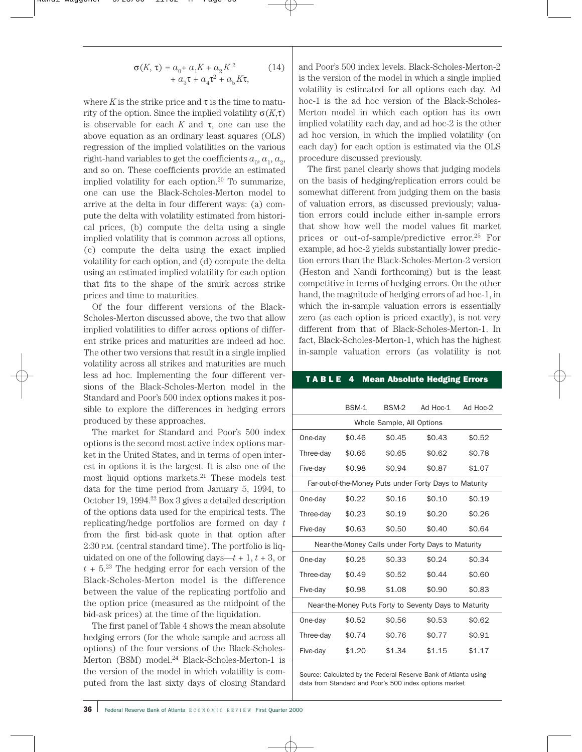$$
\sigma(K, \tau) = a_0 + a_1 K + a_2 K^2
$$
  
+ 
$$
a_3 \tau + a_4 \tau^2 + a_5 K \tau,
$$
 (14)

where  $K$  is the strike price and  $\tau$  is the time to maturity of the option. Since the implied volatility σ(*K*,τ) is observable for each  $K$  and  $\tau$ , one can use the above equation as an ordinary least squares (OLS) regression of the implied volatilities on the various right-hand variables to get the coefficients  $a_0, a_1, a_2$ , and so on. These coefficients provide an estimated implied volatility for each option.20 To summarize, one can use the Black-Scholes-Merton model to arrive at the delta in four different ways: (a) compute the delta with volatility estimated from historical prices, (b) compute the delta using a single implied volatility that is common across all options, (c) compute the delta using the exact implied volatility for each option, and (d) compute the delta using an estimated implied volatility for each option that fits to the shape of the smirk across strike prices and time to maturities.

Of the four different versions of the Black-Scholes-Merton discussed above, the two that allow implied volatilities to differ across options of different strike prices and maturities are indeed ad hoc. The other two versions that result in a single implied volatility across all strikes and maturities are much less ad hoc. Implementing the four different versions of the Black-Scholes-Merton model in the Standard and Poor's 500 index options makes it possible to explore the differences in hedging errors produced by these approaches.

The market for Standard and Poor's 500 index options is the second most active index options market in the United States, and in terms of open interest in options it is the largest. It is also one of the most liquid options markets.21 These models test data for the time period from January 5, 1994, to October 19, 1994.22 Box 3 gives a detailed description of the options data used for the empirical tests. The replicating/hedge portfolios are formed on day *t* from the first bid-ask quote in that option after 2:30 P.M. (central standard time). The portfolio is liquidated on one of the following days— $t + 1$ ,  $t + 3$ , or  $t + 5<sup>23</sup>$  The hedging error for each version of the Black-Scholes-Merton model is the difference between the value of the replicating portfolio and the option price (measured as the midpoint of the bid-ask prices) at the time of the liquidation.

The first panel of Table 4 shows the mean absolute hedging errors (for the whole sample and across all options) of the four versions of the Black-Scholes-Merton (BSM) model.<sup>24</sup> Black-Scholes-Merton-1 is the version of the model in which volatility is computed from the last sixty days of closing Standard and Poor's 500 index levels. Black-Scholes-Merton-2 is the version of the model in which a single implied volatility is estimated for all options each day. Ad hoc-1 is the ad hoc version of the Black-Scholes-Merton model in which each option has its own implied volatility each day, and ad hoc-2 is the other ad hoc version, in which the implied volatility (on each day) for each option is estimated via the OLS procedure discussed previously.

The first panel clearly shows that judging models on the basis of hedging/replication errors could be somewhat different from judging them on the basis of valuation errors, as discussed previously; valuation errors could include either in-sample errors that show how well the model values fit market prices or out-of-sample/predictive error.25 For example, ad hoc-2 yields substantially lower prediction errors than the Black-Scholes-Merton-2 version (Heston and Nandi forthcoming) but is the least competitive in terms of hedging errors. On the other hand, the magnitude of hedging errors of ad hoc-1, in which the in-sample valuation errors is essentially zero (as each option is priced exactly), is not very different from that of Black-Scholes-Merton-1. In fact, Black-Scholes-Merton-1, which has the highest in-sample valuation errors (as volatility is not

### TABLE 4 Mean Absolute Hedging Errors

|                                                        | BSM-1  | BSM-2                     | Ad Hoc-1                                              | Ad Hoc-2 |
|--------------------------------------------------------|--------|---------------------------|-------------------------------------------------------|----------|
|                                                        |        | Whole Sample, All Options |                                                       |          |
| One-day                                                | \$0.46 | \$0.45                    | \$0.43                                                | \$0.52   |
| Three-day                                              | \$0.66 | \$0.65                    | \$0.62                                                | \$0.78   |
| Five-day                                               | \$0.98 | \$0.94                    | \$0.87                                                | \$1.07   |
| Far-out-of-the-Money Puts under Forty Days to Maturity |        |                           |                                                       |          |
| One-day                                                | \$0.22 | \$0.16                    | \$0.10                                                | \$0.19   |
| Three-day                                              | \$0.23 | \$0.19                    | \$0.20                                                | \$0.26   |
| Five-day                                               | \$0.63 | \$0.50                    | \$0.40                                                | \$0.64   |
|                                                        |        |                           | Near-the-Money Calls under Forty Days to Maturity     |          |
| One-day                                                | \$0.25 | \$0.33                    | \$0.24                                                | \$0.34   |
| Three-dav                                              | \$0.49 | \$0.52                    | \$0.44                                                | \$0.60   |
| Five-day                                               | \$0.98 | \$1.08                    | \$0.90                                                | \$0.83   |
|                                                        |        |                           | Near-the-Money Puts Forty to Seventy Days to Maturity |          |
| One-day                                                | \$0.52 | \$0.56                    | \$0.53                                                | \$0.62   |
| Three-day                                              | \$0.74 | \$0.76                    | \$0.77                                                | \$0.91   |
| Five-day                                               | \$1.20 | \$1.34                    | \$1.15                                                | \$1.17   |

Source: Calculated by the Federal Reserve Bank of Atlanta using data from Standard and Poor's 500 index options market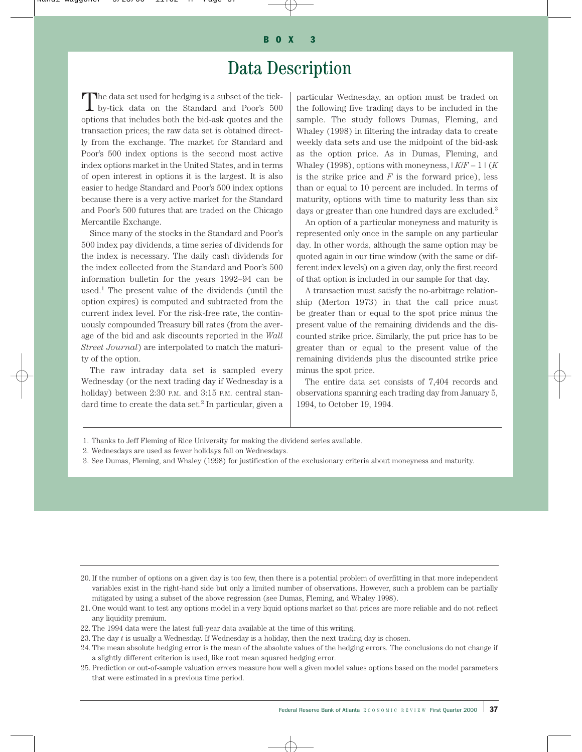# Data Description

The data set used for hedging is a subset of the tick-<br>by-tick data on the Standard and Poor's 500 options that includes both the bid-ask quotes and the transaction prices; the raw data set is obtained directly from the exchange. The market for Standard and Poor's 500 index options is the second most active index options market in the United States, and in terms of open interest in options it is the largest. It is also easier to hedge Standard and Poor's 500 index options because there is a very active market for the Standard and Poor's 500 futures that are traded on the Chicago Mercantile Exchange.

Since many of the stocks in the Standard and Poor's 500 index pay dividends, a time series of dividends for the index is necessary. The daily cash dividends for the index collected from the Standard and Poor's 500 information bulletin for the years 1992–94 can be used.<sup>1</sup> The present value of the dividends (until the option expires) is computed and subtracted from the current index level. For the risk-free rate, the continuously compounded Treasury bill rates (from the average of the bid and ask discounts reported in the *Wall Street Journal*) are interpolated to match the maturity of the option.

The raw intraday data set is sampled every Wednesday (or the next trading day if Wednesday is a holiday) between 2:30 P.M. and 3:15 P.M. central standard time to create the data set.<sup>2</sup> In particular, given a particular Wednesday, an option must be traded on the following five trading days to be included in the sample. The study follows Dumas, Fleming, and Whaley (1998) in filtering the intraday data to create weekly data sets and use the midpoint of the bid-ask as the option price. As in Dumas, Fleming, and Whaley (1998), options with moneyness,  $|K/F - 1|$  (*K*) is the strike price and  $F$  is the forward price), less than or equal to 10 percent are included. In terms of maturity, options with time to maturity less than six days or greater than one hundred days are excluded.<sup>3</sup>

An option of a particular moneyness and maturity is represented only once in the sample on any particular day. In other words, although the same option may be quoted again in our time window (with the same or different index levels) on a given day, only the first record of that option is included in our sample for that day.

A transaction must satisfy the no-arbitrage relationship (Merton 1973) in that the call price must be greater than or equal to the spot price minus the present value of the remaining dividends and the discounted strike price. Similarly, the put price has to be greater than or equal to the present value of the remaining dividends plus the discounted strike price minus the spot price.

The entire data set consists of 7,404 records and observations spanning each trading day from January 5, 1994, to October 19, 1994.

- 1. Thanks to Jeff Fleming of Rice University for making the dividend series available.
- 2. Wednesdays are used as fewer holidays fall on Wednesdays.
- 3. See Dumas, Fleming, and Whaley (1998) for justification of the exclusionary criteria about moneyness and maturity.

- 20. If the number of options on a given day is too few, then there is a potential problem of overfitting in that more independent variables exist in the right-hand side but only a limited number of observations. However, such a problem can be partially mitigated by using a subset of the above regression (see Dumas, Fleming, and Whaley 1998).
- 21. One would want to test any options model in a very liquid options market so that prices are more reliable and do not reflect any liquidity premium.
- 22. The 1994 data were the latest full-year data available at the time of this writing.
- 23. The day *t* is usually a Wednesday. If Wednesday is a holiday, then the next trading day is chosen.
- 24. The mean absolute hedging error is the mean of the absolute values of the hedging errors. The conclusions do not change if a slightly different criterion is used, like root mean squared hedging error.
- 25. Prediction or out-of-sample valuation errors measure how well a given model values options based on the model parameters that were estimated in a previous time period.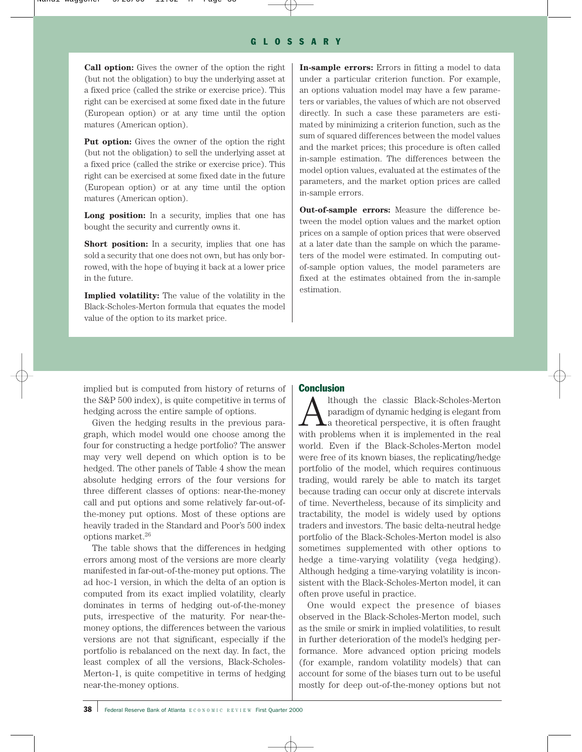**Call option:** Gives the owner of the option the right (but not the obligation) to buy the underlying asset at a fixed price (called the strike or exercise price). This right can be exercised at some fixed date in the future (European option) or at any time until the option matures (American option).

**Put option:** Gives the owner of the option the right (but not the obligation) to sell the underlying asset at a fixed price (called the strike or exercise price). This right can be exercised at some fixed date in the future (European option) or at any time until the option matures (American option).

**Long position:** In a security, implies that one has bought the security and currently owns it.

**Short position:** In a security, implies that one has sold a security that one does not own, but has only borrowed, with the hope of buying it back at a lower price in the future.

**Implied volatility:** The value of the volatility in the Black-Scholes-Merton formula that equates the model value of the option to its market price.

**In-sample errors:** Errors in fitting a model to data under a particular criterion function. For example, an options valuation model may have a few parameters or variables, the values of which are not observed directly. In such a case these parameters are estimated by minimizing a criterion function, such as the sum of squared differences between the model values and the market prices; this procedure is often called in-sample estimation. The differences between the model option values, evaluated at the estimates of the parameters, and the market option prices are called in-sample errors.

**Out-of-sample errors:** Measure the difference between the model option values and the market option prices on a sample of option prices that were observed at a later date than the sample on which the parameters of the model were estimated. In computing outof-sample option values, the model parameters are fixed at the estimates obtained from the in-sample estimation.

implied but is computed from history of returns of the S&P 500 index), is quite competitive in terms of hedging across the entire sample of options.

Given the hedging results in the previous paragraph, which model would one choose among the four for constructing a hedge portfolio? The answer may very well depend on which option is to be hedged. The other panels of Table 4 show the mean absolute hedging errors of the four versions for three different classes of options: near-the-money call and put options and some relatively far-out-ofthe-money put options. Most of these options are heavily traded in the Standard and Poor's 500 index options market.26

The table shows that the differences in hedging errors among most of the versions are more clearly manifested in far-out-of-the-money put options. The ad hoc-1 version, in which the delta of an option is computed from its exact implied volatility, clearly dominates in terms of hedging out-of-the-money puts, irrespective of the maturity. For near-themoney options, the differences between the various versions are not that significant, especially if the portfolio is rebalanced on the next day. In fact, the least complex of all the versions, Black-Scholes-Merton-1, is quite competitive in terms of hedging near-the-money options.

### Conclusion

Although the classic Black-Scholes-Merton paradigm of dynamic hedging is elegant from a theoretical perspective, it is often fraught with problems when it is implemented in the real world. Even if the Black-Scholes-Merton model were free of its known biases, the replicating/hedge portfolio of the model, which requires continuous trading, would rarely be able to match its target because trading can occur only at discrete intervals of time. Nevertheless, because of its simplicity and tractability, the model is widely used by options traders and investors. The basic delta-neutral hedge portfolio of the Black-Scholes-Merton model is also sometimes supplemented with other options to hedge a time-varying volatility (vega hedging). Although hedging a time-varying volatility is inconsistent with the Black-Scholes-Merton model, it can often prove useful in practice.

One would expect the presence of biases observed in the Black-Scholes-Merton model, such as the smile or smirk in implied volatilities, to result in further deterioration of the model's hedging performance. More advanced option pricing models (for example, random volatility models) that can account for some of the biases turn out to be useful mostly for deep out-of-the-money options but not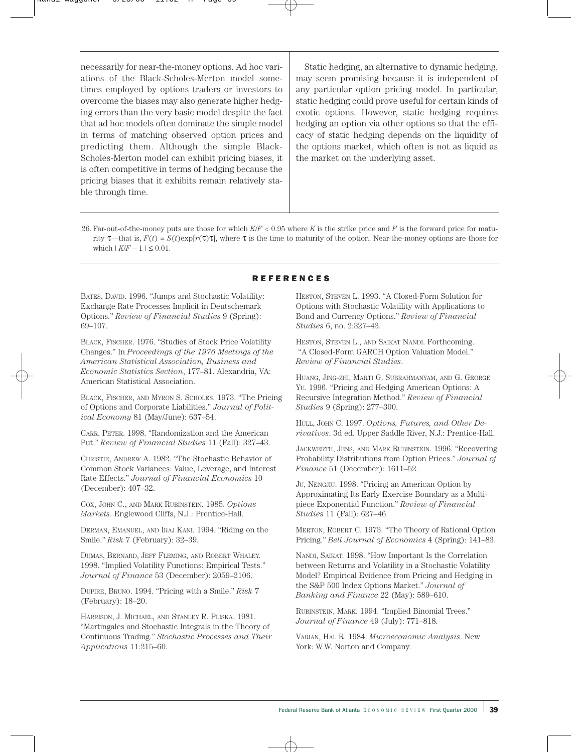necessarily for near-the-money options. Ad hoc variations of the Black-Scholes-Merton model sometimes employed by options traders or investors to overcome the biases may also generate higher hedging errors than the very basic model despite the fact that ad hoc models often dominate the simple model in terms of matching observed option prices and predicting them. Although the simple Black-Scholes-Merton model can exhibit pricing biases, it is often competitive in terms of hedging because the pricing biases that it exhibits remain relatively stable through time.

Static hedging, an alternative to dynamic hedging, may seem promising because it is independent of any particular option pricing model. In particular, static hedging could prove useful for certain kinds of exotic options. However, static hedging requires hedging an option via other options so that the efficacy of static hedging depends on the liquidity of the options market, which often is not as liquid as the market on the underlying asset.

26. Far-out-of-the-money puts are those for which *K*/*F* < 0.95 where *K* is the strike price and *F* is the forward price for maturity  $\tau$ —that is,  $F(t) = S(t) \exp[r(\tau)\tau]$ , where  $\tau$  is the time to maturity of the option. Near-the-money options are those for which  $|K/F - 1| \leq 0.01$ .

BATES, DAVID. 1996. "Jumps and Stochastic Volatility: Exchange Rate Processes Implicit in Deutschemark Options." *Review of Financial Studies* 9 (Spring): 69–107.

BLACK, FISCHER. 1976. "Studies of Stock Price Volatility Changes." In *Proceedings of the 1976 Meetings of the American Statistical Association, Business and Economic Statistics Section*, 177–81. Alexandria, VA: American Statistical Association.

BLACK, FISCHER, AND MYRON S. SCHOLES. 1973. "The Pricing of Options and Corporate Liabilities." *Journal of Political Economy* 81 (May/June): 637–54.

CARR, PETER. 1998. "Randomization and the American Put." *Review of Financial Studies* 11 (Fall): 327–43.

CHRISTIE, ANDREW A. 1982. "The Stochastic Behavior of Common Stock Variances: Value, Leverage, and Interest Rate Effects." *Journal of Financial Economics* 10 (December): 407–32.

COX, JOHN C., AND MARK RUBINSTEIN. 1985. *Options Markets*. Englewood Cliffs, N.J.: Prentice-Hall.

DERMAN, EMANUEL, AND IRAJ KANI. 1994. "Riding on the Smile." *Risk* 7 (February): 32–39.

DUMAS, BERNARD, JEFF FLEMING, AND ROBERT WHALEY. 1998. "Implied Volatility Functions: Empirical Tests." *Journal of Finance* 53 (December): 2059–2106.

DUPIRE, BRUNO. 1994. "Pricing with a Smile." *Risk* 7 (February): 18–20.

HARRISON, J. MICHAEL, AND STANLEY R. PLISKA. 1981. "Martingales and Stochastic Integrals in the Theory of Continuous Trading." *Stochastic Processes and Their Applications* 11:215–60.

### **REFERENCES**

HESTON, STEVEN L. 1993. "A Closed-Form Solution for Options with Stochastic Volatility with Applications to Bond and Currency Options." *Review of Financial Studies* 6, no. 2:327–43.

HESTON, STEVEN L., AND SAIKAT NANDI. Forthcoming. "A Closed-Form GARCH Option Valuation Model." *Review of Financial Studies*.

HUANG, JING-ZHI, MARTI G. SUBRAHMANYAM, AND G. GEORGE YU. 1996. "Pricing and Hedging American Options: A Recursive Integration Method." *Review of Financial Studies* 9 (Spring): 277–300.

HULL, JOHN C. 1997. *Options, Futures, and Other Derivatives*. 3d ed. Upper Saddle River, N.J.: Prentice-Hall.

JACKWERTH, JENS, AND MARK RUBINSTEIN. 1996. "Recovering Probability Distributions from Option Prices." *Journal of Finance* 51 (December): 1611–52.

JU, NENGJIU. 1998. "Pricing an American Option by Approximating Its Early Exercise Boundary as a Multipiece Exponential Function." *Review of Financial Studies* 11 (Fall): 627–46.

MERTON, ROBERT C. 1973. "The Theory of Rational Option Pricing." *Bell Journal of Economics* 4 (Spring): 141–83.

NANDI, SAIKAT. 1998. "How Important Is the Correlation between Returns and Volatility in a Stochastic Volatility Model? Empirical Evidence from Pricing and Hedging in the S&P 500 Index Options Market." *Journal of Banking and Finance* 22 (May): 589–610.

RUBINSTEIN, MARK. 1994. "Implied Binomial Trees." *Journal of Finance* 49 (July): 771–818.

VARIAN, HAL R. 1984. *Microeconomic Analysis*. New York: W.W. Norton and Company.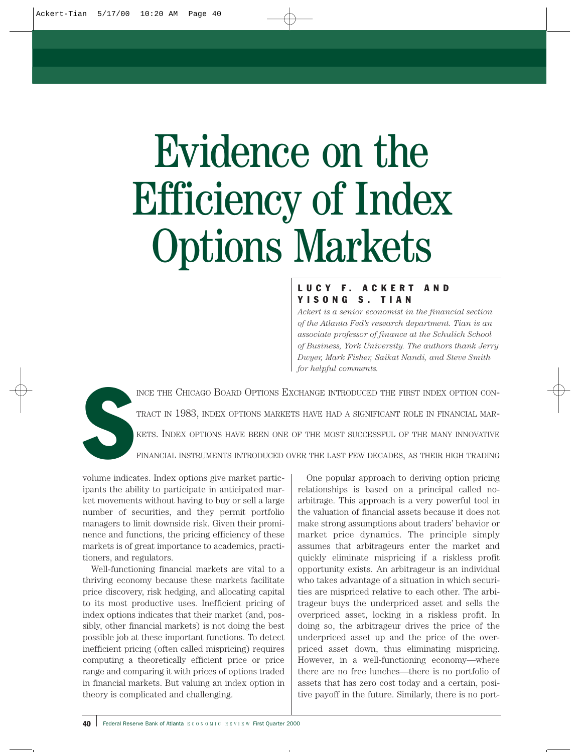# Evidence on the Efficiency of Index Options Markets

# LUCY F. ACKERT AND YISONG S. TIAN

*Ackert is a senior economist in the financial section of the Atlanta Fed's research department. Tian is an associate professor of finance at the Schulich School of Business, York University. The authors thank Jerry Dwyer, Mark Fisher, Saikat Nandi, and Steve Smith for helpful comments.*

S INCE THE CHICAGO BOARD OPTIONS EXCHANGE INTRODUCED THE FIRST INDEX OPTION CON-TRACT IN 1983, INDEX OPTIONS MARKETS HAVE HAD A SIGNIFICANT ROLE IN FINANCIAL MAR-KETS. INDEX OPTIONS HAVE BEEN ONE OF THE MOST SUCCESSFUL OF THE MANY INNOVATIVE FINANCIAL INSTRUMENTS INTRODUCED OVER THE LAST FEW DECADES, AS THEIR HIGH TRADING

volume indicates. Index options give market participants the ability to participate in anticipated market movements without having to buy or sell a large number of securities, and they permit portfolio managers to limit downside risk. Given their prominence and functions, the pricing efficiency of these markets is of great importance to academics, practitioners, and regulators.

Well-functioning financial markets are vital to a thriving economy because these markets facilitate price discovery, risk hedging, and allocating capital to its most productive uses. Inefficient pricing of index options indicates that their market (and, possibly, other financial markets) is not doing the best possible job at these important functions. To detect inefficient pricing (often called mispricing) requires computing a theoretically efficient price or price range and comparing it with prices of options traded in financial markets. But valuing an index option in theory is complicated and challenging.

One popular approach to deriving option pricing relationships is based on a principal called noarbitrage. This approach is a very powerful tool in the valuation of financial assets because it does not make strong assumptions about traders' behavior or market price dynamics. The principle simply assumes that arbitrageurs enter the market and quickly eliminate mispricing if a riskless profit opportunity exists. An arbitrageur is an individual who takes advantage of a situation in which securities are mispriced relative to each other. The arbitrageur buys the underpriced asset and sells the overpriced asset, locking in a riskless profit. In doing so, the arbitrageur drives the price of the underpriced asset up and the price of the overpriced asset down, thus eliminating mispricing. However, in a well-functioning economy—where there are no free lunches—there is no portfolio of assets that has zero cost today and a certain, positive payoff in the future. Similarly, there is no port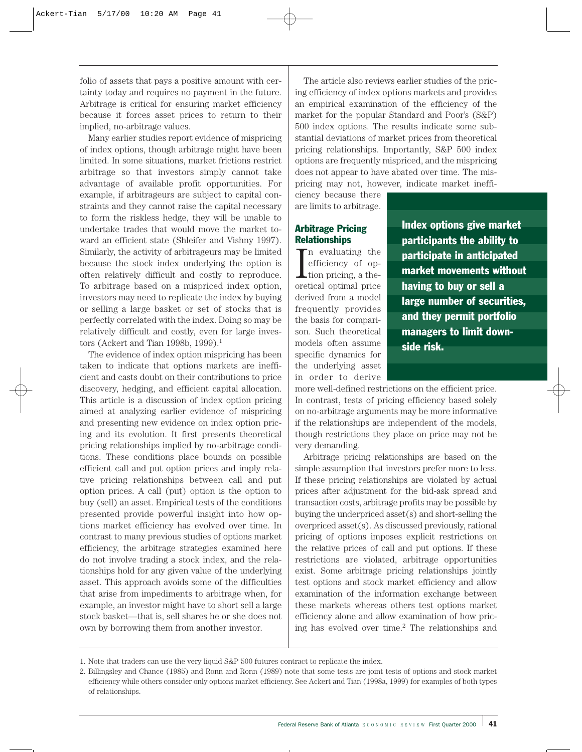folio of assets that pays a positive amount with certainty today and requires no payment in the future. Arbitrage is critical for ensuring market efficiency because it forces asset prices to return to their implied, no-arbitrage values.

Many earlier studies report evidence of mispricing of index options, though arbitrage might have been limited. In some situations, market frictions restrict arbitrage so that investors simply cannot take advantage of available profit opportunities. For example, if arbitrageurs are subject to capital constraints and they cannot raise the capital necessary to form the riskless hedge, they will be unable to undertake trades that would move the market toward an efficient state (Shleifer and Vishny 1997). Similarly, the activity of arbitrageurs may be limited because the stock index underlying the option is often relatively difficult and costly to reproduce. To arbitrage based on a mispriced index option, investors may need to replicate the index by buying or selling a large basket or set of stocks that is perfectly correlated with the index. Doing so may be relatively difficult and costly, even for large investors (Ackert and Tian 1998b, 1999).<sup>1</sup>

The evidence of index option mispricing has been taken to indicate that options markets are inefficient and casts doubt on their contributions to price discovery, hedging, and efficient capital allocation. This article is a discussion of index option pricing aimed at analyzing earlier evidence of mispricing and presenting new evidence on index option pricing and its evolution. It first presents theoretical pricing relationships implied by no-arbitrage conditions. These conditions place bounds on possible efficient call and put option prices and imply relative pricing relationships between call and put option prices. A call (put) option is the option to buy (sell) an asset. Empirical tests of the conditions presented provide powerful insight into how options market efficiency has evolved over time. In contrast to many previous studies of options market efficiency, the arbitrage strategies examined here do not involve trading a stock index, and the relationships hold for any given value of the underlying asset. This approach avoids some of the difficulties that arise from impediments to arbitrage when, for example, an investor might have to short sell a large stock basket—that is, sell shares he or she does not own by borrowing them from another investor.

The article also reviews earlier studies of the pricing efficiency of index options markets and provides an empirical examination of the efficiency of the market for the popular Standard and Poor's (S&P) 500 index options. The results indicate some substantial deviations of market prices from theoretical pricing relationships. Importantly, S&P 500 index options are frequently mispriced, and the mispricing does not appear to have abated over time. The mispricing may not, however, indicate market ineffi-

ciency because there are limits to arbitrage.

# Arbitrage Pricing **Relationships**

In evaluating the<br>efficiency of op-<br>tion pricing, a the-<br>oretical optimal price n evaluating the efficiency of option pricing, a thederived from a model frequently provides the basis for comparison. Such theoretical models often assume specific dynamics for the underlying asset in order to derive Index options give market participants the ability to participate in anticipated market movements without having to buy or sell a large number of securities, and they permit portfolio managers to limit downside risk.

more well-defined restrictions on the efficient price. In contrast, tests of pricing efficiency based solely on no-arbitrage arguments may be more informative if the relationships are independent of the models, though restrictions they place on price may not be very demanding.

Arbitrage pricing relationships are based on the simple assumption that investors prefer more to less. If these pricing relationships are violated by actual prices after adjustment for the bid-ask spread and transaction costs, arbitrage profits may be possible by buying the underpriced asset(s) and short-selling the overpriced asset(s). As discussed previously, rational pricing of options imposes explicit restrictions on the relative prices of call and put options. If these restrictions are violated, arbitrage opportunities exist. Some arbitrage pricing relationships jointly test options and stock market efficiency and allow examination of the information exchange between these markets whereas others test options market efficiency alone and allow examination of how pricing has evolved over time.2 The relationships and

<sup>1.</sup> Note that traders can use the very liquid S&P 500 futures contract to replicate the index.

<sup>2.</sup> Billingsley and Chance (1985) and Ronn and Ronn (1989) note that some tests are joint tests of options and stock market efficiency while others consider only options market efficiency. See Ackert and Tian (1998a, 1999) for examples of both types of relationships.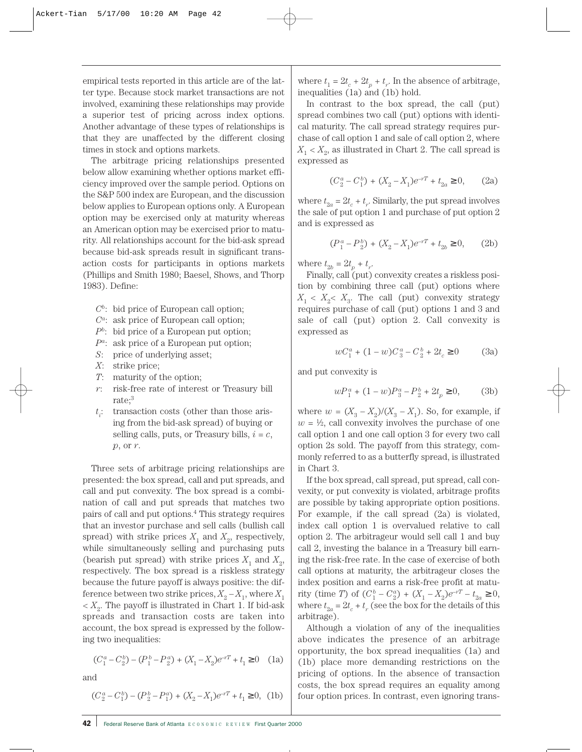empirical tests reported in this article are of the latter type. Because stock market transactions are not involved, examining these relationships may provide a superior test of pricing across index options. Another advantage of these types of relationships is that they are unaffected by the different closing times in stock and options markets.

The arbitrage pricing relationships presented below allow examining whether options market efficiency improved over the sample period. Options on the S&P 500 index are European, and the discussion below applies to European options only. A European option may be exercised only at maturity whereas an American option may be exercised prior to maturity. All relationships account for the bid-ask spread because bid-ask spreads result in significant transaction costs for participants in options markets (Phillips and Smith 1980; Baesel, Shows, and Thorp 1983). Define:

- *Cb*: bid price of European call option;
- *Ca*: ask price of European call option;
- *Pb*: bid price of a European put option;
- *Pa*: ask price of a European put option;
- *S*: price of underlying asset;
- *X*: strike price;
- *T*: maturity of the option;
- *r*: risk-free rate of interest or Treasury bill rate;3
- *t i* : transaction costs (other than those arising from the bid-ask spread) of buying or selling calls, puts, or Treasury bills,  $i = c$ , *p*, or *r*.

Three sets of arbitrage pricing relationships are presented: the box spread, call and put spreads, and call and put convexity. The box spread is a combination of call and put spreads that matches two pairs of call and put options.4 This strategy requires that an investor purchase and sell calls (bullish call spread) with strike prices  $X_1$  and  $X_2$ , respectively, while simultaneously selling and purchasing puts (bearish put spread) with strike prices  $X_1$  and  $X_2$ , respectively. The box spread is a riskless strategy because the future payoff is always positive: the difference between two strike prices,  $X_2 - X_1$ , where  $X_1$  $\langle X_{2}, \rangle$ . The payoff is illustrated in Chart 1. If bid-ask spreads and transaction costs are taken into account, the box spread is expressed by the following two inequalities:

$$
(C_1^a - C_2^b) - (P_1^b - P_2^a) + (X_1 - X_2)e^{-rT} + t_1 \ge 0 \quad (1a)
$$

and

$$
(C_2^a - C_1^b) - (P_2^b - P_1^a) + (X_2 - X_1)e^{-rT} + t_1 \ge 0, \text{ (1b)}
$$

where  $t_1 = 2t_c + 2t_p + t_r$ . In the absence of arbitrage, inequalities (1a) and (1b) hold.

In contrast to the box spread, the call (put) spread combines two call (put) options with identical maturity. The call spread strategy requires purchase of call option 1 and sale of call option 2, where  $X_1$  <  $X_2$ , as illustrated in Chart 2. The call spread is expressed as

$$
(C_2^a - C_1^b) + (X_2 - X_1)e^{-rT} + t_{2a} \ge 0, \qquad (2a)
$$

where  $t_{2a} = 2t_c + t_r$ . Similarly, the put spread involves the sale of put option 1 and purchase of put option 2 and is expressed as

$$
(P_1^a - P_2^b) + (X_2 - X_1)e^{-rT} + t_{2b} \ge 0, \qquad (2b)
$$

where  $t_{2b} = 2t_p + t_r$ .

Finally, call (put) convexity creates a riskless position by combining three call (put) options where  $X_1 \leq X_2 \leq X_3$ . The call (put) convexity strategy requires purchase of call (put) options 1 and 3 and sale of call (put) option 2. Call convexity is expressed as

$$
wC_1^a + (1 - w)C_3^a - C_2^b + 2t_c \ge 0 \tag{3a}
$$

and put convexity is

$$
wP_1^a + (1 - w)P_3^a - P_2^b + 2t_p \ge 0,\tag{3b}
$$

where  $w = (X_3 - X_2)/(X_3 - X_1)$ . So, for example, if  $w = \frac{1}{2}$ , call convexity involves the purchase of one call option 1 and one call option 3 for every two call option 2s sold. The payoff from this strategy, commonly referred to as a butterfly spread, is illustrated in Chart 3.

If the box spread, call spread, put spread, call convexity, or put convexity is violated, arbitrage profits are possible by taking appropriate option positions. For example, if the call spread (2a) is violated, index call option 1 is overvalued relative to call option 2. The arbitrageur would sell call 1 and buy call 2, investing the balance in a Treasury bill earning the risk-free rate. In the case of exercise of both call options at maturity, the arbitrageur closes the index position and earns a risk-free profit at maturity (time *T*) of  $(C_1^b - C_2^a) + (X_1 - X_2)e^{-rT} - t_{2a} \ge 0$ , where  $t_{2a} = 2t_c + t_r$  (see the box for the details of this arbitrage).

Although a violation of any of the inequalities above indicates the presence of an arbitrage opportunity, the box spread inequalities (1a) and (1b) place more demanding restrictions on the pricing of options. In the absence of transaction costs, the box spread requires an equality among four option prices. In contrast, even ignoring trans-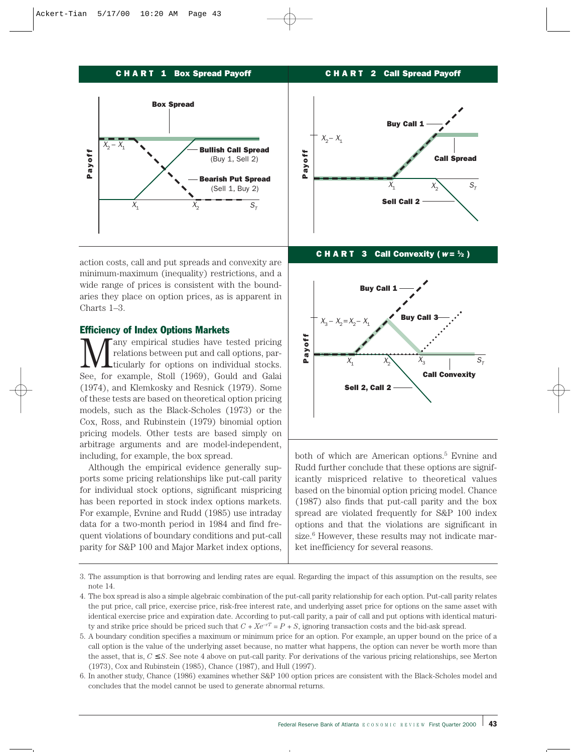### CHART 1 Box Spread Payoff



action costs, call and put spreads and convexity are minimum-maximum (inequality) restrictions, and a wide range of prices is consistent with the boundaries they place on option prices, as is apparent in Charts 1–3.

### Efficiency of Index Options Markets

any empirical studies have tested pricing relations between put and call options, particularly for options on individual stocks. See, for example, Stoll (1969), Gould and Galai (1974), and Klemkosky and Resnick (1979). Some of these tests are based on theoretical option pricing models, such as the Black-Scholes (1973) or the Cox, Ross, and Rubinstein (1979) binomial option pricing models. Other tests are based simply on arbitrage arguments and are model-independent, including, for example, the box spread.

Although the empirical evidence generally supports some pricing relationships like put-call parity for individual stock options, significant mispricing has been reported in stock index options markets. For example, Evnine and Rudd (1985) use intraday data for a two-month period in 1984 and find frequent violations of boundary conditions and put-call parity for S&P 100 and Major Market index options,



CHART 2 Call Spread Payoff

#### C **H A R T** 3 Call Convexity ( $w = \frac{1}{2}$ )



both of which are American options.<sup>5</sup> Evnine and Rudd further conclude that these options are significantly mispriced relative to theoretical values based on the binomial option pricing model. Chance (1987) also finds that put-call parity and the box spread are violated frequently for S&P 100 index options and that the violations are significant in size.<sup>6</sup> However, these results may not indicate market inefficiency for several reasons.

<sup>3.</sup> The assumption is that borrowing and lending rates are equal. Regarding the impact of this assumption on the results, see note 14.

<sup>4.</sup> The box spread is also a simple algebraic combination of the put-call parity relationship for each option. Put-call parity relates the put price, call price, exercise price, risk-free interest rate, and underlying asset price for options on the same asset with identical exercise price and expiration date. According to put-call parity, a pair of call and put options with identical maturity and strike price should be priced such that  $C + Xe^{-rT} = P + S$ , ignoring transaction costs and the bid-ask spread.

<sup>5.</sup> A boundary condition specifies a maximum or minimum price for an option. For example, an upper bound on the price of a call option is the value of the underlying asset because, no matter what happens, the option can never be worth more than the asset, that is, *C* ≤ *S*. See note 4 above on put-call parity. For derivations of the various pricing relationships, see Merton (1973), Cox and Rubinstein (1985), Chance (1987), and Hull (1997).

<sup>6.</sup> In another study, Chance (1986) examines whether S&P 100 option prices are consistent with the Black-Scholes model and concludes that the model cannot be used to generate abnormal returns.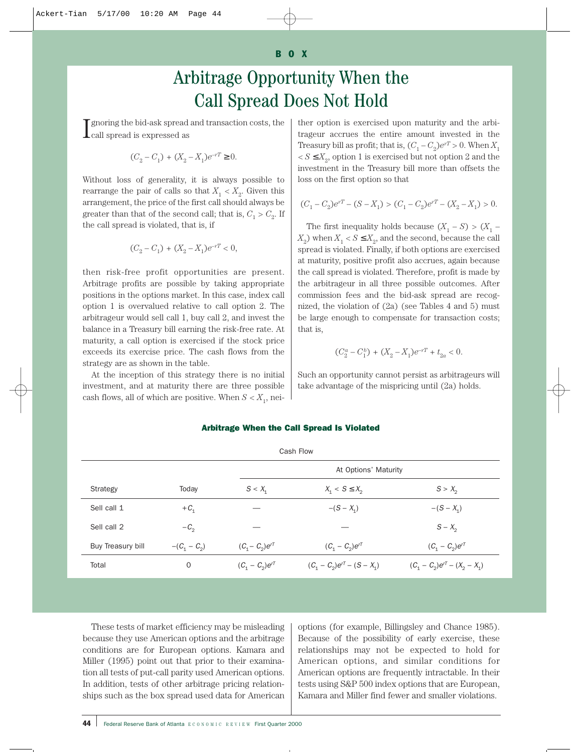### BOX

# Arbitrage Opportunity When the Call Spread Does Not Hold

 ${\bf I}$  gnoring the bid-ask spread and transaction costs, the call spread is expressed as call spread is expressed as

$$
(C_2-C_1)+(X_2-X_1)e^{-rT}\geq 0.
$$

Without loss of generality, it is always possible to rearrange the pair of calls so that  $X_1 < X_2$ . Given this arrangement, the price of the first call should always be greater than that of the second call; that is,  $C_1 > C_2$ . If the call spread is violated, that is, if

$$
(C_2 - C_1) + (X_2 - X_1)e^{-rT} < 0,
$$

then risk-free profit opportunities are present. Arbitrage profits are possible by taking appropriate positions in the options market. In this case, index call option 1 is overvalued relative to call option 2. The arbitrageur would sell call 1, buy call 2, and invest the balance in a Treasury bill earning the risk-free rate. At maturity, a call option is exercised if the stock price exceeds its exercise price. The cash flows from the strategy are as shown in the table.

At the inception of this strategy there is no initial investment, and at maturity there are three possible cash flows, all of which are positive. When  $S < X_1$ , neither option is exercised upon maturity and the arbitrageur accrues the entire amount invested in the Treasury bill as profit; that is,  $(C_1 - C_2)e^{rT} > 0$ . When  $X_1$  $S \leq X_{\alpha}$ , option 1 is exercised but not option 2 and the investment in the Treasury bill more than offsets the loss on the first option so that

$$
(C_1-C_2)e^{rT}-(S-X_1)>(C_1-C_2)e^{rT}-(X_2-X_1)>0.
$$

The first inequality holds because  $(X_1 - S) > (X_1 - S)$  $X_2$ ) when  $X_1 < S \leq X_2$ , and the second, because the call spread is violated. Finally, if both options are exercised at maturity, positive profit also accrues, again because the call spread is violated. Therefore, profit is made by the arbitrageur in all three possible outcomes. After commission fees and the bid-ask spread are recognized, the violation of (2a) (see Tables 4 and 5) must be large enough to compensate for transaction costs; that is,

$$
(C_2^a - C_1^b) + (X_2 - X_1)e^{-rT} + t_{2a} < 0.
$$

Such an opportunity cannot persist as arbitrageurs will take advantage of the mispricing until (2a) holds.

|                   |                |                     | Cash Flow                       |                                   |
|-------------------|----------------|---------------------|---------------------------------|-----------------------------------|
|                   |                |                     | At Options' Maturity            |                                   |
| Strategy          | Today          | $S < X_1$           | $X_1 < S \leq X_2$              | $S > X_2$                         |
| Sell call 1       | $+C_{1}$       |                     | $-(S - X_1)$                    | $-(S - X_1)$                      |
| Sell call 2       | $-C_{2}$       |                     |                                 | $S - X_2$                         |
| Buy Treasury bill | $-(C_1 - C_2)$ | $(C_1 - C_2)e^{rT}$ | $(C_1 - C_2)e^{rT}$             | $(C_1 - C_2)e^{rT}$               |
| Total             | $\mathbf 0$    | $(C_1 - C_2)e^{rT}$ | $(C_1 - C_2)e^{rT} - (S - X_1)$ | $(C_1 - C_2)e^{rT} - (X_2 - X_1)$ |

#### Arbitrage When the Call Spread Is Violated

These tests of market efficiency may be misleading because they use American options and the arbitrage conditions are for European options. Kamara and Miller (1995) point out that prior to their examination all tests of put-call parity used American options. In addition, tests of other arbitrage pricing relationships such as the box spread used data for American

options (for example, Billingsley and Chance 1985). Because of the possibility of early exercise, these relationships may not be expected to hold for American options, and similar conditions for American options are frequently intractable. In their tests using S&P 500 index options that are European, Kamara and Miller find fewer and smaller violations.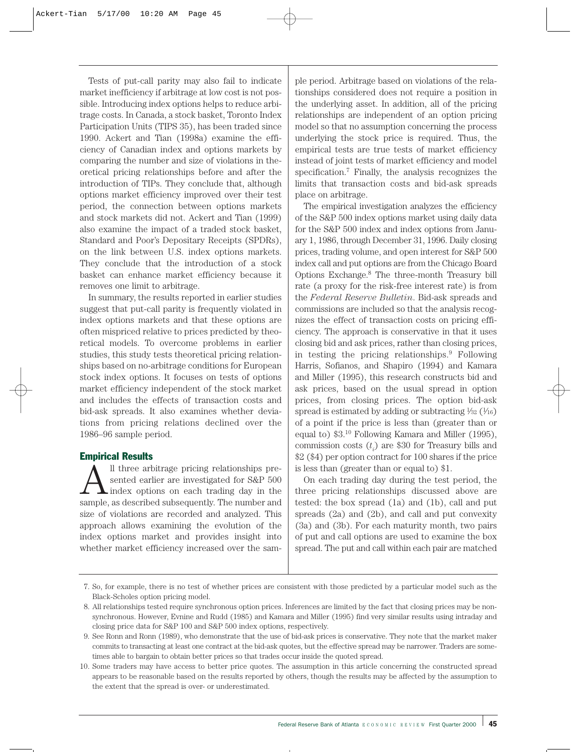Tests of put-call parity may also fail to indicate market inefficiency if arbitrage at low cost is not possible. Introducing index options helps to reduce arbitrage costs. In Canada, a stock basket, Toronto Index Participation Units (TIPS 35), has been traded since 1990. Ackert and Tian (1998a) examine the efficiency of Canadian index and options markets by comparing the number and size of violations in theoretical pricing relationships before and after the introduction of TIPs. They conclude that, although options market efficiency improved over their test period, the connection between options markets and stock markets did not. Ackert and Tian (1999) also examine the impact of a traded stock basket, Standard and Poor's Depositary Receipts (SPDRs), on the link between U.S. index options markets. They conclude that the introduction of a stock basket can enhance market efficiency because it removes one limit to arbitrage.

In summary, the results reported in earlier studies suggest that put-call parity is frequently violated in index options markets and that these options are often mispriced relative to prices predicted by theoretical models. To overcome problems in earlier studies, this study tests theoretical pricing relationships based on no-arbitrage conditions for European stock index options. It focuses on tests of options market efficiency independent of the stock market and includes the effects of transaction costs and bid-ask spreads. It also examines whether deviations from pricing relations declined over the 1986–96 sample period.

## Empirical Results

 $\sum_{\text{index}}$  arbitrage pricing relationships presented earlier are investigated for S&P 500 index options on each trading day in the sample as described subsequently. The number and sented earlier are investigated for S&P 500 sample, as described subsequently. The number and size of violations are recorded and analyzed. This approach allows examining the evolution of the index options market and provides insight into whether market efficiency increased over the sample period. Arbitrage based on violations of the relationships considered does not require a position in the underlying asset. In addition, all of the pricing relationships are independent of an option pricing model so that no assumption concerning the process underlying the stock price is required. Thus, the empirical tests are true tests of market efficiency instead of joint tests of market efficiency and model specification.7 Finally, the analysis recognizes the limits that transaction costs and bid-ask spreads place on arbitrage.

The empirical investigation analyzes the efficiency of the S&P 500 index options market using daily data for the S&P 500 index and index options from January 1, 1986, through December 31, 1996. Daily closing prices, trading volume, and open interest for S&P 500 index call and put options are from the Chicago Board Options Exchange.8 The three-month Treasury bill rate (a proxy for the risk-free interest rate) is from the *Federal Reserve Bulletin*. Bid-ask spreads and commissions are included so that the analysis recognizes the effect of transaction costs on pricing efficiency. The approach is conservative in that it uses closing bid and ask prices, rather than closing prices, in testing the pricing relationships. $9$  Following Harris, Sofianos, and Shapiro (1994) and Kamara and Miller (1995), this research constructs bid and ask prices, based on the usual spread in option prices, from closing prices. The option bid-ask spread is estimated by adding or subtracting  $\frac{1}{32}$  ( $\frac{1}{16}$ ) of a point if the price is less than (greater than or equal to) \$3.10 Following Kamara and Miller (1995), commission costs  $(t_i)$  are \$30 for Treasury bills and \$2 (\$4) per option contract for 100 shares if the price is less than (greater than or equal to) \$1.

On each trading day during the test period, the three pricing relationships discussed above are tested: the box spread (1a) and (1b), call and put spreads (2a) and (2b), and call and put convexity (3a) and (3b). For each maturity month, two pairs of put and call options are used to examine the box spread. The put and call within each pair are matched

<sup>7.</sup> So, for example, there is no test of whether prices are consistent with those predicted by a particular model such as the Black-Scholes option pricing model.

<sup>8.</sup> All relationships tested require synchronous option prices. Inferences are limited by the fact that closing prices may be nonsynchronous. However, Evnine and Rudd (1985) and Kamara and Miller (1995) find very similar results using intraday and closing price data for S&P 100 and S&P 500 index options, respectively.

<sup>9.</sup> See Ronn and Ronn (1989), who demonstrate that the use of bid-ask prices is conservative. They note that the market maker commits to transacting at least one contract at the bid-ask quotes, but the effective spread may be narrower. Traders are sometimes able to bargain to obtain better prices so that trades occur inside the quoted spread.

<sup>10.</sup> Some traders may have access to better price quotes. The assumption in this article concerning the constructed spread appears to be reasonable based on the results reported by others, though the results may be affected by the assumption to the extent that the spread is over- or underestimated.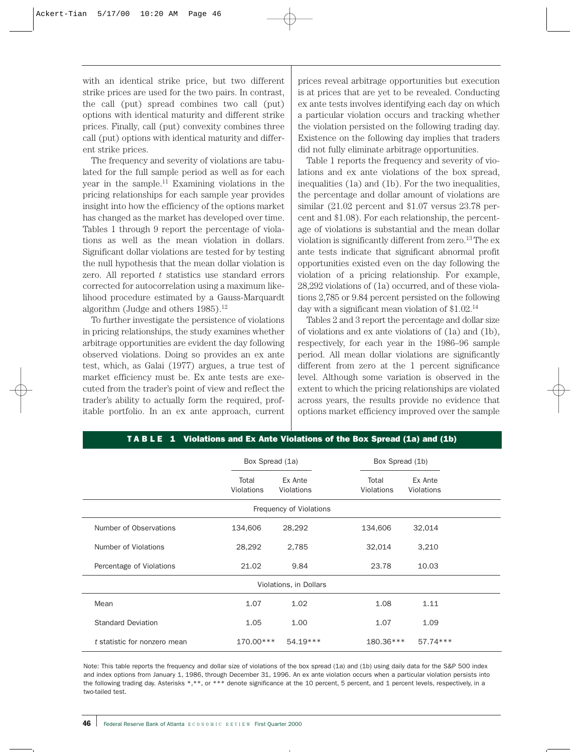with an identical strike price, but two different strike prices are used for the two pairs. In contrast, the call (put) spread combines two call (put) options with identical maturity and different strike prices. Finally, call (put) convexity combines three call (put) options with identical maturity and different strike prices.

The frequency and severity of violations are tabulated for the full sample period as well as for each year in the sample.11 Examining violations in the pricing relationships for each sample year provides insight into how the efficiency of the options market has changed as the market has developed over time. Tables 1 through 9 report the percentage of violations as well as the mean violation in dollars. Significant dollar violations are tested for by testing the null hypothesis that the mean dollar violation is zero. All reported *t* statistics use standard errors corrected for autocorrelation using a maximum likelihood procedure estimated by a Gauss-Marquardt algorithm (Judge and others  $1985$ ).<sup>12</sup>

To further investigate the persistence of violations in pricing relationships, the study examines whether arbitrage opportunities are evident the day following observed violations. Doing so provides an ex ante test, which, as Galai (1977) argues, a true test of market efficiency must be. Ex ante tests are executed from the trader's point of view and reflect the trader's ability to actually form the required, profitable portfolio. In an ex ante approach, current prices reveal arbitrage opportunities but execution is at prices that are yet to be revealed. Conducting ex ante tests involves identifying each day on which a particular violation occurs and tracking whether the violation persisted on the following trading day. Existence on the following day implies that traders did not fully eliminate arbitrage opportunities.

Table 1 reports the frequency and severity of violations and ex ante violations of the box spread, inequalities (1a) and (1b). For the two inequalities, the percentage and dollar amount of violations are similar (21.02 percent and \$1.07 versus 23.78 percent and \$1.08). For each relationship, the percentage of violations is substantial and the mean dollar violation is significantly different from zero.13 The ex ante tests indicate that significant abnormal profit opportunities existed even on the day following the violation of a pricing relationship. For example, 28,292 violations of (1a) occurred, and of these violations 2,785 or 9.84 percent persisted on the following day with a significant mean violation of \$1.02.14

Tables 2 and 3 report the percentage and dollar size of violations and ex ante violations of (1a) and (1b), respectively, for each year in the 1986–96 sample period. All mean dollar violations are significantly different from zero at the 1 percent significance level. Although some variation is observed in the extent to which the pricing relationships are violated across years, the results provide no evidence that options market efficiency improved over the sample

|                              | Box Spread (1a)     |                         | Box Spread (1b)                              |
|------------------------------|---------------------|-------------------------|----------------------------------------------|
|                              | Total<br>Violations | Ex Ante<br>Violations   | Total<br>Ex Ante<br>Violations<br>Violations |
|                              |                     | Frequency of Violations |                                              |
| Number of Observations       | 134,606             | 28,292                  | 134,606<br>32,014                            |
| Number of Violations         | 28,292              | 2,785                   | 32,014<br>3,210                              |
| Percentage of Violations     | 21.02               | 9.84                    | 23.78<br>10.03                               |
|                              |                     | Violations, in Dollars  |                                              |
| Mean                         | 1.07                | 1.02                    | 1.08<br>1.11                                 |
| <b>Standard Deviation</b>    | 1.05                | 1.00                    | 1.07<br>1.09                                 |
| t statistic for nonzero mean | $170.00***$         | 54.19***                | 180.36***<br>57.74***                        |

T A B L E 1 Violations and Ex Ante Violations of the Box Spread (1a) and (1b)

Note: This table reports the frequency and dollar size of violations of the box spread (1a) and (1b) using daily data for the S&P 500 index and index options from January 1, 1986, through December 31, 1996. An ex ante violation occurs when a particular violation persists into the following trading day. Asterisks \*,\*\*, or \*\*\* denote significance at the 10 percent, 5 percent, and 1 percent levels, respectively, in a two-tailed test.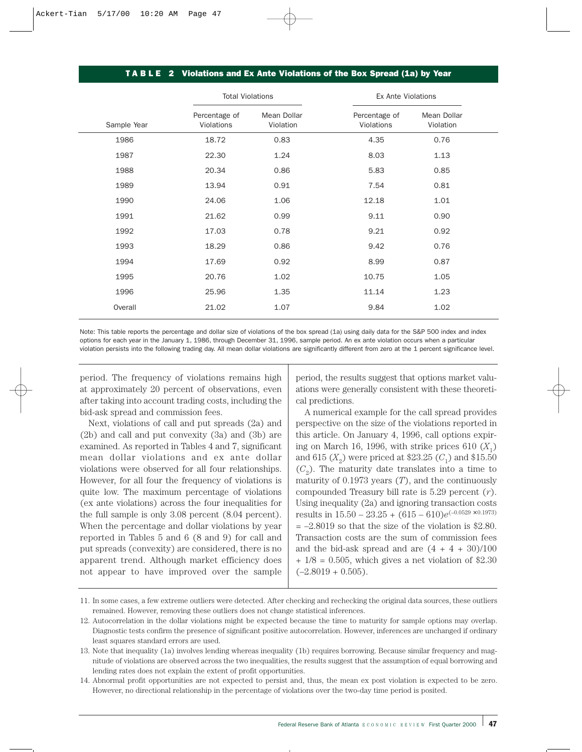### T A B L E 2 Violations and Ex Ante Violations of the Box Spread (1a) by Year

|             | <b>Total Violations</b>     |                          | Ex Ante Violations          |                          |  |
|-------------|-----------------------------|--------------------------|-----------------------------|--------------------------|--|
| Sample Year | Percentage of<br>Violations | Mean Dollar<br>Violation | Percentage of<br>Violations | Mean Dollar<br>Violation |  |
| 1986        | 18.72                       | 0.83                     | 4.35                        | 0.76                     |  |
| 1987        | 22.30                       | 1.24                     | 8.03                        | 1.13                     |  |
| 1988        | 20.34                       | 0.86                     | 5.83                        | 0.85                     |  |
| 1989        | 13.94                       | 0.91                     | 7.54                        | 0.81                     |  |
| 1990        | 24.06                       | 1.06                     | 12.18                       | 1.01                     |  |
| 1991        | 21.62                       | 0.99                     | 9.11                        | 0.90                     |  |
| 1992        | 17.03                       | 0.78                     | 9.21                        | 0.92                     |  |
| 1993        | 18.29                       | 0.86                     | 9.42                        | 0.76                     |  |
| 1994        | 17.69                       | 0.92                     | 8.99                        | 0.87                     |  |
| 1995        | 20.76                       | 1.02                     | 10.75                       | 1.05                     |  |
| 1996        | 25.96                       | 1.35                     | 11.14                       | 1.23                     |  |
| Overall     | 21.02                       | 1.07                     | 9.84                        | 1.02                     |  |

Note: This table reports the percentage and dollar size of violations of the box spread (1a) using daily data for the S&P 500 index and index options for each year in the January 1, 1986, through December 31, 1996, sample period. An ex ante violation occurs when a particular violation persists into the following trading day. All mean dollar violations are significantly different from zero at the 1 percent significance level.

period. The frequency of violations remains high at approximately 20 percent of observations, even after taking into account trading costs, including the bid-ask spread and commission fees.

Next, violations of call and put spreads (2a) and (2b) and call and put convexity (3a) and (3b) are examined. As reported in Tables 4 and 7, significant mean dollar violations and ex ante dollar violations were observed for all four relationships. However, for all four the frequency of violations is quite low. The maximum percentage of violations (ex ante violations) across the four inequalities for the full sample is only 3.08 percent (8.04 percent). When the percentage and dollar violations by year reported in Tables 5 and 6 (8 and 9) for call and put spreads (convexity) are considered, there is no apparent trend. Although market efficiency does not appear to have improved over the sample

period, the results suggest that options market valuations were generally consistent with these theoretical predictions.

A numerical example for the call spread provides perspective on the size of the violations reported in this article. On January 4, 1996, call options expiring on March 16, 1996, with strike prices  $610(X_1)$ and 615  $(X_2)$  were priced at \$23.25  $(C_1)$  and \$15.50  $(C_0)$ . The maturity date translates into a time to maturity of 0.1973 years (*T*), and the continuously compounded Treasury bill rate is 5.29 percent (*r*). Using inequality (2a) and ignoring transaction costs results in  $15.50 - 23.25 + (615 - 610)e^{(-0.0529 \times 0.1973)}$  $= -2.8019$  so that the size of the violation is \$2.80. Transaction costs are the sum of commission fees and the bid-ask spread and are  $(4 + 4 + 30)/100$  $+ 1/8 = 0.505$ , which gives a net violation of \$2.30  $(-2.8019 + 0.505)$ .

14. Abnormal profit opportunities are not expected to persist and, thus, the mean ex post violation is expected to be zero. However, no directional relationship in the percentage of violations over the two-day time period is posited.

<sup>11.</sup> In some cases, a few extreme outliers were detected. After checking and rechecking the original data sources, these outliers remained. However, removing these outliers does not change statistical inferences.

<sup>12.</sup> Autocorrelation in the dollar violations might be expected because the time to maturity for sample options may overlap. Diagnostic tests confirm the presence of significant positive autocorrelation. However, inferences are unchanged if ordinary least squares standard errors are used.

<sup>13.</sup> Note that inequality (1a) involves lending whereas inequality (1b) requires borrowing. Because similar frequency and magnitude of violations are observed across the two inequalities, the results suggest that the assumption of equal borrowing and lending rates does not explain the extent of profit opportunities.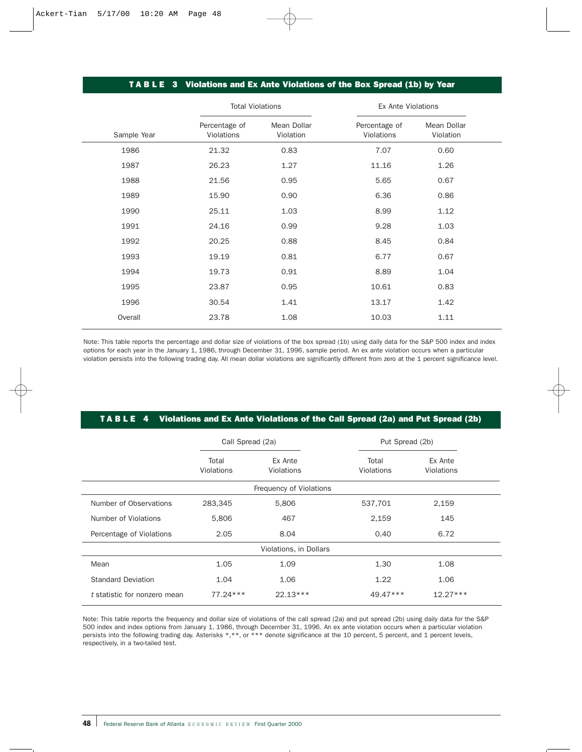### T A B L E 3 Violations and Ex Ante Violations of the Box Spread (1b) by Year

|             | <b>Total Violations</b>     |                          | <b>Ex Ante Violations</b>   |                          |  |
|-------------|-----------------------------|--------------------------|-----------------------------|--------------------------|--|
| Sample Year | Percentage of<br>Violations | Mean Dollar<br>Violation | Percentage of<br>Violations | Mean Dollar<br>Violation |  |
| 1986        | 21.32                       | 0.83                     | 7.07                        | 0.60                     |  |
| 1987        | 26.23                       | 1.27                     | 11.16                       | 1.26                     |  |
| 1988        | 21.56                       | 0.95                     | 5.65                        | 0.67                     |  |
| 1989        | 15.90                       | 0.90                     | 6.36                        | 0.86                     |  |
| 1990        | 25.11                       | 1.03                     | 8.99                        | 1.12                     |  |
| 1991        | 24.16                       | 0.99                     | 9.28                        | 1.03                     |  |
| 1992        | 20.25                       | 0.88                     | 8.45                        | 0.84                     |  |
| 1993        | 19.19                       | 0.81                     | 6.77                        | 0.67                     |  |
| 1994        | 19.73                       | 0.91                     | 8.89                        | 1.04                     |  |
| 1995        | 23.87                       | 0.95                     | 10.61                       | 0.83                     |  |
| 1996        | 30.54                       | 1.41                     | 13.17                       | 1.42                     |  |
| Overall     | 23.78                       | 1.08                     | 10.03                       | 1.11                     |  |

Note: This table reports the percentage and dollar size of violations of the box spread (1b) using daily data for the S&P 500 index and index options for each year in the January 1, 1986, through December 31, 1996, sample period. An ex ante violation occurs when a particular violation persists into the following trading day. All mean dollar violations are significantly different from zero at the 1 percent significance level.

### TA B L E 4 Violations and Ex Ante Violations of the Call Spread (2a) and Put Spread (2b)

|                              | Call Spread (2a)    |                         | Put Spread (2b)     |                       |  |
|------------------------------|---------------------|-------------------------|---------------------|-----------------------|--|
|                              | Total<br>Violations | Ex Ante<br>Violations   | Total<br>Violations | Ex Ante<br>Violations |  |
|                              |                     | Frequency of Violations |                     |                       |  |
| Number of Observations       | 283,345             | 5,806                   | 537,701             | 2,159                 |  |
| Number of Violations         | 5,806               | 467                     | 2,159               | 145                   |  |
| Percentage of Violations     | 2.05                | 8.04                    | 0.40                | 6.72                  |  |
|                              |                     | Violations, in Dollars  |                     |                       |  |
| Mean                         | 1.05                | 1.09                    | 1.30                | 1.08                  |  |
| <b>Standard Deviation</b>    | 1.04                | 1.06                    | 1.22                | 1.06                  |  |
| t statistic for nonzero mean | 77.24 ***           | $22.13***$              | 49.47***            | $12.27***$            |  |

Note: This table reports the frequency and dollar size of violations of the call spread (2a) and put spread (2b) using daily data for the S&P 500 index and index options from January 1, 1986, through December 31, 1996. An ex ante violation occurs when a particular violation persists into the following trading day. Asterisks \*,\*\*, or \*\*\* denote significance at the 10 percent, 5 percent, and 1 percent levels, respectively, in a two-tailed test.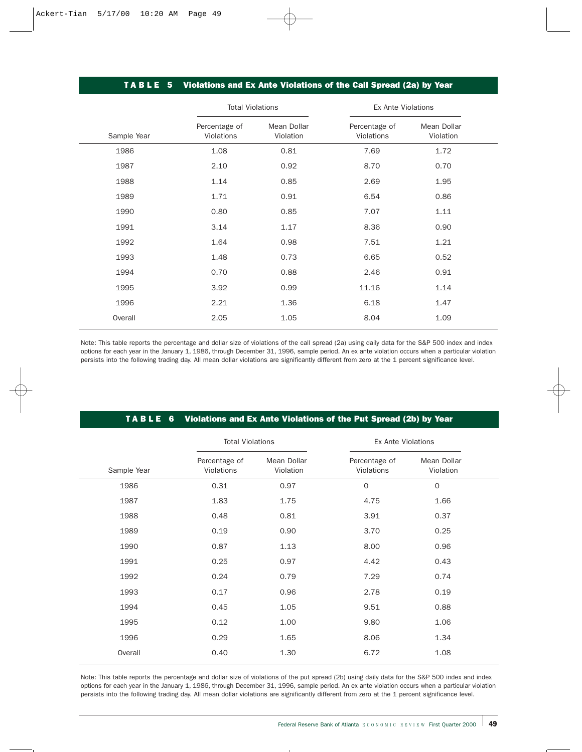# T A B L E 5 Violations and Ex Ante Violations of the Call Spread (2a) by Year

| <b>Total Violations</b>     |                          | <b>Ex Ante Violations</b>   |                          |  |  |
|-----------------------------|--------------------------|-----------------------------|--------------------------|--|--|
| Percentage of<br>Violations | Mean Dollar<br>Violation | Percentage of<br>Violations | Mean Dollar<br>Violation |  |  |
| 1.08                        | 0.81                     | 7.69                        | 1.72                     |  |  |
| 2.10                        | 0.92                     | 8.70                        | 0.70                     |  |  |
| 1.14                        | 0.85                     | 2.69                        | 1.95                     |  |  |
| 1.71                        | 0.91                     | 6.54                        | 0.86                     |  |  |
| 0.80                        | 0.85                     | 7.07                        | 1.11                     |  |  |
| 3.14                        | 1.17                     | 8.36                        | 0.90                     |  |  |
| 1.64                        | 0.98                     | 7.51                        | 1.21                     |  |  |
| 1.48                        | 0.73                     | 6.65                        | 0.52                     |  |  |
| 0.70                        | 0.88                     | 2.46                        | 0.91                     |  |  |
| 3.92                        | 0.99                     | 11.16                       | 1.14                     |  |  |
| 2.21                        | 1.36                     | 6.18                        | 1.47                     |  |  |
| 2.05                        | 1.05                     | 8.04                        | 1.09                     |  |  |
|                             |                          |                             |                          |  |  |

Note: This table reports the percentage and dollar size of violations of the call spread (2a) using daily data for the S&P 500 index and index options for each year in the January 1, 1986, through December 31, 1996, sample period. An ex ante violation occurs when a particular violation persists into the following trading day. All mean dollar violations are significantly different from zero at the 1 percent significance level.

### TABLE 6 Violations and Ex Ante Violations of the Put Spread (2b) by Year

|             | <b>Total Violations</b>     |                          | <b>Ex Ante Violations</b>   |                          |  |  |
|-------------|-----------------------------|--------------------------|-----------------------------|--------------------------|--|--|
| Sample Year | Percentage of<br>Violations | Mean Dollar<br>Violation | Percentage of<br>Violations | Mean Dollar<br>Violation |  |  |
| 1986        | 0.31                        | 0.97                     | $\mathbf 0$                 | $\mathbf 0$              |  |  |
| 1987        | 1.83                        | 1.75                     | 4.75                        | 1.66                     |  |  |
| 1988        | 0.48                        | 0.81                     | 3.91                        | 0.37                     |  |  |
| 1989        | 0.19                        | 0.90                     | 3.70                        | 0.25                     |  |  |
| 1990        | 0.87                        | 1.13                     | 8.00                        | 0.96                     |  |  |
| 1991        | 0.25                        | 0.97                     | 4.42                        | 0.43                     |  |  |
| 1992        | 0.24                        | 0.79                     | 7.29                        | 0.74                     |  |  |
| 1993        | 0.17                        | 0.96                     | 2.78                        | 0.19                     |  |  |
| 1994        | 0.45                        | 1.05                     | 9.51                        | 0.88                     |  |  |
| 1995        | 0.12                        | 1.00                     | 9.80                        | 1.06                     |  |  |
| 1996        | 0.29                        | 1.65                     | 8.06                        | 1.34                     |  |  |
| Overall     | 0.40                        | 1.30                     | 6.72                        | 1.08                     |  |  |

Note: This table reports the percentage and dollar size of violations of the put spread (2b) using daily data for the S&P 500 index and index options for each year in the January 1, 1986, through December 31, 1996, sample period. An ex ante violation occurs when a particular violation persists into the following trading day. All mean dollar violations are significantly different from zero at the 1 percent significance level.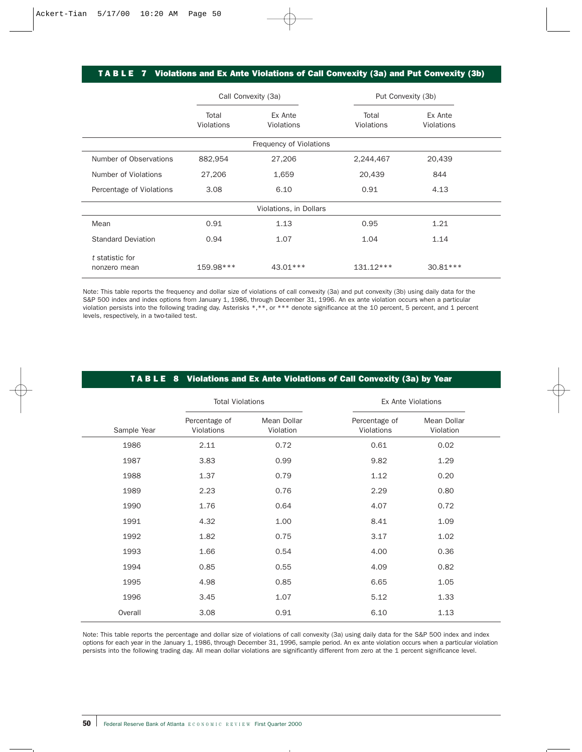## TABLE 7 Violations and Ex Ante Violations of Call Convexity (3a) and Put Convexity (3b)

|                                 | Call Convexity (3a) |                         | Put Convexity (3b)  |                       |  |
|---------------------------------|---------------------|-------------------------|---------------------|-----------------------|--|
|                                 | Total<br>Violations | Ex Ante<br>Violations   | Total<br>Violations | Ex Ante<br>Violations |  |
|                                 |                     | Frequency of Violations |                     |                       |  |
| Number of Observations          | 882,954             | 27,206                  | 2,244,467           | 20,439                |  |
| Number of Violations            | 27,206              | 1,659                   | 20,439              | 844                   |  |
| Percentage of Violations        | 3.08                | 6.10                    | 0.91                | 4.13                  |  |
|                                 |                     | Violations, in Dollars  |                     |                       |  |
| Mean                            | 0.91                | 1.13                    | 0.95                | 1.21                  |  |
| <b>Standard Deviation</b>       | 0.94                | 1.07                    | 1.04                | 1.14                  |  |
| t statistic for<br>nonzero mean | 159.98***           | 43.01***                | $131.12***$         | $30.81***$            |  |

Note: This table reports the frequency and dollar size of violations of call convexity (3a) and put convexity (3b) using daily data for the S&P 500 index and index options from January 1, 1986, through December 31, 1996. An ex ante violation occurs when a particular violation persists into the following trading day. Asterisks \*,\*\*, or \*\*\* denote significance at the 10 percent, 5 percent, and 1 percent levels, respectively, in a two-tailed test.

|  | 「 TABLE 8 Violations and Ex Ante Violations of Call Convexity (3a) by Year, |  |
|--|-----------------------------------------------------------------------------|--|
|--|-----------------------------------------------------------------------------|--|

|             | <b>Total Violations</b>     |                          | <b>Ex Ante Violations</b>   |                          |  |  |
|-------------|-----------------------------|--------------------------|-----------------------------|--------------------------|--|--|
| Sample Year | Percentage of<br>Violations | Mean Dollar<br>Violation | Percentage of<br>Violations | Mean Dollar<br>Violation |  |  |
| 1986        | 2.11                        | 0.72                     | 0.61                        | 0.02                     |  |  |
| 1987        | 3.83                        | 0.99                     | 9.82                        | 1.29                     |  |  |
| 1988        | 1.37                        | 0.79                     | 1.12                        | 0.20                     |  |  |
| 1989        | 2.23                        | 0.76                     | 2.29                        | 0.80                     |  |  |
| 1990        | 1.76                        | 0.64                     | 4.07                        | 0.72                     |  |  |
| 1991        | 4.32                        | 1.00                     | 8.41                        | 1.09                     |  |  |
| 1992        | 1.82                        | 0.75                     | 3.17                        | 1.02                     |  |  |
| 1993        | 1.66                        | 0.54                     | 4.00                        | 0.36                     |  |  |
| 1994        | 0.85                        | 0.55                     | 4.09                        | 0.82                     |  |  |
| 1995        | 4.98                        | 0.85                     | 6.65                        | 1.05                     |  |  |
| 1996        | 3.45                        | 1.07                     | 5.12                        | 1.33                     |  |  |
| Overall     | 3.08                        | 0.91                     | 6.10                        | 1.13                     |  |  |

Note: This table reports the percentage and dollar size of violations of call convexity (3a) using daily data for the S&P 500 index and index options for each year in the January 1, 1986, through December 31, 1996, sample period. An ex ante violation occurs when a particular violation persists into the following trading day. All mean dollar violations are significantly different from zero at the 1 percent significance level.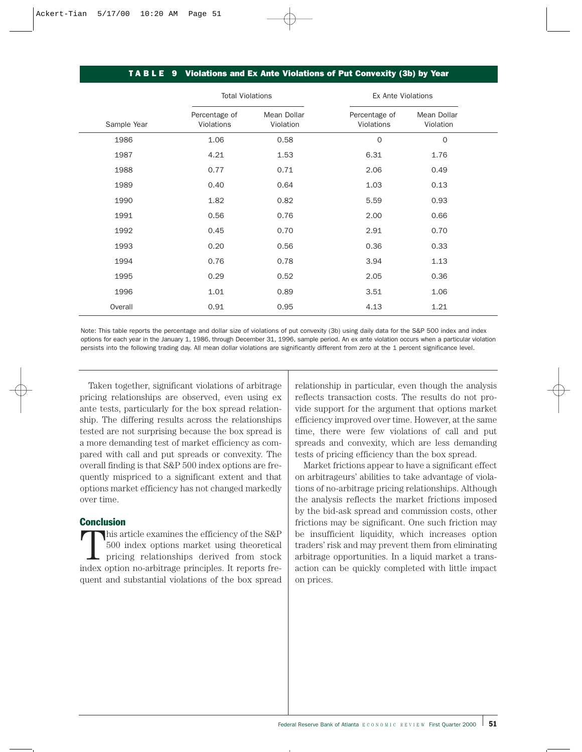### T A B L E 9 Violations and Ex Ante Violations of Put Convexity (3b) by Year

|             | <b>Total Violations</b>     |                          | Ex Ante Violations          |                          |  |  |
|-------------|-----------------------------|--------------------------|-----------------------------|--------------------------|--|--|
| Sample Year | Percentage of<br>Violations | Mean Dollar<br>Violation | Percentage of<br>Violations | Mean Dollar<br>Violation |  |  |
| 1986        | 1.06                        | 0.58                     | $\mathbf 0$                 | $\mathbf{O}$             |  |  |
| 1987        | 4.21                        | 1.53                     | 6.31                        | 1.76                     |  |  |
| 1988        | 0.77                        | 0.71                     | 2.06                        | 0.49                     |  |  |
| 1989        | 0.40                        | 0.64                     | 1.03                        | 0.13                     |  |  |
| 1990        | 1.82                        | 0.82                     | 5.59                        | 0.93                     |  |  |
| 1991        | 0.56                        | 0.76                     | 2.00                        | 0.66                     |  |  |
| 1992        | 0.45                        | 0.70                     | 2.91                        | 0.70                     |  |  |
| 1993        | 0.20                        | 0.56                     | 0.36                        | 0.33                     |  |  |
| 1994        | 0.76                        | 0.78                     | 3.94                        | 1.13                     |  |  |
| 1995        | 0.29                        | 0.52                     | 2.05                        | 0.36                     |  |  |
| 1996        | 1.01                        | 0.89                     | 3.51                        | 1.06                     |  |  |
| Overall     | 0.91                        | 0.95                     | 4.13                        | 1.21                     |  |  |

Note: This table reports the percentage and dollar size of violations of put convexity (3b) using daily data for the S&P 500 index and index options for each year in the January 1, 1986, through December 31, 1996, sample period. An ex ante violation occurs when a particular violation persists into the following trading day. All mean dollar violations are significantly different from zero at the 1 percent significance level.

Taken together, significant violations of arbitrage pricing relationships are observed, even using ex ante tests, particularly for the box spread relationship. The differing results across the relationships tested are not surprising because the box spread is a more demanding test of market efficiency as compared with call and put spreads or convexity. The overall finding is that S&P 500 index options are frequently mispriced to a significant extent and that options market efficiency has not changed markedly over time.

### **Conclusion**

This article examines the efficiency of the S&P 500 index options market using theoretical pricing relationships derived from stock index option no-arbitrage principles. It reports frequent and substantial violations of the box spread relationship in particular, even though the analysis reflects transaction costs. The results do not provide support for the argument that options market efficiency improved over time. However, at the same time, there were few violations of call and put spreads and convexity, which are less demanding tests of pricing efficiency than the box spread.

Market frictions appear to have a significant effect on arbitrageurs' abilities to take advantage of violations of no-arbitrage pricing relationships. Although the analysis reflects the market frictions imposed by the bid-ask spread and commission costs, other frictions may be significant. One such friction may be insufficient liquidity, which increases option traders' risk and may prevent them from eliminating arbitrage opportunities. In a liquid market a transaction can be quickly completed with little impact on prices.